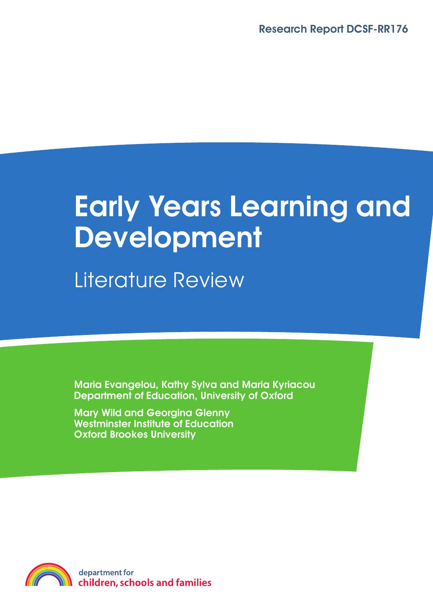# **Early Years Learning and Development**

Literature Review

**Maria Evangelou, Kathy Sylva and Maria Kyriacou Department of Education, University of Oxford**

**Mary Wild and Georgina Glenny Westminster Institute of Education Oxford Brookes University**

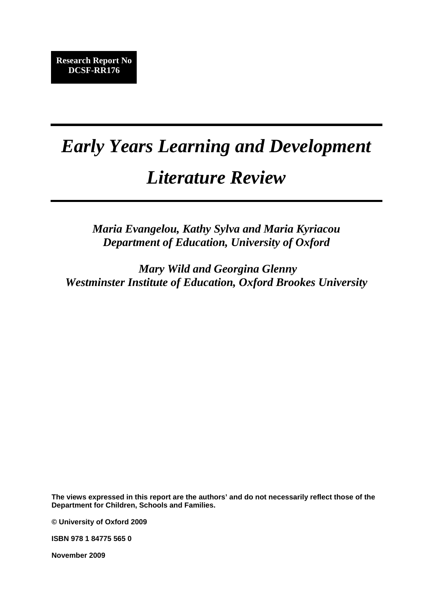# *Early Years Learning and Development*

## *Literature Review*

*Maria Evangelou, Kathy Sylva and Maria Kyriacou Department of Education, University of Oxford* 

 *Mary Wild and Georgina Glenny Westminster Institute of Education, Oxford Brookes University* 

**The views expressed in this report are the authors' and do not necessarily reflect those of the Department for Children, Schools and Families.** 

**© University of Oxford 2009** 

**ISBN 978 1 84775 565 0** 

**November 2009**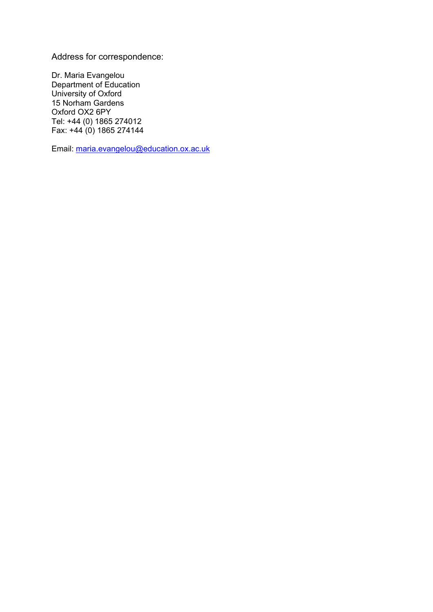Address for correspondence:

Dr. Maria Evangelou Department of Education University of Oxford 15 Norham Gardens Oxford OX2 6PY Tel: +44 (0) 1865 274012 Fax:  $+44(0)$  1865 274144

Email: [maria.evangelou@education.ox.ac.uk](mailto:maria.evangelou@education.ox.ac.uk)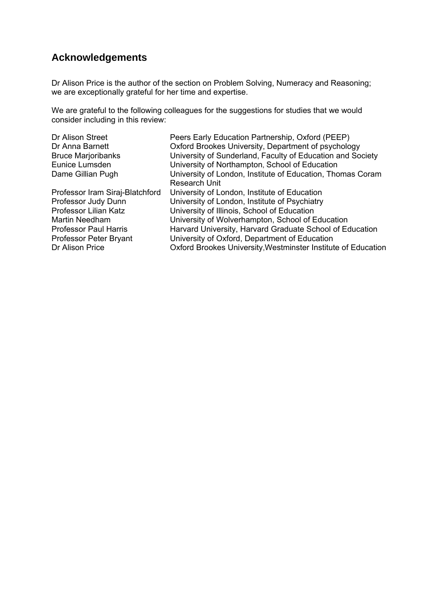### **Acknowledgements**

Dr Alison Price is the author of the section on Problem Solving, Numeracy and Reasoning; we are exceptionally grateful for her time and expertise.

We are grateful to the following colleagues for the suggestions for studies that we would consider including in this review:

| Dr Alison Street                | Peers Early Education Partnership, Oxford (PEEP)              |
|---------------------------------|---------------------------------------------------------------|
| Dr Anna Barnett                 | Oxford Brookes University, Department of psychology           |
| <b>Bruce Marjoribanks</b>       | University of Sunderland, Faculty of Education and Society    |
| Eunice Lumsden                  | University of Northampton, School of Education                |
| Dame Gillian Pugh               | University of London, Institute of Education, Thomas Coram    |
|                                 | <b>Research Unit</b>                                          |
| Professor Iram Siraj-Blatchford | University of London, Institute of Education                  |
| Professor Judy Dunn             | University of London, Institute of Psychiatry                 |
| Professor Lilian Katz           | University of Illinois, School of Education                   |
| Martin Needham                  | University of Wolverhampton, School of Education              |
| <b>Professor Paul Harris</b>    | Harvard University, Harvard Graduate School of Education      |
| Professor Peter Bryant          | University of Oxford, Department of Education                 |
| Dr Alison Price                 | Oxford Brookes University, Westminster Institute of Education |
|                                 |                                                               |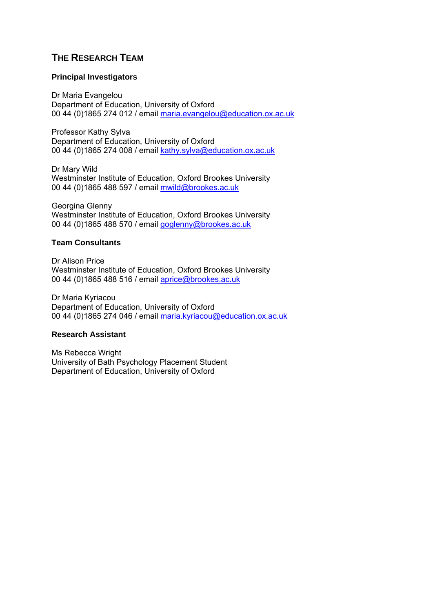### **THE RESEARCH TEAM**

#### **Principal Investigators**

Dr Maria Evangelou Department of Education, University of Oxford 00 44 (0)1865 274 012 / email [maria.evangelou@education.ox.ac.uk](mailto:maria.evangelou@education.ox.ac.uk)

Professor Kathy Sylva Department of Education, University of Oxford 00 44 (0)1865 274 008 / email [kathy.sylva@education.ox.ac.uk](mailto:kathy.sylva@education.ox.ac.uk)

Dr Mary Wild Westminster Institute of Education, Oxford Brookes University 00 44 (0)1865 488 597 / email [mwild@brookes.ac.uk](mailto:mwild@brookes.ac.uk)

Georgina Glenny Westminster Institute of Education, Oxford Brookes University 00 44 (0)1865 488 570 / email [goglenny@brookes.ac.uk](mailto:goglenny@brookes.ac.uk)

#### **Team Consultants**

Dr Alison Price Westminster Institute of Education, Oxford Brookes University 00 44 (0)1865 488 516 / email [aprice@brookes.ac.uk](mailto:aprice@brookes.ac.uk)

Dr Maria Kyriacou Department of Education, University of Oxford 00 44 (0)1865 274 046 / email [maria.kyriacou@education.ox.ac.uk](mailto:maria.kyriacou@education.ox.ac.uk)

### **Research Assistant**

Ms Rebecca Wright University of Bath Psychology Placement Student Department of Education, University of Oxford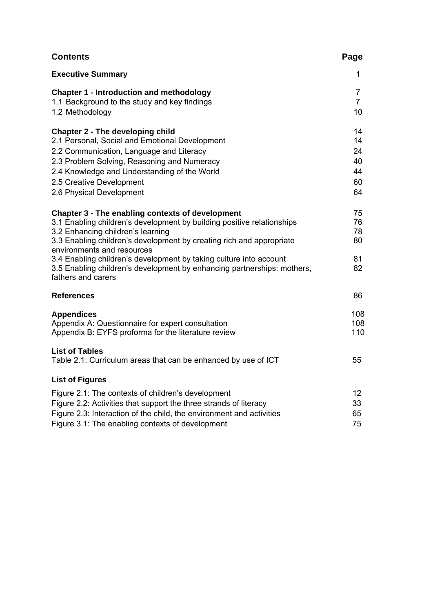| <b>Contents</b>                                                                                                                                                                                                                                                                                                                                                                                                                              | Page                                   |
|----------------------------------------------------------------------------------------------------------------------------------------------------------------------------------------------------------------------------------------------------------------------------------------------------------------------------------------------------------------------------------------------------------------------------------------------|----------------------------------------|
| <b>Executive Summary</b>                                                                                                                                                                                                                                                                                                                                                                                                                     | 1                                      |
| <b>Chapter 1 - Introduction and methodology</b><br>1.1 Background to the study and key findings<br>1.2 Methodology                                                                                                                                                                                                                                                                                                                           | 7<br>$\overline{7}$<br>10              |
| Chapter 2 - The developing child<br>2.1 Personal, Social and Emotional Development<br>2.2 Communication, Language and Literacy<br>2.3 Problem Solving, Reasoning and Numeracy<br>2.4 Knowledge and Understanding of the World<br>2.5 Creative Development<br>2.6 Physical Development                                                                                                                                                        | 14<br>14<br>24<br>40<br>44<br>60<br>64 |
| Chapter 3 - The enabling contexts of development<br>3.1 Enabling children's development by building positive relationships<br>3.2 Enhancing children's learning<br>3.3 Enabling children's development by creating rich and appropriate<br>environments and resources<br>3.4 Enabling children's development by taking culture into account<br>3.5 Enabling children's development by enhancing partnerships: mothers,<br>fathers and carers | 75<br>76<br>78<br>80<br>81<br>82       |
| <b>References</b>                                                                                                                                                                                                                                                                                                                                                                                                                            | 86                                     |
| <b>Appendices</b><br>Appendix A: Questionnaire for expert consultation<br>Appendix B: EYFS proforma for the literature review                                                                                                                                                                                                                                                                                                                | 108<br>108<br>110                      |
| <b>List of Tables</b><br>Table 2.1: Curriculum areas that can be enhanced by use of ICT                                                                                                                                                                                                                                                                                                                                                      | 55                                     |
| <b>List of Figures</b>                                                                                                                                                                                                                                                                                                                                                                                                                       |                                        |
| Figure 2.1: The contexts of children's development<br>Figure 2.2: Activities that support the three strands of literacy<br>Figure 2.3: Interaction of the child, the environment and activities<br>Figure 3.1: The enabling contexts of development                                                                                                                                                                                          | 12 <sup>2</sup><br>33<br>65<br>75      |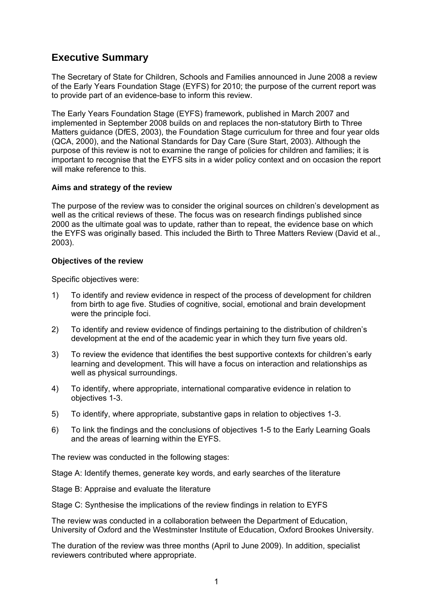### **Executive Summary**

The Secretary of State for Children, Schools and Families announced in June 2008 a review of the Early Years Foundation Stage (EYFS) for 2010; the purpose of the current report was to provide part of an evidence-base to inform this review.

The Early Years Foundation Stage (EYFS) framework, published in March 2007 and implemented in September 2008 builds on and replaces the non-statutory Birth to Three Matters guidance (DfES, 2003), the Foundation Stage curriculum for three and four year olds (QCA, 2000), and the National Standards for Day Care (Sure Start, 2003). Although the purpose of this review is not to examine the range of policies for children and families; it is important to recognise that the EYFS sits in a wider policy context and on occasion the report will make reference to this.

### **Aims and strategy of the review**

The purpose of the review was to consider the original sources on children's development as well as the critical reviews of these. The focus was on research findings published since 2000 as the ultimate goal was to update, rather than to repeat, the evidence base on which the EYFS was originally based. This included the Birth to Three Matters Review (David et al., 2003).

### **Objectives of the review**

Specific objectives were:

- 1) To identify and review evidence in respect of the process of development for children from birth to age five. Studies of cognitive, social, emotional and brain development were the principle foci.
- 2) To identify and review evidence of findings pertaining to the distribution of children's development at the end of the academic year in which they turn five years old.
- 3) To review the evidence that identifies the best supportive contexts for children's early learning and development. This will have a focus on interaction and relationships as well as physical surroundings.
- 4) To identify, where appropriate, international comparative evidence in relation to objectives 1-3.
- 5) To identify, where appropriate, substantive gaps in relation to objectives 1-3.
- 6) To link the findings and the conclusions of objectives 1-5 to the Early Learning Goals and the areas of learning within the EYFS.

The review was conducted in the following stages:

Stage A: Identify themes, generate key words, and early searches of the literature

Stage B: Appraise and evaluate the literature

Stage C: Synthesise the implications of the review findings in relation to EYFS

The review was conducted in a collaboration between the Department of Education, University of Oxford and the Westminster Institute of Education, Oxford Brookes University.

The duration of the review was three months (April to June 2009). In addition, specialist reviewers contributed where appropriate.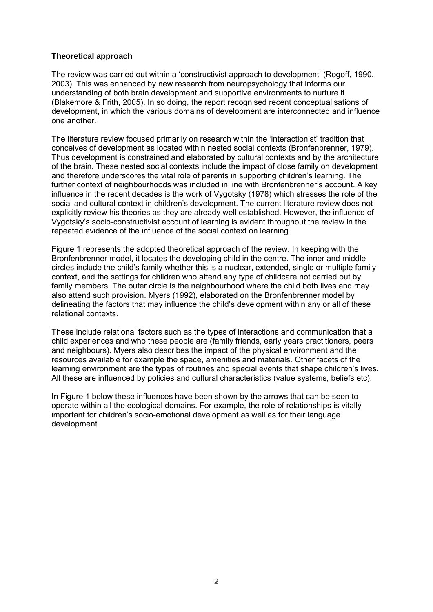### **Theoretical approach**

The review was carried out within a 'constructivist approach to development' (Rogoff, 1990, 2003). This was enhanced by new research from neuropsychology that informs our understanding of both brain development and supportive environments to nurture it (Blakemore & Frith, 2005). In so doing, the report recognised recent conceptualisations of development, in which the various domains of development are interconnected and influence one another.

The literature review focused primarily on research within the 'interactionist' tradition that conceives of development as located within nested social contexts (Bronfenbrenner, 1979). Thus development is constrained and elaborated by cultural contexts and by the architecture of the brain. These nested social contexts include the impact of close family on development and therefore underscores the vital role of parents in supporting children's learning. The further context of neighbourhoods was included in line with Bronfenbrenner's account. A key influence in the recent decades is the work of Vygotsky (1978) which stresses the role of the social and cultural context in children's development. The current literature review does not explicitly review his theories as they are already well established. However, the influence of Vygotsky's socio-constructivist account of learning is evident throughout the review in the repeated evidence of the influence of the social context on learning.

Figure 1 represents the adopted theoretical approach of the review. In keeping with the Bronfenbrenner model, it locates the developing child in the centre. The inner and middle circles include the child's family whether this is a nuclear, extended, single or multiple family context, and the settings for children who attend any type of childcare not carried out by family members. The outer circle is the neighbourhood where the child both lives and may also attend such provision. Myers (1992), elaborated on the Bronfenbrenner model by delineating the factors that may influence the child's development within any or all of these relational contexts.

These include relational factors such as the types of interactions and communication that a child experiences and who these people are (family friends, early years practitioners, peers and neighbours). Myers also describes the impact of the physical environment and the resources available for example the space, amenities and materials. Other facets of the learning environment are the types of routines and special events that shape children's lives. All these are influenced by policies and cultural characteristics (value systems, beliefs etc).

In Figure 1 below these influences have been shown by the arrows that can be seen to operate within all the ecological domains. For example, the role of relationships is vitally important for children's socio-emotional development as well as for their language development.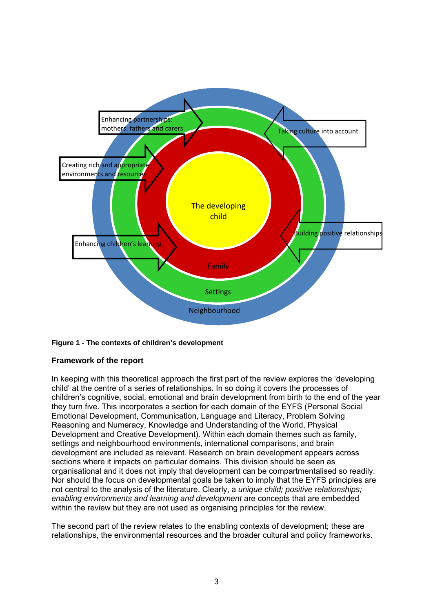

### **Figure 1 - The contexts of children's development**

### **Framework of the report**

In keeping with this theoretical approach the first part of the review explores the 'developing child' at the centre of a series of relationships. In so doing it covers the processes of children's cognitive, social, emotional and brain development from birth to the end of the year they turn five. This incorporates a section for each domain of the EYFS (Personal Social Emotional Development, Communication, Language and Literacy, Problem Solving Reasoning and Numeracy, Knowledge and Understanding of the World, Physical Development and Creative Development). Within each domain themes such as family, settings and neighbourhood environments, international comparisons, and brain development are included as relevant. Research on brain development appears across sections where it impacts on particular domains. This division should be seen as organisational and it does not imply that development can be compartmentalised so readily. Nor should the focus on developmental goals be taken to imply that the EYFS principles are not central to the analysis of the literature. Clearly, a *unique child; positive relationships; enabling environments and learning and development* are concepts that are embedded within the review but they are not used as organising principles for the review.

The second part of the review relates to the enabling contexts of development; these are relationships, the environmental resources and the broader cultural and policy frameworks.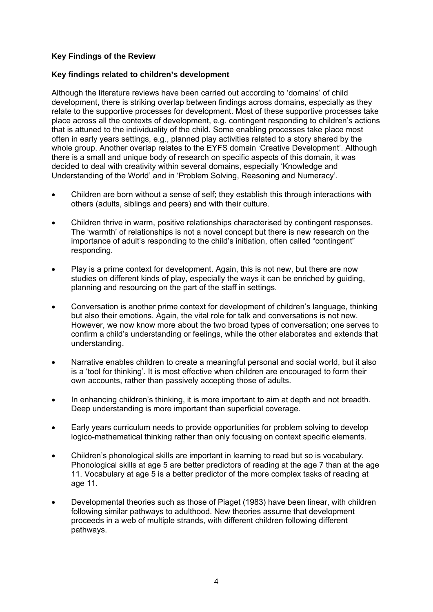### **Key Findings of the Review**

### **Key findings related to children's development**

Although the literature reviews have been carried out according to 'domains' of child development, there is striking overlap between findings across domains, especially as they relate to the supportive processes for development. Most of these supportive processes take place across all the contexts of development, e.g. contingent responding to children's actions that is attuned to the individuality of the child. Some enabling processes take place most often in early years settings, e.g., planned play activities related to a story shared by the whole group. Another overlap relates to the EYFS domain 'Creative Development'. Although there is a small and unique body of research on specific aspects of this domain, it was decided to deal with creativity within several domains, especially 'Knowledge and Understanding of the World' and in 'Problem Solving, Reasoning and Numeracy'.

- Children are born without a sense of self; they establish this through interactions with others (adults, siblings and peers) and with their culture.
- Children thrive in warm, positive relationships characterised by contingent responses. The 'warmth' of relationships is not a novel concept but there is new research on the importance of adult's responding to the child's initiation, often called "contingent" responding.
- Play is a prime context for development. Again, this is not new, but there are now studies on different kinds of play, especially the ways it can be enriched by guiding, planning and resourcing on the part of the staff in settings.
- Conversation is another prime context for development of children's language, thinking but also their emotions. Again, the vital role for talk and conversations is not new. However, we now know more about the two broad types of conversation; one serves to confirm a child's understanding or feelings, while the other elaborates and extends that understanding.
- Narrative enables children to create a meaningful personal and social world, but it also is a 'tool for thinking'. It is most effective when children are encouraged to form their own accounts, rather than passively accepting those of adults.
- In enhancing children's thinking, it is more important to aim at depth and not breadth. Deep understanding is more important than superficial coverage.
- Early years curriculum needs to provide opportunities for problem solving to develop logico-mathematical thinking rather than only focusing on context specific elements.
- Children's phonological skills are important in learning to read but so is vocabulary. Phonological skills at age 5 are better predictors of reading at the age 7 than at the age 11. Vocabulary at age 5 is a better predictor of the more complex tasks of reading at age 11.
- Developmental theories such as those of Piaget (1983) have been linear, with children following similar pathways to adulthood. New theories assume that development proceeds in a web of multiple strands, with different children following different pathways.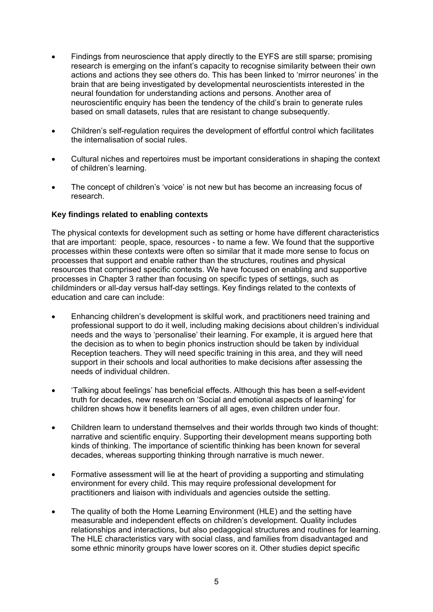- Findings from neuroscience that apply directly to the EYFS are still sparse; promising research is emerging on the infant's capacity to recognise similarity between their own actions and actions they see others do. This has been linked to 'mirror neurones' in the brain that are being investigated by developmental neuroscientists interested in the neural foundation for understanding actions and persons. Another area of neuroscientific enquiry has been the tendency of the child's brain to generate rules based on small datasets, rules that are resistant to change subsequently.
- Children's self-regulation requires the development of effortful control which facilitates the internalisation of social rules.
- Cultural niches and repertoires must be important considerations in shaping the context of children's learning.
- The concept of children's 'voice' is not new but has become an increasing focus of research.

### **Key findings related to enabling contexts**

The physical contexts for development such as setting or home have different characteristics that are important: people, space, resources - to name a few. We found that the supportive processes within these contexts were often so similar that it made more sense to focus on processes that support and enable rather than the structures, routines and physical resources that comprised specific contexts. We have focused on enabling and supportive processes in Chapter 3 rather than focusing on specific types of settings, such as childminders or all-day versus half-day settings. Key findings related to the contexts of education and care can include:

- Enhancing children's development is skilful work, and practitioners need training and professional support to do it well, including making decisions about children's individual needs and the ways to 'personalise' their learning. For example, it is argued here that the decision as to when to begin phonics instruction should be taken by individual Reception teachers. They will need specific training in this area, and they will need support in their schools and local authorities to make decisions after assessing the needs of individual children.
- 'Talking about feelings' has beneficial effects. Although this has been a self-evident truth for decades, new research on 'Social and emotional aspects of learning' for children shows how it benefits learners of all ages, even children under four.
- Children learn to understand themselves and their worlds through two kinds of thought: narrative and scientific enquiry. Supporting their development means supporting both kinds of thinking. The importance of scientific thinking has been known for several decades, whereas supporting thinking through narrative is much newer.
- Formative assessment will lie at the heart of providing a supporting and stimulating environment for every child. This may require professional development for practitioners and liaison with individuals and agencies outside the setting.
- The quality of both the Home Learning Environment (HLE) and the setting have measurable and independent effects on children's development. Quality includes relationships and interactions, but also pedagogical structures and routines for learning. The HLE characteristics vary with social class, and families from disadvantaged and some ethnic minority groups have lower scores on it. Other studies depict specific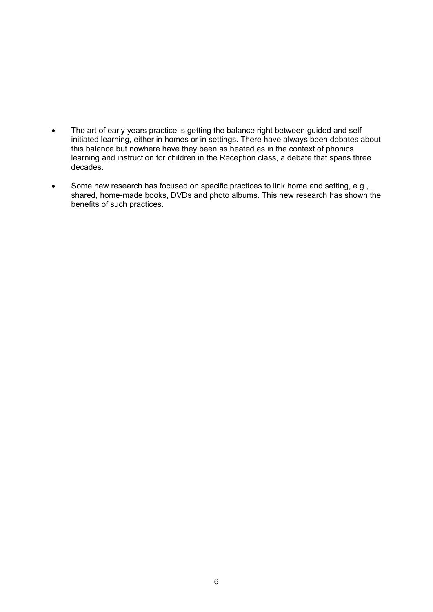- The art of early years practice is getting the balance right between guided and self initiated learning, either in homes or in settings. There have always been debates about this balance but nowhere have they been as heated as in the context of phonics learning and instruction for children in the Reception class, a debate that spans three decades.
- Some new research has focused on specific practices to link home and setting, e.g., shared, home-made books, DVDs and photo albums. This new research has shown the benefits of such practices.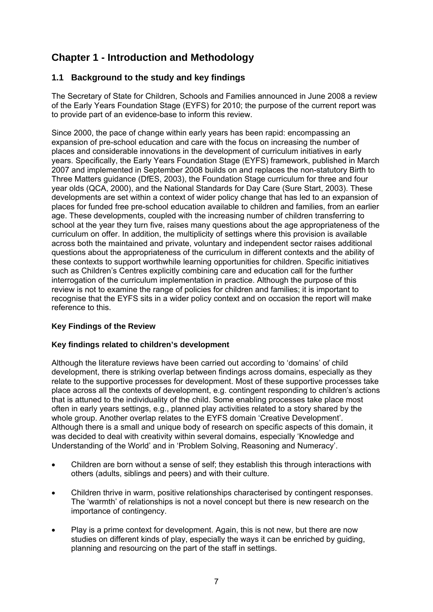### **Chapter 1 - Introduction and Methodology**

### **1.1 Background to the study and key findings**

The Secretary of State for Children, Schools and Families announced in June 2008 a review of the Early Years Foundation Stage (EYFS) for 2010; the purpose of the current report was to provide part of an evidence-base to inform this review.

Since 2000, the pace of change within early years has been rapid: encompassing an expansion of pre-school education and care with the focus on increasing the number of places and considerable innovations in the development of curriculum initiatives in early years. Specifically, the Early Years Foundation Stage (EYFS) framework, published in March 2007 and implemented in September 2008 builds on and replaces the non-statutory Birth to Three Matters guidance (DfES, 2003), the Foundation Stage curriculum for three and four year olds (QCA, 2000), and the National Standards for Day Care (Sure Start, 2003). These developments are set within a context of wider policy change that has led to an expansion of places for funded free pre-school education available to children and families, from an earlier age. These developments, coupled with the increasing number of children transferring to school at the year they turn five, raises many questions about the age appropriateness of the curriculum on offer. In addition, the multiplicity of settings where this provision is available across both the maintained and private, voluntary and independent sector raises additional questions about the appropriateness of the curriculum in different contexts and the ability of these contexts to support worthwhile learning opportunities for children. Specific initiatives such as Children's Centres explicitly combining care and education call for the further interrogation of the curriculum implementation in practice. Although the purpose of this review is not to examine the range of policies for children and families; it is important to recognise that the EYFS sits in a wider policy context and on occasion the report will make reference to this.

### **Key Findings of the Review**

### **Key findings related to children's development**

Although the literature reviews have been carried out according to 'domains' of child development, there is striking overlap between findings across domains, especially as they relate to the supportive processes for development. Most of these supportive processes take place across all the contexts of development, e.g. contingent responding to children's actions that is attuned to the individuality of the child. Some enabling processes take place most often in early years settings, e.g., planned play activities related to a story shared by the whole group. Another overlap relates to the EYFS domain 'Creative Development'. Although there is a small and unique body of research on specific aspects of this domain, it was decided to deal with creativity within several domains, especially 'Knowledge and Understanding of the World' and in 'Problem Solving, Reasoning and Numeracy'.

- Children are born without a sense of self; they establish this through interactions with others (adults, siblings and peers) and with their culture.
- Children thrive in warm, positive relationships characterised by contingent responses. The 'warmth' of relationships is not a novel concept but there is new research on the importance of contingency.
- Play is a prime context for development. Again, this is not new, but there are now studies on different kinds of play, especially the ways it can be enriched by guiding, planning and resourcing on the part of the staff in settings.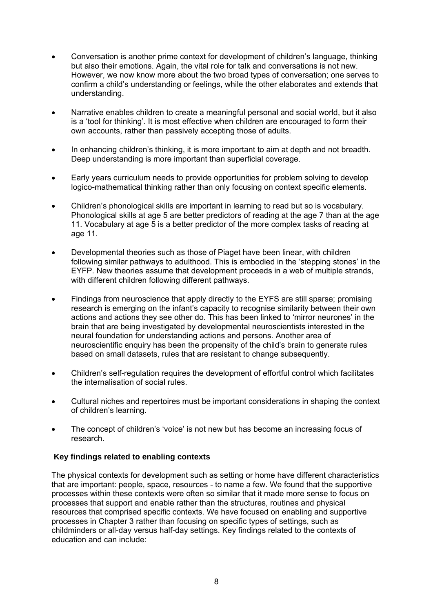- Conversation is another prime context for development of children's language, thinking but also their emotions. Again, the vital role for talk and conversations is not new. However, we now know more about the two broad types of conversation; one serves to confirm a child's understanding or feelings, while the other elaborates and extends that understanding.
- Narrative enables children to create a meaningful personal and social world, but it also is a 'tool for thinking'. It is most effective when children are encouraged to form their own accounts, rather than passively accepting those of adults.
- In enhancing children's thinking, it is more important to aim at depth and not breadth. Deep understanding is more important than superficial coverage.
- Early years curriculum needs to provide opportunities for problem solving to develop logico-mathematical thinking rather than only focusing on context specific elements.
- Children's phonological skills are important in learning to read but so is vocabulary. Phonological skills at age 5 are better predictors of reading at the age 7 than at the age 11. Vocabulary at age 5 is a better predictor of the more complex tasks of reading at age 11.
- Developmental theories such as those of Piaget have been linear, with children following similar pathways to adulthood. This is embodied in the 'stepping stones' in the EYFP. New theories assume that development proceeds in a web of multiple strands, with different children following different pathways.
- Findings from neuroscience that apply directly to the EYFS are still sparse; promising research is emerging on the infant's capacity to recognise similarity between their own actions and actions they see other do. This has been linked to 'mirror neurones' in the brain that are being investigated by developmental neuroscientists interested in the neural foundation for understanding actions and persons. Another area of neuroscientific enquiry has been the propensity of the child's brain to generate rules based on small datasets, rules that are resistant to change subsequently.
- Children's self-regulation requires the development of effortful control which facilitates the internalisation of social rules.
- Cultural niches and repertoires must be important considerations in shaping the context of children's learning.
- The concept of children's 'voice' is not new but has become an increasing focus of research.

### **Key findings related to enabling contexts**

The physical contexts for development such as setting or home have different characteristics that are important: people, space, resources - to name a few. We found that the supportive processes within these contexts were often so similar that it made more sense to focus on processes that support and enable rather than the structures, routines and physical resources that comprised specific contexts. We have focused on enabling and supportive processes in Chapter 3 rather than focusing on specific types of settings, such as childminders or all-day versus half-day settings. Key findings related to the contexts of education and can include: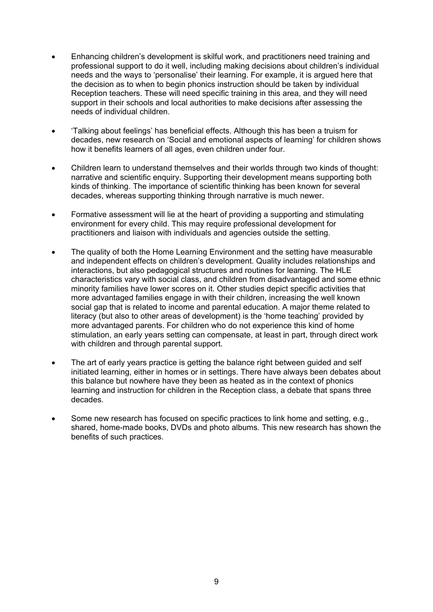- Enhancing children's development is skilful work, and practitioners need training and professional support to do it well, including making decisions about children's individual needs and the ways to 'personalise' their learning. For example, it is argued here that the decision as to when to begin phonics instruction should be taken by individual Reception teachers. These will need specific training in this area, and they will need support in their schools and local authorities to make decisions after assessing the needs of individual children.
- 'Talking about feelings' has beneficial effects. Although this has been a truism for decades, new research on 'Social and emotional aspects of learning' for children shows how it benefits learners of all ages, even children under four.
- Children learn to understand themselves and their worlds through two kinds of thought: narrative and scientific enquiry. Supporting their development means supporting both kinds of thinking. The importance of scientific thinking has been known for several decades, whereas supporting thinking through narrative is much newer.
- Formative assessment will lie at the heart of providing a supporting and stimulating environment for every child. This may require professional development for practitioners and liaison with individuals and agencies outside the setting.
- The quality of both the Home Learning Environment and the setting have measurable and independent effects on children's development. Quality includes relationships and interactions, but also pedagogical structures and routines for learning. The HLE characteristics vary with social class, and children from disadvantaged and some ethnic minority families have lower scores on it. Other studies depict specific activities that more advantaged families engage in with their children, increasing the well known social gap that is related to income and parental education. A major theme related to literacy (but also to other areas of development) is the 'home teaching' provided by more advantaged parents. For children who do not experience this kind of home stimulation, an early years setting can compensate, at least in part, through direct work with children and through parental support.
- The art of early years practice is getting the balance right between guided and self initiated learning, either in homes or in settings. There have always been debates about this balance but nowhere have they been as heated as in the context of phonics learning and instruction for children in the Reception class, a debate that spans three decades.
- Some new research has focused on specific practices to link home and setting, e.g., shared, home-made books, DVDs and photo albums. This new research has shown the benefits of such practices.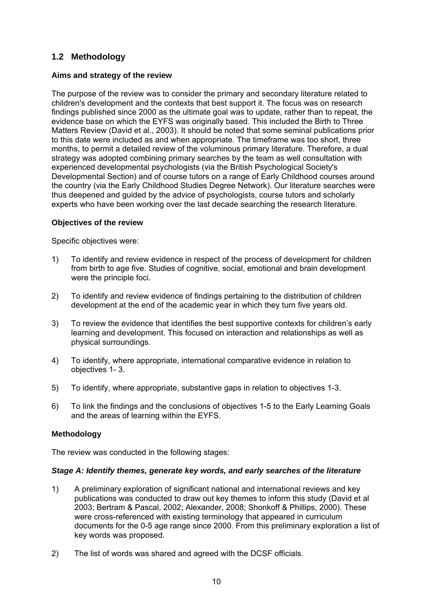### **1.2 Methodology**

### **Aims and strategy of the review**

The purpose of the review was to consider the primary and secondary literature related to children's development and the contexts that best support it. The focus was on research findings published since 2000 as the ultimate goal was to update, rather than to repeat, the evidence base on which the EYFS was originally based. This included the Birth to Three Matters Review (David et al., 2003). It should be noted that some seminal publications prior to this date were included as and when appropriate. The timeframe was too short, three months, to permit a detailed review of the voluminous primary literature. Therefore, a dual strategy was adopted combining primary searches by the team as well consultation with experienced developmental psychologists (via the British Psychological Society's Developmental Section) and of course tutors on a range of Early Childhood courses around the country (via the Early Childhood Studies Degree Network). Our literature searches were thus deepened and guided by the advice of psychologists, course tutors and scholarly experts who have been working over the last decade searching the research literature.

### **Objectives of the review**

Specific objectives were:

- 1) To identify and review evidence in respect of the process of development for children from birth to age five. Studies of cognitive, social, emotional and brain development were the principle foci.
- 2) To identify and review evidence of findings pertaining to the distribution of children development at the end of the academic year in which they turn five years old.
- 3) To review the evidence that identifies the best supportive contexts for children's early learning and development. This focused on interaction and relationships as well as physical surroundings.
- 4) To identify, where appropriate, international comparative evidence in relation to objectives 1- 3.
- 5) To identify, where appropriate, substantive gaps in relation to objectives 1-3.
- 6) To link the findings and the conclusions of objectives 1-5 to the Early Learning Goals and the areas of learning within the EYFS.

### **Methodology**

The review was conducted in the following stages:

### *Stage A: Identify themes, generate key words, and early searches of the literature*

- 1) A preliminary exploration of significant national and international reviews and key publications was conducted to draw out key themes to inform this study (David et al 2003; Bertram & Pascal, 2002; Alexander, 2008; Shonkoff & Phillips, 2000). These were cross-referenced with existing terminology that appeared in curriculum documents for the 0-5 age range since 2000. From this preliminary exploration a list of key words was proposed.
- 2) The list of words was shared and agreed with the DCSF officials.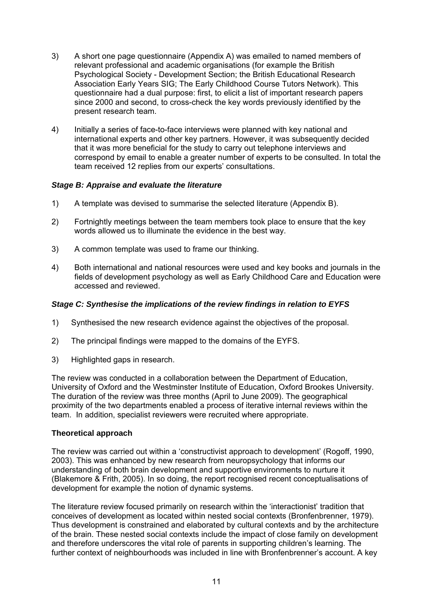- 3) A short one page questionnaire (Appendix A) was emailed to named members of relevant professional and academic organisations (for example the British Psychological Society - Development Section; the British Educational Research Association Early Years SIG; The Early Childhood Course Tutors Network). This questionnaire had a dual purpose: first, to elicit a list of important research papers since 2000 and second, to cross-check the key words previously identified by the present research team.
- 4) Initially a series of face-to-face interviews were planned with key national and international experts and other key partners. However, it was subsequently decided that it was more beneficial for the study to carry out telephone interviews and correspond by email to enable a greater number of experts to be consulted. In total the team received 12 replies from our experts' consultations.

### *Stage B: Appraise and evaluate the literature*

- 1) A template was devised to summarise the selected literature (Appendix B).
- 2) Fortnightly meetings between the team members took place to ensure that the key words allowed us to illuminate the evidence in the best way.
- 3) A common template was used to frame our thinking.
- 4) Both international and national resources were used and key books and journals in the fields of development psychology as well as Early Childhood Care and Education were accessed and reviewed.

### *Stage C: Synthesise the implications of the review findings in relation to EYFS*

- 1) Synthesised the new research evidence against the objectives of the proposal.
- 2) The principal findings were mapped to the domains of the EYFS.
- 3) Highlighted gaps in research.

The review was conducted in a collaboration between the Department of Education, University of Oxford and the Westminster Institute of Education, Oxford Brookes University. The duration of the review was three months (April to June 2009). The geographical proximity of the two departments enabled a process of iterative internal reviews within the team. In addition, specialist reviewers were recruited where appropriate.

### **Theoretical approach**

The review was carried out within a 'constructivist approach to development' (Rogoff, 1990, 2003). This was enhanced by new research from neuropsychology that informs our understanding of both brain development and supportive environments to nurture it (Blakemore & Frith, 2005). In so doing, the report recognised recent conceptualisations of development for example the notion of dynamic systems.

The literature review focused primarily on research within the 'interactionist' tradition that conceives of development as located within nested social contexts (Bronfenbrenner, 1979). Thus development is constrained and elaborated by cultural contexts and by the architecture of the brain. These nested social contexts include the impact of close family on development and therefore underscores the vital role of parents in supporting children's learning. The further context of neighbourhoods was included in line with Bronfenbrenner's account. A key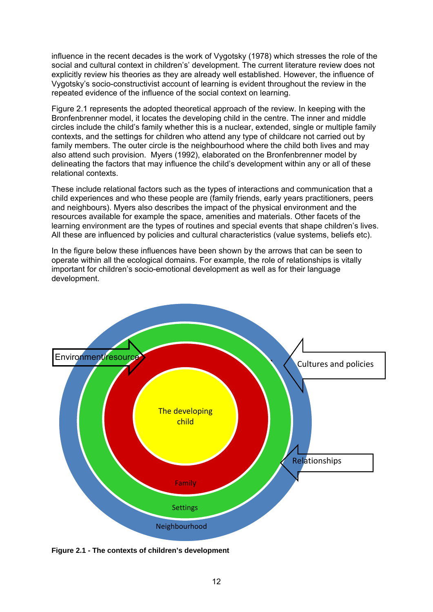influence in the recent decades is the work of Vygotsky (1978) which stresses the role of the social and cultural context in children's' development. The current literature review does not explicitly review his theories as they are already well established. However, the influence of Vygotsky's socio-constructivist account of learning is evident throughout the review in the repeated evidence of the influence of the social context on learning.

Figure 2.1 represents the adopted theoretical approach of the review. In keeping with the Bronfenbrenner model, it locates the developing child in the centre. The inner and middle circles include the child's family whether this is a nuclear, extended, single or multiple family contexts, and the settings for children who attend any type of childcare not carried out by family members. The outer circle is the neighbourhood where the child both lives and may also attend such provision. Myers (1992), elaborated on the Bronfenbrenner model by delineating the factors that may influence the child's development within any or all of these relational contexts.

These include relational factors such as the types of interactions and communication that a child experiences and who these people are (family friends, early years practitioners, peers and neighbours). Myers also describes the impact of the physical environment and the resources available for example the space, amenities and materials. Other facets of the learning environment are the types of routines and special events that shape children's lives. All these are influenced by policies and cultural characteristics (value systems, beliefs etc).

In the figure below these influences have been shown by the arrows that can be seen to operate within all the ecological domains. For example, the role of relationships is vitally important for children's socio-emotional development as well as for their language development.



**Figure 2.1 - The contexts of children's development**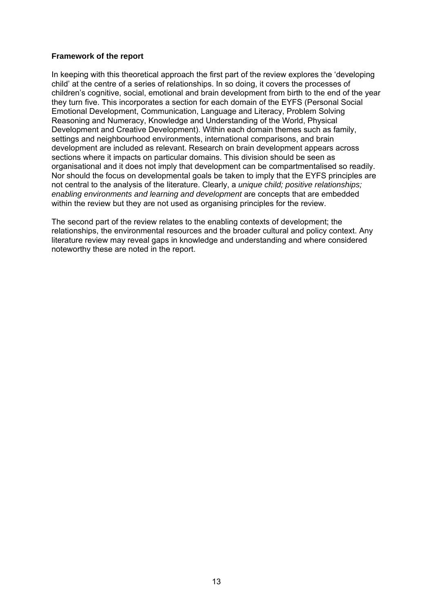### **Framework of the report**

In keeping with this theoretical approach the first part of the review explores the 'developing child' at the centre of a series of relationships. In so doing, it covers the processes of children's cognitive, social, emotional and brain development from birth to the end of the year they turn five. This incorporates a section for each domain of the EYFS (Personal Social Emotional Development, Communication, Language and Literacy, Problem Solving Reasoning and Numeracy, Knowledge and Understanding of the World, Physical Development and Creative Development). Within each domain themes such as family, settings and neighbourhood environments, international comparisons, and brain development are included as relevant. Research on brain development appears across sections where it impacts on particular domains. This division should be seen as organisational and it does not imply that development can be compartmentalised so readily. Nor should the focus on developmental goals be taken to imply that the EYFS principles are not central to the analysis of the literature. Clearly, a *unique child; positive relationships; enabling environments and learning and development* are concepts that are embedded within the review but they are not used as organising principles for the review.

The second part of the review relates to the enabling contexts of development; the relationships, the environmental resources and the broader cultural and policy context. Any literature review may reveal gaps in knowledge and understanding and where considered noteworthy these are noted in the report.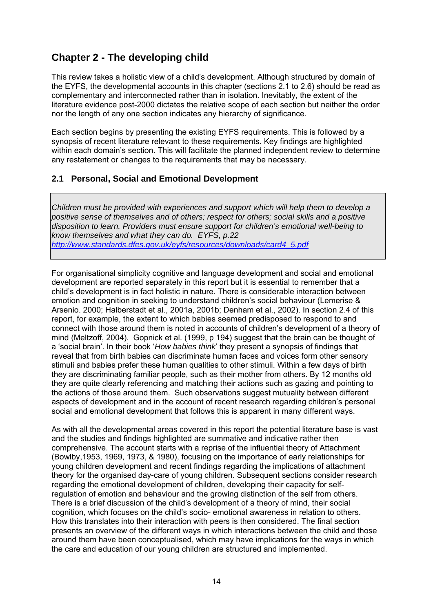### **Chapter 2 - The developing child**

This review takes a holistic view of a child's development. Although structured by domain of the EYFS, the developmental accounts in this chapter (sections 2.1 to 2.6) should be read as complementary and interconnected rather than in isolation. Inevitably, the extent of the literature evidence post-2000 dictates the relative scope of each section but neither the order nor the length of any one section indicates any hierarchy of significance.

Each section begins by presenting the existing EYFS requirements. This is followed by a synopsis of recent literature relevant to these requirements. Key findings are highlighted within each domain's section. This will facilitate the planned independent review to determine any restatement or changes to the requirements that may be necessary.

### **2.1 Personal, Social and Emotional Development**

*Children must be provided with experiences and support which will help them to develop a positive sense of themselves and of others; respect for others; social skills and a positive disposition to learn. Providers must ensure support for children's emotional well-being to know themselves and what they can do. EYFS, p.22 [http://www.standards.dfes.gov.uk/eyfs/resources/downloads/card4\\_5.pdf](http://www.standards.dfes.gov.uk/eyfs/resources/downloads/card4_5.pdf)* 

For organisational simplicity cognitive and language development and social and emotional development are reported separately in this report but it is essential to remember that a child's development is in fact holistic in nature. There is considerable interaction between emotion and cognition in seeking to understand children's social behaviour (Lemerise & Arsenio. 2000; Halberstadt et al., 2001a, 2001b; Denham et al., 2002). In section 2.4 of this report, for example, the extent to which babies seemed predisposed to respond to and connect with those around them is noted in accounts of children's development of a theory of mind (Meltzoff, 2004). Gopnick et al. (1999, p 194) suggest that the brain can be thought of a 'social brain'. In their book '*How babies think*' they present a synopsis of findings that reveal that from birth babies can discriminate human faces and voices form other sensory stimuli and babies prefer these human qualities to other stimuli. Within a few days of birth they are discriminating familiar people, such as their mother from others. By 12 months old they are quite clearly referencing and matching their actions such as gazing and pointing to the actions of those around them. Such observations suggest mutuality between different aspects of development and in the account of recent research regarding children's personal social and emotional development that follows this is apparent in many different ways.

As with all the developmental areas covered in this report the potential literature base is vast and the studies and findings highlighted are summative and indicative rather then comprehensive. The account starts with a reprise of the influential theory of Attachment (Bowlby,1953, 1969, 1973, & 1980), focusing on the importance of early relationships for young children development and recent findings regarding the implications of attachment theory for the organised day-care of young children. Subsequent sections consider research regarding the emotional development of children, developing their capacity for selfregulation of emotion and behaviour and the growing distinction of the self from others. There is a brief discussion of the child's development of a theory of mind, their social cognition, which focuses on the child's socio- emotional awareness in relation to others. How this translates into their interaction with peers is then considered. The final section presents an overview of the different ways in which interactions between the child and those around them have been conceptualised, which may have implications for the ways in which the care and education of our young children are structured and implemented.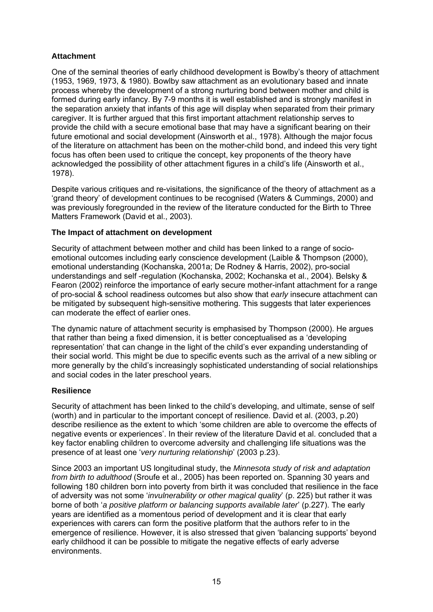### **Attachment**

One of the seminal theories of early childhood development is Bowlby's theory of attachment (1953, 1969, 1973, & 1980). Bowlby saw attachment as an evolutionary based and innate process whereby the development of a strong nurturing bond between mother and child is formed during early infancy. By 7-9 months it is well established and is strongly manifest in the separation anxiety that infants of this age will display when separated from their primary caregiver. It is further argued that this first important attachment relationship serves to provide the child with a secure emotional base that may have a significant bearing on their future emotional and social development (Ainsworth et al., 1978). Although the major focus of the literature on attachment has been on the mother-child bond, and indeed this very tight focus has often been used to critique the concept, key proponents of the theory have acknowledged the possibility of other attachment figures in a child's life (Ainsworth et al., 1978).

Despite various critiques and re-visitations, the significance of the theory of attachment as a 'grand theory' of development continues to be recognised (Waters & Cummings, 2000) and was previously foregrounded in the review of the literature conducted for the Birth to Three Matters Framework (David et al., 2003).

### **The Impact of attachment on development**

Security of attachment between mother and child has been linked to a range of socioemotional outcomes including early conscience development (Laible & Thompson (2000), emotional understanding (Kochanska, 2001a; De Rodney & Harris, 2002), pro-social understandings and self -regulation (Kochanska, 2002; Kochanska et al., 2004). Belsky & Fearon (2002) reinforce the importance of early secure mother-infant attachment for a range of pro-social & school readiness outcomes but also show that *early* insecure attachment can be mitigated by subsequent high-sensitive mothering. This suggests that later experiences can moderate the effect of earlier ones.

The dynamic nature of attachment security is emphasised by Thompson (2000). He argues that rather than being a fixed dimension, it is better conceptualised as a 'developing representation' that can change in the light of the child's ever expanding understanding of their social world. This might be due to specific events such as the arrival of a new sibling or more generally by the child's increasingly sophisticated understanding of social relationships and social codes in the later preschool years.

### **Resilience**

Security of attachment has been linked to the child's developing, and ultimate, sense of self (worth) and in particular to the important concept of resilience. David et al. (2003, p.20) describe resilience as the extent to which 'some children are able to overcome the effects of negative events or experiences'. In their review of the literature David et al. concluded that a key factor enabling children to overcome adversity and challenging life situations was the presence of at least one '*very nurturing relationship*' (2003 p.23).

Since 2003 an important US longitudinal study, the *Minnesota study of risk and adaptation from birth to adulthood* (Sroufe et al., 2005) has been reported on. Spanning 30 years and following 180 children born into poverty from birth it was concluded that resilience in the face of adversity was not some '*invulnerability or other magical quality*' (p. 225) but rather it was borne of both '*a positive platform or balancing supports available later*' (p.227). The early years are identified as a momentous period of development and it is clear that early experiences with carers can form the positive platform that the authors refer to in the emergence of resilience. However, it is also stressed that given 'balancing supports' beyond early childhood it can be possible to mitigate the negative effects of early adverse environments.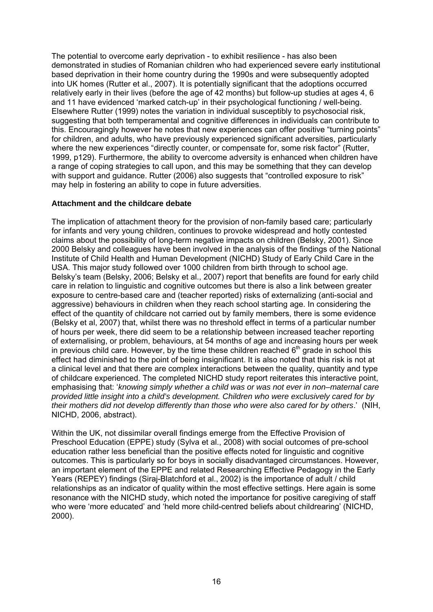The potential to overcome early deprivation - to exhibit resilience - has also been demonstrated in studies of Romanian children who had experienced severe early institutional based deprivation in their home country during the 1990s and were subsequently adopted into UK homes (Rutter et al., 2007). It is potentially significant that the adoptions occurred relatively early in their lives (before the age of 42 months) but follow-up studies at ages 4, 6 and 11 have evidenced 'marked catch-up' in their psychological functioning / well-being. Elsewhere Rutter (1999) notes the variation in individual susceptibly to psychosocial risk, suggesting that both temperamental and cognitive differences in individuals can contribute to this. Encouragingly however he notes that new experiences can offer positive "turning points" for children, and adults, who have previously experienced significant adversities, particularly where the new experiences "directly counter, or compensate for, some risk factor" (Rutter, 1999, p129). Furthermore, the ability to overcome adversity is enhanced when children have a range of coping strategies to call upon, and this may be something that they can develop with support and guidance. Rutter (2006) also suggests that "controlled exposure to risk" may help in fostering an ability to cope in future adversities.

### **Attachment and the childcare debate**

The implication of attachment theory for the provision of non-family based care; particularly for infants and very young children, continues to provoke widespread and hotly contested claims about the possibility of long-term negative impacts on children (Belsky, 2001). Since 2000 Belsky and colleagues have been involved in the analysis of the findings of the National Institute of Child Health and Human Development (NICHD) Study of Early Child Care in the USA. This major study followed over 1000 children from birth through to school age. Belsky's team (Belsky, 2006; Belsky et al., 2007) report that benefits are found for early child care in relation to linguistic and cognitive outcomes but there is also a link between greater exposure to centre-based care and (teacher reported) risks of externalizing (anti-social and aggressive) behaviours in children when they reach school starting age. In considering the effect of the quantity of childcare not carried out by family members, there is some evidence (Belsky et al, 2007) that, whilst there was no threshold effect in terms of a particular number of hours per week, there did seem to be a relationship between increased teacher reporting of externalising, or problem, behaviours, at 54 months of age and increasing hours per week in previous child care. However, by the time these children reached  $6<sup>th</sup>$  grade in school this effect had diminished to the point of being insignificant. It is also noted that this risk is not at a clinical level and that there are complex interactions between the quality, quantity and type of childcare experienced. The completed NICHD study report reiterates this interactive point, emphasising that: '*knowing simply whether a child was or was not ever in non–maternal care provided little insight into a child's development. Children who were exclusively cared for by their mothers did not develop differently than those who were also cared for by others*.' (NIH, NICHD, 2006, abstract).

Within the UK, not dissimilar overall findings emerge from the Effective Provision of Preschool Education (EPPE) study (Sylva et al., 2008) with social outcomes of pre-school education rather less beneficial than the positive effects noted for linguistic and cognitive outcomes. This is particularly so for boys in socially disadvantaged circumstances. However, an important element of the EPPE and related Researching Effective Pedagogy in the Early Years (REPEY) findings (Siraj-Blatchford et al., 2002) is the importance of adult / child relationships as an indicator of quality within the most effective settings. Here again is some resonance with the NICHD study, which noted the importance for positive caregiving of staff who were 'more educated' and 'held more child-centred beliefs about childrearing' (NICHD, 2000).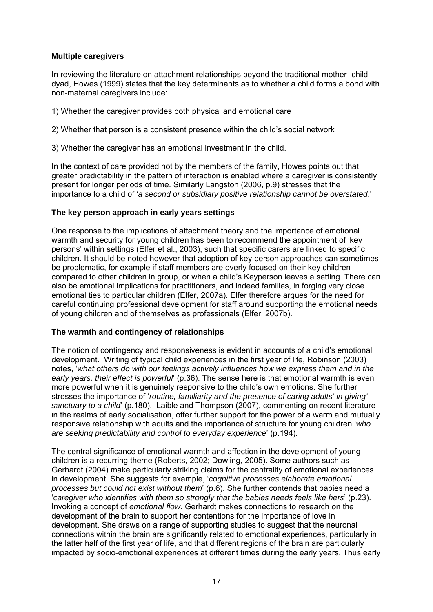### **Multiple caregivers**

In reviewing the literature on attachment relationships beyond the traditional mother- child dyad, Howes (1999) states that the key determinants as to whether a child forms a bond with non-maternal caregivers include:

1) Whether the caregiver provides both physical and emotional care

2) Whether that person is a consistent presence within the child's social network

3) Whether the caregiver has an emotional investment in the child.

In the context of care provided not by the members of the family, Howes points out that greater predictability in the pattern of interaction is enabled where a caregiver is consistently present for longer periods of time. Similarly Langston (2006, p.9) stresses that the importance to a child of '*a second or subsidiary positive relationship cannot be overstated*.'

### **The key person approach in early years settings**

One response to the implications of attachment theory and the importance of emotional warmth and security for young children has been to recommend the appointment of 'key persons' within settings (Elfer et al., 2003), such that specific carers are linked to specific children. It should be noted however that adoption of key person approaches can sometimes be problematic, for example if staff members are overly focused on their key children compared to other children in group, or when a child's Keyperson leaves a setting. There can also be emotional implications for practitioners, and indeed families, in forging very close emotional ties to particular children (Elfer, 2007a). Elfer therefore argues for the need for careful continuing professional development for staff around supporting the emotional needs of young children and of themselves as professionals (Elfer, 2007b).

### **The warmth and contingency of relationships**

The notion of contingency and responsiveness is evident in accounts of a child's emotional development. Writing of typical child experiences in the first year of life, Robinson (2003) notes, '*what others do with our feelings actively influences how we express them and in the early years, their effect is powerful*' (p.36). The sense here is that emotional warmth is even more powerful when it is genuinely responsive to the child's own emotions. She further stresses the importance of '*routine, familiarity and the presence of caring adults' in giving' sanctuary to a child*' (p.180). Laible and Thompson (2007), commenting on recent literature in the realms of early socialisation, offer further support for the power of a warm and mutually responsive relationship with adults and the importance of structure for young children '*who are seeking predictability and control to everyday experience*' (p.194).

The central significance of emotional warmth and affection in the development of young children is a recurring theme (Roberts, 2002; Dowling, 2005). Some authors such as Gerhardt (2004) make particularly striking claims for the centrality of emotional experiences in development. She suggests for example, '*cognitive processes elaborate emotional processes but could not exist without them*' (p.6). She further contends that babies need a '*caregiver who identifies with them so strongly that the babies needs feels like hers*' (p.23). Invoking a concept of *emotional flow*. Gerhardt makes connections to research on the development of the brain to support her contentions for the importance of love in development. She draws on a range of supporting studies to suggest that the neuronal connections within the brain are significantly related to emotional experiences, particularly in the latter half of the first year of life, and that different regions of the brain are particularly impacted by socio-emotional experiences at different times during the early years. Thus early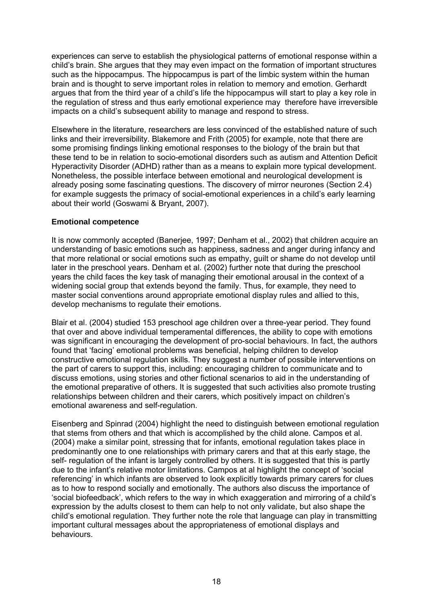experiences can serve to establish the physiological patterns of emotional response within a child's brain. She argues that they may even impact on the formation of important structures such as the hippocampus. The hippocampus is part of the limbic system within the human brain and is thought to serve important roles in relation to memory and emotion. Gerhardt argues that from the third year of a child's life the hippocampus will start to play a key role in the regulation of stress and thus early emotional experience may therefore have irreversible impacts on a child's subsequent ability to manage and respond to stress.

Elsewhere in the literature, researchers are less convinced of the established nature of such links and their irreversibility. Blakemore and Frith (2005) for example, note that there are some promising findings linking emotional responses to the biology of the brain but that these tend to be in relation to socio-emotional disorders such as autism and Attention Deficit Hyperactivity Disorder (ADHD) rather than as a means to explain more typical development. Nonetheless, the possible interface between emotional and neurological development is already posing some fascinating questions. The discovery of mirror neurones (Section 2.4) for example suggests the primacy of social-emotional experiences in a child's early learning about their world (Goswami & Bryant, 2007).

### **Emotional competence**

It is now commonly accepted (Banerjee, 1997; Denham et al., 2002) that children acquire an understanding of basic emotions such as happiness, sadness and anger during infancy and that more relational or social emotions such as empathy, guilt or shame do not develop until later in the preschool years. Denham et al. (2002) further note that during the preschool years the child faces the key task of managing their emotional arousal in the context of a widening social group that extends beyond the family. Thus, for example, they need to master social conventions around appropriate emotional display rules and allied to this, develop mechanisms to regulate their emotions.

Blair et al. (2004) studied 153 preschool age children over a three-year period. They found that over and above individual temperamental differences, the ability to cope with emotions was significant in encouraging the development of pro-social behaviours. In fact, the authors found that 'facing' emotional problems was beneficial, helping children to develop constructive emotional regulation skills. They suggest a number of possible interventions on the part of carers to support this, including: encouraging children to communicate and to discuss emotions, using stories and other fictional scenarios to aid in the understanding of the emotional preparative of others. It is suggested that such activities also promote trusting relationships between children and their carers, which positively impact on children's emotional awareness and self-regulation.

Eisenberg and Spinrad (2004) highlight the need to distinguish between emotional regulation that stems from others and that which is accomplished by the child alone. Campos et al. (2004) make a similar point, stressing that for infants, emotional regulation takes place in predominantly one to one relationships with primary carers and that at this early stage, the self- regulation of the infant is largely controlled by others. It is suggested that this is partly due to the infant's relative motor limitations. Campos at al highlight the concept of 'social referencing' in which infants are observed to look explicitly towards primary carers for clues as to how to respond socially and emotionally. The authors also discuss the importance of 'social biofeedback', which refers to the way in which exaggeration and mirroring of a child's expression by the adults closest to them can help to not only validate, but also shape the child's emotional regulation. They further note the role that language can play in transmitting important cultural messages about the appropriateness of emotional displays and behaviours.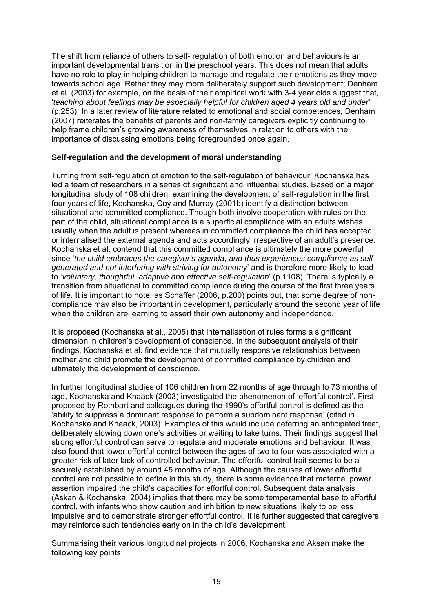The shift from reliance of others to self- regulation of both emotion and behaviours is an important developmental transition in the preschool years. This does not mean that adults have no role to play in helping children to manage and regulate their emotions as they move towards school age. Rather they may more deliberately support such development; Denham et al. (2003) for example, on the basis of their empirical work with 3-4 year olds suggest that, '*teaching about feelings may be especially helpful for children aged 4 years old and under*' (p.253). In a later review of literature related to emotional and social competences, Denham (2007) reiterates the benefits of parents and non-family caregivers explicitly continuing to help frame children's growing awareness of themselves in relation to others with the importance of discussing emotions being foregrounded once again.

### **Self-regulation and the development of moral understanding**

Turning from self-regulation of emotion to the self-regulation of behaviour, Kochanska has led a team of researchers in a series of significant and influential studies. Based on a major longitudinal study of 108 children, examining the development of self-regulation in the first four years of life, Kochanska, Coy and Murray (2001b) identify a distinction between situational and committed compliance. Though both involve cooperation with rules on the part of the child, situational compliance is a superficial compliance with an adults wishes usually when the adult is present whereas in committed compliance the child has accepted or internalised the external agenda and acts accordingly irrespective of an adult's presence. Kochanska et al. contend that this committed compliance is ultimately the more powerful since '*the child embraces the caregiver's agenda, and thus experiences compliance as selfgenerated and not interfering with striving for autonomy*' and is therefore more likely to lead to '*voluntary, thoughtful adaptive and effective self-regulation*' (p.1108). There is typically a transition from situational to committed compliance during the course of the first three years of life. It is important to note, as Schaffer (2006, p.200) points out, that some degree of noncompliance may also be important in development, particularly around the second year of life when the children are learning to assert their own autonomy and independence.

It is proposed (Kochanska et al., 2005) that internalisation of rules forms a significant dimension in children's development of conscience. In the subsequent analysis of their findings, Kochanska et al. find evidence that mutually responsive relationships between mother and child promote the development of committed compliance by children and ultimately the development of conscience.

In further longitudinal studies of 106 children from 22 months of age through to 73 months of age, Kochanska and Knaack (2003) investigated the phenomenon of 'effortful control'. First proposed by Rothbart and colleagues during the 1990's effortful control is defined as the 'ability to suppress a dominant response to perform a subdominant response' (cited in Kochanska and Knaack, 2003). Examples of this would include deferring an anticipated treat, deliberately slowing down one's activities or waiting to take turns. Their findings suggest that strong effortful control can serve to regulate and moderate emotions and behaviour. It was also found that lower effortful control between the ages of two to four was associated with a greater risk of later lack of controlled behaviour. The effortful control trait seems to be a securely established by around 45 months of age. Although the causes of lower effortful control are not possible to define in this study, there is some evidence that maternal power assertion impaired the child's capacities for effortful control. Subsequent data analysis (Askan & Kochanska, 2004) implies that there may be some temperamental base to effortful control, with infants who show caution and inhibition to new situations likely to be less impulsive and to demonstrate stronger effortful control. It is further suggested that caregivers may reinforce such tendencies early on in the child's development.

Summarising their various longitudinal projects in 2006, Kochanska and Aksan make the following key points: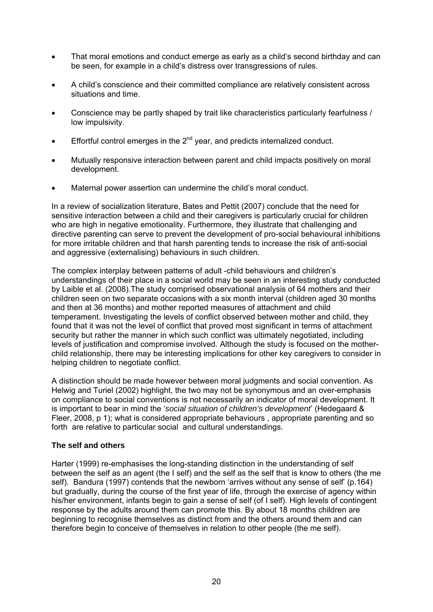- That moral emotions and conduct emerge as early as a child's second birthday and can be seen, for example in a child's distress over transgressions of rules.
- A child's conscience and their committed compliance are relatively consistent across situations and time.
- Conscience may be partly shaped by trait like characteristics particularly fearfulness / low impulsivity.
- **•** Effortful control emerges in the  $2^{nd}$  year, and predicts internalized conduct.
- Mutually responsive interaction between parent and child impacts positively on moral development.
- Maternal power assertion can undermine the child's moral conduct.

In a review of socialization literature, Bates and Pettit (2007) conclude that the need for sensitive interaction between a child and their caregivers is particularly crucial for children who are high in negative emotionality. Furthermore, they illustrate that challenging and directive parenting can serve to prevent the development of pro-social behavioural inhibitions for more irritable children and that harsh parenting tends to increase the risk of anti-social and aggressive (externalising) behaviours in such children.

The complex interplay between patterns of adult -child behaviours and children's understandings of their place in a social world may be seen in an interesting study conducted by Laible et al. (2008).The study comprised observational analysis of 64 mothers and their children seen on two separate occasions with a six month interval (children aged 30 months and then at 36 months) and mother reported measures of attachment and child temperament. Investigating the levels of conflict observed between mother and child, they found that it was not the level of conflict that proved most significant in terms of attachment security but rather the manner in which such conflict was ultimately negotiated, including levels of justification and compromise involved. Although the study is focused on the motherchild relationship, there may be interesting implications for other key caregivers to consider in helping children to negotiate conflict.

A distinction should be made however between moral judgments and social convention. As Helwig and Turiel (2002) highlight, the two may not be synonymous and an over-emphasis on compliance to social conventions is not necessarily an indicator of moral development. It is important to bear in mind the '*social situation of children's development*' (Hedegaard & Fleer, 2008, p 1); what is considered appropriate behaviours , appropriate parenting and so forth are relative to particular social and cultural understandings.

### **The self and others**

Harter (1999) re-emphasises the long-standing distinction in the understanding of self between the self as an agent (the I self) and the self as the self that is know to others (the me self). Bandura (1997) contends that the newborn 'arrives without any sense of self' (p.164) but gradually, during the course of the first year of life, through the exercise of agency within his/her environment, infants begin to gain a sense of self (of I self). High levels of contingent response by the adults around them can promote this. By about 18 months children are beginning to recognise themselves as distinct from and the others around them and can therefore begin to conceive of themselves in relation to other people (the me self).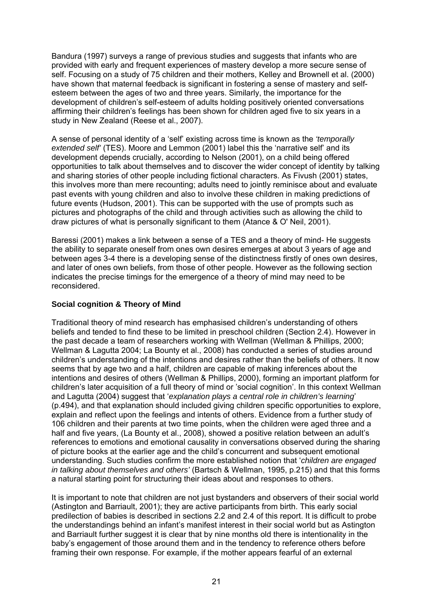Bandura (1997) surveys a range of previous studies and suggests that infants who are provided with early and frequent experiences of mastery develop a more secure sense of self. Focusing on a study of 75 children and their mothers, Kelley and Brownell et al. (2000) have shown that maternal feedback is significant in fostering a sense of mastery and selfesteem between the ages of two and three years. Similarly, the importance for the development of children's self-esteem of adults holding positively oriented conversations affirming their children's feelings has been shown for children aged five to six years in a study in New Zealand (Reese et al., 2007).

A sense of personal identity of a 'self' existing across time is known as the *'temporally extended self'* (TES). Moore and Lemmon (2001) label this the 'narrative self' and its development depends crucially, according to Nelson (2001), on a child being offered opportunities to talk about themselves and to discover the wider concept of identity by talking and sharing stories of other people including fictional characters. As Fivush (2001) states, this involves more than mere recounting; adults need to jointly reminisce about and evaluate past events with young children and also to involve these children in making predictions of future events (Hudson, 2001). This can be supported with the use of prompts such as pictures and photographs of the child and through activities such as allowing the child to draw pictures of what is personally significant to them (Atance & O' Neil, 2001).

Baressi (2001) makes a link between a sense of a TES and a theory of mind- He suggests the ability to separate oneself from ones own desires emerges at about 3 years of age and between ages 3-4 there is a developing sense of the distinctness firstly of ones own desires, and later of ones own beliefs, from those of other people. However as the following section indicates the precise timings for the emergence of a theory of mind may need to be reconsidered.

### **Social cognition & Theory of Mind**

Traditional theory of mind research has emphasised children's understanding of others beliefs and tended to find these to be limited in preschool children (Section 2.4). However in the past decade a team of researchers working with Wellman (Wellman & Phillips, 2000; Wellman & Lagutta 2004; La Bounty et al., 2008) has conducted a series of studies around children's understanding of the intentions and desires rather than the beliefs of others. It now seems that by age two and a half, children are capable of making inferences about the intentions and desires of others (Wellman & Phillips, 2000), forming an important platform for children's later acquisition of a full theory of mind or 'social cognition'. In this context Wellman and Lagutta (2004) suggest that '*explanation plays a central role in children's learning*' (p.494), and that explanation should included giving children specific opportunities to explore, explain and reflect upon the feelings and intents of others. Evidence from a further study of 106 children and their parents at two time points, when the children were aged three and a half and five years, (La Bounty et al., 2008), showed a positive relation between an adult's references to emotions and emotional causality in conversations observed during the sharing of picture books at the earlier age and the child's concurrent and subsequent emotional understanding. Such studies confirm the more established notion that '*children are engaged in talking about themselves and others'* (Bartsch & Wellman, 1995, p.215) and that this forms a natural starting point for structuring their ideas about and responses to others.

It is important to note that children are not just bystanders and observers of their social world (Astington and Barriault, 2001); they are active participants from birth. This early social predilection of babies is described in sections 2.2 and 2.4 of this report. It is difficult to probe the understandings behind an infant's manifest interest in their social world but as Astington and Barriault further suggest it is clear that by nine months old there is intentionality in the baby's engagement of those around them and in the tendency to reference others before framing their own response. For example, if the mother appears fearful of an external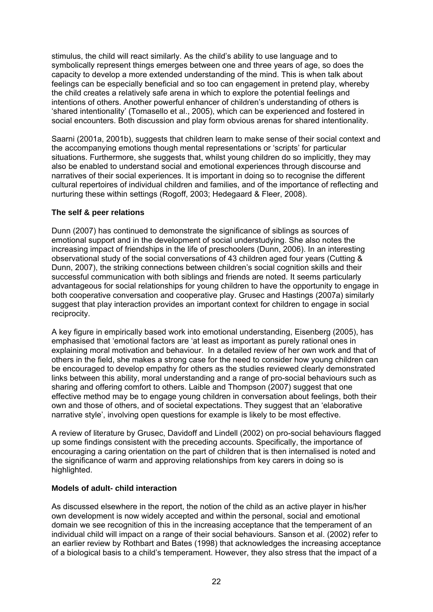stimulus, the child will react similarly. As the child's ability to use language and to symbolically represent things emerges between one and three years of age, so does the capacity to develop a more extended understanding of the mind. This is when talk about feelings can be especially beneficial and so too can engagement in pretend play, whereby the child creates a relatively safe arena in which to explore the potential feelings and intentions of others. Another powerful enhancer of children's understanding of others is 'shared intentionality' (Tomasello et al., 2005), which can be experienced and fostered in social encounters. Both discussion and play form obvious arenas for shared intentionality.

Saarni (2001a, 2001b), suggests that children learn to make sense of their social context and the accompanying emotions though mental representations or 'scripts' for particular situations. Furthermore, she suggests that, whilst young children do so implicitly, they may also be enabled to understand social and emotional experiences through discourse and narratives of their social experiences. It is important in doing so to recognise the different cultural repertoires of individual children and families, and of the importance of reflecting and nurturing these within settings (Rogoff, 2003; Hedegaard & Fleer, 2008).

### **The self & peer relations**

Dunn (2007) has continued to demonstrate the significance of siblings as sources of emotional support and in the development of social understudying. She also notes the increasing impact of friendships in the life of preschoolers (Dunn, 2006). In an interesting observational study of the social conversations of 43 children aged four years (Cutting & Dunn, 2007), the striking connections between children's social cognition skills and their successful communication with both siblings and friends are noted. It seems particularly advantageous for social relationships for young children to have the opportunity to engage in both cooperative conversation and cooperative play. Grusec and Hastings (2007a) similarly suggest that play interaction provides an important context for children to engage in social reciprocity.

A key figure in empirically based work into emotional understanding, Eisenberg (2005), has emphasised that 'emotional factors are 'at least as important as purely rational ones in explaining moral motivation and behaviour. In a detailed review of her own work and that of others in the field, she makes a strong case for the need to consider how young children can be encouraged to develop empathy for others as the studies reviewed clearly demonstrated links between this ability, moral understanding and a range of pro-social behaviours such as sharing and offering comfort to others. Laible and Thompson (2007) suggest that one effective method may be to engage young children in conversation about feelings, both their own and those of others, and of societal expectations. They suggest that an 'elaborative narrative style', involving open questions for example is likely to be most effective.

A review of literature by Grusec, Davidoff and Lindell (2002) on pro-social behaviours flagged up some findings consistent with the preceding accounts. Specifically, the importance of encouraging a caring orientation on the part of children that is then internalised is noted and the significance of warm and approving relationships from key carers in doing so is highlighted.

### **Models of adult- child interaction**

As discussed elsewhere in the report, the notion of the child as an active player in his/her own development is now widely accepted and within the personal, social and emotional domain we see recognition of this in the increasing acceptance that the temperament of an individual child will impact on a range of their social behaviours. Sanson et al. (2002) refer to an earlier review by Rothbart and Bates (1998) that acknowledges the increasing acceptance of a biological basis to a child's temperament. However, they also stress that the impact of a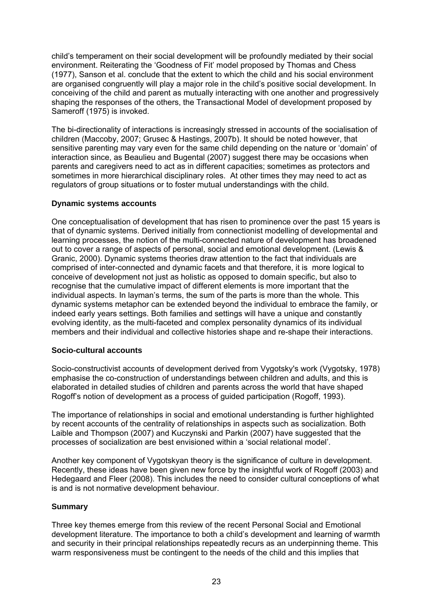child's temperament on their social development will be profoundly mediated by their social environment. Reiterating the 'Goodness of Fit' model proposed by Thomas and Chess (1977), Sanson et al. conclude that the extent to which the child and his social environment are organised congruently will play a major role in the child's positive social development. In conceiving of the child and parent as mutually interacting with one another and progressively shaping the responses of the others, the Transactional Model of development proposed by Sameroff (1975) is invoked.

The bi-directionality of interactions is increasingly stressed in accounts of the socialisation of children (Maccoby, 2007; Grusec & Hastings, 2007b). It should be noted however, that sensitive parenting may vary even for the same child depending on the nature or 'domain' of interaction since, as Beaulieu and Bugental (2007) suggest there may be occasions when parents and caregivers need to act as in different capacities; sometimes as protectors and sometimes in more hierarchical disciplinary roles. At other times they may need to act as regulators of group situations or to foster mutual understandings with the child.

### **Dynamic systems accounts**

One conceptualisation of development that has risen to prominence over the past 15 years is that of dynamic systems. Derived initially from connectionist modelling of developmental and learning processes, the notion of the multi-connected nature of development has broadened out to cover a range of aspects of personal, social and emotional development. (Lewis & Granic, 2000). Dynamic systems theories draw attention to the fact that individuals are comprised of inter-connected and dynamic facets and that therefore, it is more logical to conceive of development not just as holistic as opposed to domain specific, but also to recognise that the cumulative impact of different elements is more important that the individual aspects. In layman's terms, the sum of the parts is more than the whole. This dynamic systems metaphor can be extended beyond the individual to embrace the family, or indeed early years settings. Both families and settings will have a unique and constantly evolving identity, as the multi-faceted and complex personality dynamics of its individual members and their individual and collective histories shape and re-shape their interactions.

### **Socio-cultural accounts**

Socio-constructivist accounts of development derived from Vygotsky's work (Vygotsky, 1978) emphasise the co-construction of understandings between children and adults, and this is elaborated in detailed studies of children and parents across the world that have shaped Rogoff's notion of development as a process of guided participation (Rogoff, 1993).

The importance of relationships in social and emotional understanding is further highlighted by recent accounts of the centrality of relationships in aspects such as socialization. Both Laible and Thompson (2007) and Kuczynski and Parkin (2007) have suggested that the processes of socialization are best envisioned within a 'social relational model'.

Another key component of Vygotskyan theory is the significance of culture in development. Recently, these ideas have been given new force by the insightful work of Rogoff (2003) and Hedegaard and Fleer (2008). This includes the need to consider cultural conceptions of what is and is not normative development behaviour.

### **Summary**

Three key themes emerge from this review of the recent Personal Social and Emotional development literature. The importance to both a child's development and learning of warmth and security in their principal relationships repeatedly recurs as an underpinning theme. This warm responsiveness must be contingent to the needs of the child and this implies that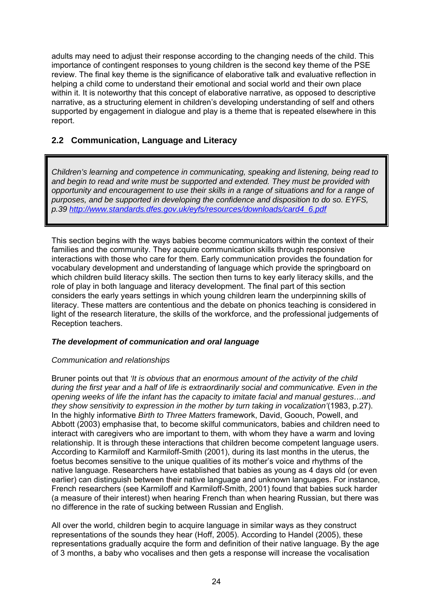adults may need to adjust their response according to the changing needs of the child. This importance of contingent responses to young children is the second key theme of the PSE review. The final key theme is the significance of elaborative talk and evaluative reflection in helping a child come to understand their emotional and social world and their own place within it. It is noteworthy that this concept of elaborative narrative, as opposed to descriptive narrative, as a structuring element in children's developing understanding of self and others supported by engagement in dialogue and play is a theme that is repeated elsewhere in this report.

### **2.2 Communication, Language and Literacy**

*Children's learning and competence in communicating, speaking and listening, being read to and begin to read and write must be supported and extended. They must be provided with opportunity and encouragement to use their skills in a range of situations and for a range of purposes, and be supported in developing the confidence and disposition to do so. EYFS, p.39 [http://www.standards.dfes.gov.uk/eyfs/resources/downloads/card4\\_6.pdf](http://www.standards.dfes.gov.uk/eyfs/resources/downloads/card4_6.pdf)*

This section begins with the ways babies become communicators within the context of their families and the community. They acquire communication skills through responsive interactions with those who care for them. Early communication provides the foundation for vocabulary development and understanding of language which provide the springboard on which children build literacy skills. The section then turns to key early literacy skills, and the role of play in both language and literacy development. The final part of this section considers the early years settings in which young children learn the underpinning skills of literacy. These matters are contentious and the debate on phonics teaching is considered in light of the research literature, the skills of the workforce, and the professional judgements of Reception teachers.

### *The development of communication and oral language*

### *Communication and relationships*

Bruner points out that *'It is obvious that an enormous amount of the activity of the child during the first year and a half of life is extraordinarily social and communicative. Even in the opening weeks of life the infant has the capacity to imitate facial and manual gestures…and they show sensitivity to expression in the mother by turn taking in vocalization'*(1983, p.27). In the highly informative *Birth to Three Matters* framework, David, Goouch, Powell, and Abbott (2003) emphasise that, to become skilful communicators, babies and children need to interact with caregivers who are important to them, with whom they have a warm and loving relationship. It is through these interactions that children become competent language users. According to Karmiloff and Karmiloff-Smith (2001), during its last months in the uterus, the foetus becomes sensitive to the unique qualities of its mother's voice and rhythms of the native language. Researchers have established that babies as young as 4 days old (or even earlier) can distinguish between their native language and unknown languages. For instance, French researchers (see Karmiloff and Karmiloff-Smith, 2001) found that babies suck harder (a measure of their interest) when hearing French than when hearing Russian, but there was no difference in the rate of sucking between Russian and English.

All over the world, children begin to acquire language in similar ways as they construct representations of the sounds they hear (Hoff, 2005). According to Handel (2005), these representations gradually acquire the form and definition of their native language. By the age of 3 months, a baby who vocalises and then gets a response will increase the vocalisation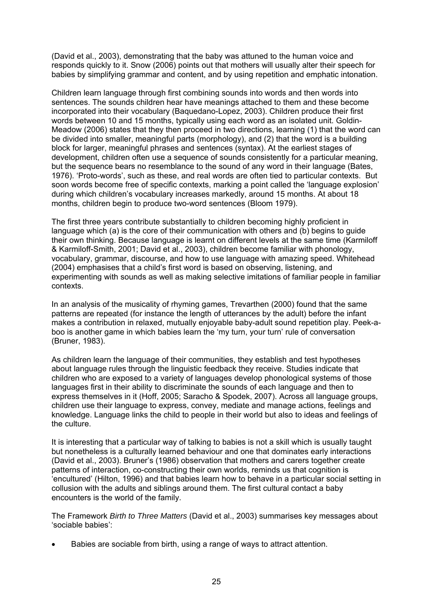(David et al., 2003), demonstrating that the baby was attuned to the human voice and responds quickly to it. Snow (2006) points out that mothers will usually alter their speech for babies by simplifying grammar and content, and by using repetition and emphatic intonation.

Children learn language through first combining sounds into words and then words into sentences. The sounds children hear have meanings attached to them and these become incorporated into their vocabulary (Baquedano-Lopez, 2003). Children produce their first words between 10 and 15 months, typically using each word as an isolated unit. Goldin-Meadow (2006) states that they then proceed in two directions, learning (1) that the word can be divided into smaller, meaningful parts (morphology), and (2) that the word is a building block for larger, meaningful phrases and sentences (syntax). At the earliest stages of development, children often use a sequence of sounds consistently for a particular meaning, but the sequence bears no resemblance to the sound of any word in their language (Bates, 1976). 'Proto-words', such as these, and real words are often tied to particular contexts. But soon words become free of specific contexts, marking a point called the 'language explosion' during which children's vocabulary increases markedly, around 15 months. At about 18 months, children begin to produce two-word sentences (Bloom 1979).

The first three years contribute substantially to children becoming highly proficient in language which (a) is the core of their communication with others and (b) begins to guide their own thinking. Because language is learnt on different levels at the same time (Karmiloff & Karmiloff-Smith, 2001; David et al., 2003), children become familiar with phonology, vocabulary, grammar, discourse, and how to use language with amazing speed. Whitehead (2004) emphasises that a child's first word is based on observing, listening, and experimenting with sounds as well as making selective imitations of familiar people in familiar contexts.

In an analysis of the musicality of rhyming games, Trevarthen (2000) found that the same patterns are repeated (for instance the length of utterances by the adult) before the infant makes a contribution in relaxed, mutually enjoyable baby-adult sound repetition play. Peek-aboo is another game in which babies learn the 'my turn, your turn' rule of conversation (Bruner, 1983).

As children learn the language of their communities, they establish and test hypotheses about language rules through the linguistic feedback they receive. Studies indicate that children who are exposed to a variety of languages develop phonological systems of those languages first in their ability to discriminate the sounds of each language and then to express themselves in it (Hoff, 2005; Saracho & Spodek, 2007). Across all language groups, children use their language to express, convey, mediate and manage actions, feelings and knowledge. Language links the child to people in their world but also to ideas and feelings of the culture.

It is interesting that a particular way of talking to babies is not a skill which is usually taught but nonetheless is a culturally learned behaviour and one that dominates early interactions (David et al., 2003). Bruner's (1986) observation that mothers and carers together create patterns of interaction, co-constructing their own worlds, reminds us that cognition is 'encultured' (Hilton, 1996) and that babies learn how to behave in a particular social setting in collusion with the adults and siblings around them. The first cultural contact a baby encounters is the world of the family.

The Framework *Birth to Three Matters* (David et al., 2003) summarises key messages about 'sociable babies':

• Babies are sociable from birth, using a range of ways to attract attention.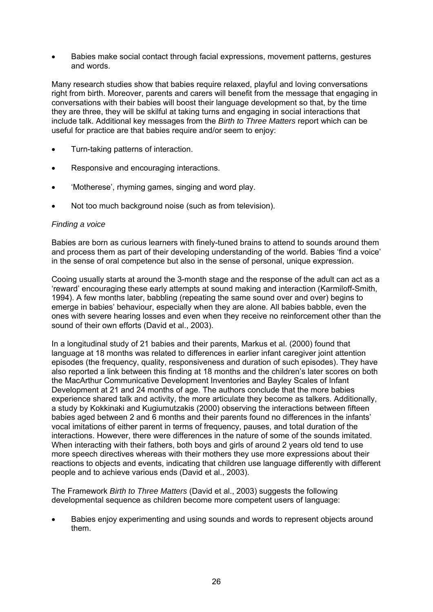• Babies make social contact through facial expressions, movement patterns, gestures and words.

Many research studies show that babies require relaxed, playful and loving conversations right from birth. Moreover, parents and carers will benefit from the message that engaging in conversations with their babies will boost their language development so that, by the time they are three, they will be skilful at taking turns and engaging in social interactions that include talk. Additional key messages from the *Birth to Three Matters* report which can be useful for practice are that babies require and/or seem to enjoy:

- Turn-taking patterns of interaction.
- Responsive and encouraging interactions.
- 'Motherese', rhyming games, singing and word play.
- Not too much background noise (such as from television).

#### *Finding a voice*

Babies are born as curious learners with finely-tuned brains to attend to sounds around them and process them as part of their developing understanding of the world. Babies 'find a voice' in the sense of oral competence but also in the sense of personal, unique expression.

Cooing usually starts at around the 3-month stage and the response of the adult can act as a 'reward' encouraging these early attempts at sound making and interaction (Karmiloff-Smith, 1994). A few months later, babbling (repeating the same sound over and over) begins to emerge in babies' behaviour, especially when they are alone. All babies babble, even the ones with severe hearing losses and even when they receive no reinforcement other than the sound of their own efforts (David et al., 2003).

In a longitudinal study of 21 babies and their parents, Markus et al. (2000) found that language at 18 months was related to differences in earlier infant caregiver joint attention episodes (the frequency, quality, responsiveness and duration of such episodes). They have also reported a link between this finding at 18 months and the children's later scores on both the MacArthur Communicative Development Inventories and Bayley Scales of Infant Development at 21 and 24 months of age. The authors conclude that the more babies experience shared talk and activity, the more articulate they become as talkers. Additionally, a study by Kokkinaki and Kugiumutzakis (2000) observing the interactions between fifteen babies aged between 2 and 6 months and their parents found no differences in the infants' vocal imitations of either parent in terms of frequency, pauses, and total duration of the interactions. However, there were differences in the nature of some of the sounds imitated. When interacting with their fathers, both boys and girls of around 2 years old tend to use more speech directives whereas with their mothers they use more expressions about their reactions to objects and events, indicating that children use language differently with different people and to achieve various ends (David et al., 2003).

The Framework *Birth to Three Matters* (David et al., 2003) suggests the following developmental sequence as children become more competent users of language:

Babies enjoy experimenting and using sounds and words to represent objects around them.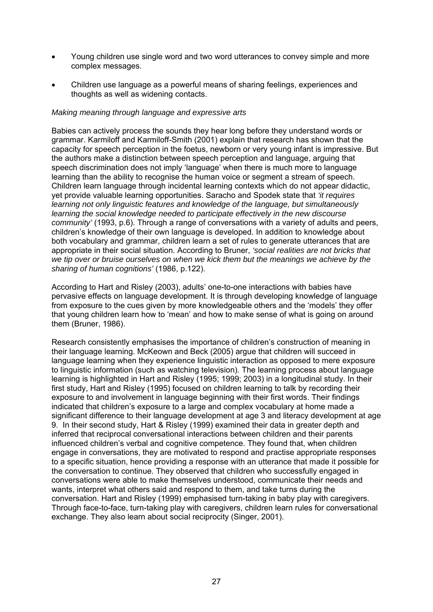- Young children use single word and two word utterances to convey simple and more complex messages.
- Children use language as a powerful means of sharing feelings, experiences and thoughts as well as widening contacts.

### *Making meaning through language and expressive arts*

Babies can actively process the sounds they hear long before they understand words or grammar. Karmiloff and Karmiloff-Smith (2001) explain that research has shown that the capacity for speech perception in the foetus, newborn or very young infant is impressive. But the authors make a distinction between speech perception and language, arguing that speech discrimination does not imply 'language' when there is much more to language learning than the ability to recognise the human voice or segment a stream of speech. Children learn language through incidental learning contexts which do not appear didactic, yet provide valuable learning opportunities. Saracho and Spodek state that *'it requires learning not only linguistic features and knowledge of the language, but simultaneously learning the social knowledge needed to participate effectively in the new discourse community'* (1993, p.6). Through a range of conversations with a variety of adults and peers, children's knowledge of their own language is developed. In addition to knowledge about both vocabulary and grammar, children learn a set of rules to generate utterances that are appropriate in their social situation. According to Bruner, *'social realities are not bricks that we tip over or bruise ourselves on when we kick them but the meanings we achieve by the sharing of human cognitions'* (1986, p.122).

According to Hart and Risley (2003), adults' one-to-one interactions with babies have pervasive effects on language development. It is through developing knowledge of language from exposure to the cues given by more knowledgeable others and the 'models' they offer that young children learn how to 'mean' and how to make sense of what is going on around them (Bruner, 1986).

Research consistently emphasises the importance of children's construction of meaning in their language learning. McKeown and Beck (2005) argue that children will succeed in language learning when they experience linguistic interaction as opposed to mere exposure to linguistic information (such as watching television). The learning process about language learning is highlighted in Hart and Risley (1995; 1999; 2003) in a longitudinal study. In their first study, Hart and Risley (1995) focused on children learning to talk by recording their exposure to and involvement in language beginning with their first words. Their findings indicated that children's exposure to a large and complex vocabulary at home made a significant difference to their language development at age 3 and literacy development at age 9. In their second study, Hart & Risley (1999) examined their data in greater depth and inferred that reciprocal conversational interactions between children and their parents influenced children's verbal and cognitive competence. They found that, when children engage in conversations, they are motivated to respond and practise appropriate responses to a specific situation, hence providing a response with an utterance that made it possible for the conversation to continue. They observed that children who successfully engaged in conversations were able to make themselves understood, communicate their needs and wants, interpret what others said and respond to them, and take turns during the conversation. Hart and Risley (1999) emphasised turn-taking in baby play with caregivers. Through face-to-face, turn-taking play with caregivers, children learn rules for conversational exchange. They also learn about social reciprocity (Singer, 2001).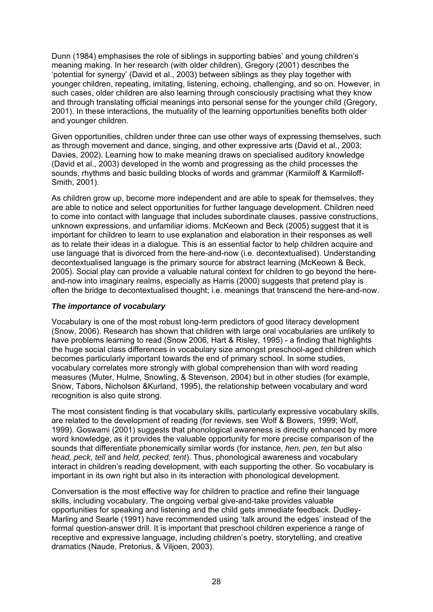Dunn (1984) emphasises the role of siblings in supporting babies' and young children's meaning making. In her research (with older children), Gregory (2001) describes the 'potential for synergy' (David et al., 2003) between siblings as they play together with younger children, repeating, imitating, listening, echoing, challenging, and so on. However, in such cases, older children are also learning through consciously practising what they know and through translating official meanings into personal sense for the younger child (Gregory, 2001). In these interactions, the mutuality of the learning opportunities benefits both older and younger children.

Given opportunities, children under three can use other ways of expressing themselves, such as through movement and dance, singing, and other expressive arts (David et al., 2003; Davies, 2002). Learning how to make meaning draws on specialised auditory knowledge (David et al., 2003) developed in the womb and progressing as the child processes the sounds, rhythms and basic building blocks of words and grammar (Karmiloff & Karmiloff-Smith, 2001).

As children grow up, become more independent and are able to speak for themselves, they are able to notice and select opportunities for further language development. Children need to come into contact with language that includes subordinate clauses, passive constructions, unknown expressions, and unfamiliar idioms. McKeown and Beck (2005) suggest that it is important for children to learn to use explanation and elaboration in their responses as well as to relate their ideas in a dialogue. This is an essential factor to help children acquire and use language that is divorced from the here-and-now (i.e. decontextualised). Understanding decontextualised language is the primary source for abstract learning (McKeown & Beck, 2005). Social play can provide a valuable natural context for children to go beyond the hereand-now into imaginary realms, especially as Harris (2000) suggests that pretend play is often the bridge to decontextualised thought; i.e. meanings that transcend the here-and-now.

### *The importance of vocabulary*

Vocabulary is one of the most robust long-term predictors of good literacy development (Snow, 2006). Research has shown that children with large oral vocabularies are unlikely to have problems learning to read (Snow 2006, Hart & Risley, 1995) - a finding that highlights the huge social class differences in vocabulary size amongst preschool-aged children which becomes particularly important towards the end of primary school. In some studies, vocabulary correlates more strongly with global comprehension than with word reading measures (Muter, Hulme, Snowling, & Stevenson, 2004) but in other studies (for example, Snow, Tabors, Nicholson &Kurland, 1995), the relationship between vocabulary and word recognition is also quite strong.

The most consistent finding is that vocabulary skills, particularly expressive vocabulary skills, are related to the development of reading (for reviews, see Wolf & Bowers, 1999; Wolf, 1999). Goswami (2001) suggests that phonological awareness is directly enhanced by more word knowledge, as it provides the valuable opportunity for more precise comparison of the sounds that differentiate phonemically similar words (for instance, *hen, pen, ten* but also *head, peck, tell* and *held, pecked, tent*). Thus, phonological awareness and vocabulary interact in children's reading development, with each supporting the other. So vocabulary is important in its own right but also in its interaction with phonological development.

Conversation is the most effective way for children to practice and refine their language skills, including vocabulary. The ongoing verbal give-and-take provides valuable opportunities for speaking and listening and the child gets immediate feedback. Dudley-Marling and Searle (1991) have recommended using 'talk around the edges' instead of the formal question-answer drill. It is important that preschool children experience a range of receptive and expressive language, including children's poetry, storytelling, and creative dramatics (Naude, Pretorius, & Viljoen, 2003).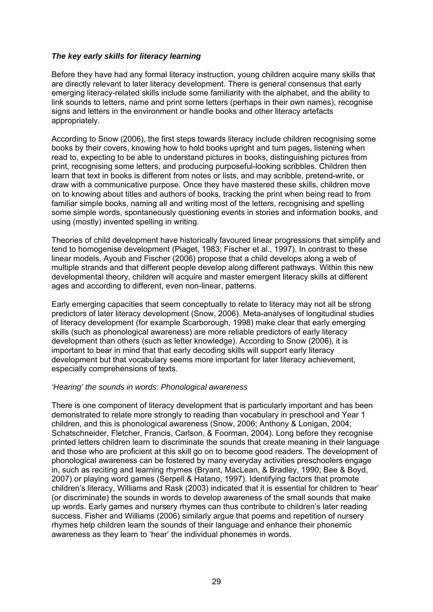### *The key early skills for literacy learning*

Before they have had any formal literacy instruction, young children acquire many skills that are directly relevant to later literacy development. There is general consensus that early emerging literacy-related skills include some familiarity with the alphabet, and the ability to link sounds to letters, name and print some letters (perhaps in their own names), recognise signs and letters in the environment or handle books and other literacy artefacts appropriately.

According to Snow (2006), the first steps towards literacy include children recognising some books by their covers, knowing how to hold books upright and turn pages, listening when read to, expecting to be able to understand pictures in books, distinguishing pictures from print, recognising some letters, and producing purposeful-looking scribbles. Children then learn that text in books is different from notes or lists, and may scribble, pretend-write, or draw with a communicative purpose. Once they have mastered these skills, children move on to knowing about titles and authors of books, tracking the print when being read to from familiar simple books, naming all and writing most of the letters, recognising and spelling some simple words, spontaneously questioning events in stories and information books, and using (mostly) invented spelling in writing.

Theories of child development have historically favoured linear progressions that simplify and tend to homogenise development (Piaget, 1983; Fischer et al., 1997). In contrast to these linear models, Ayoub and Fischer (2006) propose that a child develops along a web of multiple strands and that different people develop along different pathways. Within this new developmental theory, children will acquire and master emergent literacy skills at different ages and according to different, even non-linear, patterns.

Early emerging capacities that seem conceptually to relate to literacy may not all be strong predictors of later literacy development (Snow, 2006). Meta-analyses of longitudinal studies of literacy development (for example Scarborough, 1998) make clear that early emerging skills (such as phonological awareness) are more reliable predictors of early literacy development than others (such as letter knowledge). According to Snow (2006), it is important to bear in mind that that early decoding skills will support early literacy development but that vocabulary seems more important for later literacy achievement, especially comprehensions of texts.

### *'Hearing' the sounds in words: Phonological awareness*

There is one component of literacy development that is particularly important and has been demonstrated to relate more strongly to reading than vocabulary in preschool and Year 1 children, and this is phonological awareness (Snow, 2006; Anthony & Lonigan, 2004; Schatschneider, Fletcher, Francis, Carlson, & Foorman, 2004). Long before they recognise printed letters children learn to discriminate the sounds that create meaning in their language and those who are proficient at this skill go on to become good readers. The development of phonological awareness can be fostered by many everyday activities preschoolers engage in, such as reciting and learning rhymes (Bryant, MacLean, & Bradley, 1990; Bee & Boyd, 2007) or playing word games (Serpell & Hatano, 1997). Identifying factors that promote children's literacy, Williams and Rask (2003) indicated that it is essential for children to 'hear' (or discriminate) the sounds in words to develop awareness of the small sounds that make up words. Early games and nursery rhymes can thus contribute to children's later reading success. Fisher and Williams (2006) similarly argue that poems and repetition of nursery rhymes help children learn the sounds of their language and enhance their phonemic awareness as they learn to 'hear' the individual phonemes in words.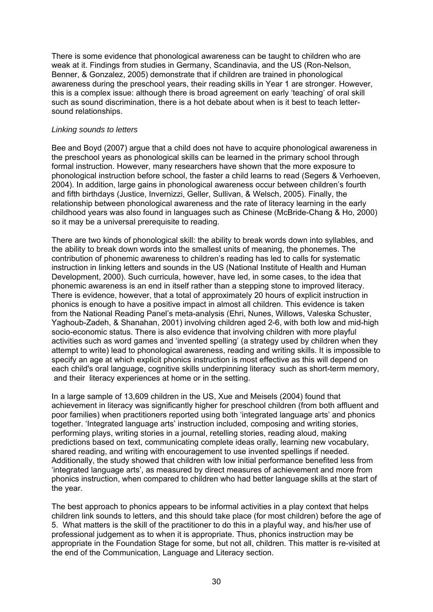There is some evidence that phonological awareness can be taught to children who are weak at it. Findings from studies in Germany, Scandinavia, and the US (Ron-Nelson, Benner, & Gonzalez, 2005) demonstrate that if children are trained in phonological awareness during the preschool years, their reading skills in Year 1 are stronger. However, this is a complex issue: although there is broad agreement on early 'teaching' of oral skill such as sound discrimination, there is a hot debate about when is it best to teach lettersound relationships.

#### *Linking sounds to letters*

Bee and Boyd (2007) argue that a child does not have to acquire phonological awareness in the preschool years as phonological skills can be learned in the primary school through formal instruction. However, many researchers have shown that the more exposure to phonological instruction before school, the faster a child learns to read (Segers & Verhoeven, 2004). In addition, large gains in phonological awareness occur between children's fourth and fifth birthdays (Justice, Invernizzi, Geller, Sullivan, & Welsch, 2005). Finally, the relationship between phonological awareness and the rate of literacy learning in the early childhood years was also found in languages such as Chinese (McBride-Chang & Ho, 2000) so it may be a universal prerequisite to reading.

There are two kinds of phonological skill: the ability to break words down into syllables, and the ability to break down words into the smallest units of meaning, the phonemes. The contribution of phonemic awareness to children's reading has led to calls for systematic instruction in linking letters and sounds in the US (National Institute of Health and Human Development, 2000). Such curricula, however, have led, in some cases, to the idea that phonemic awareness is an end in itself rather than a stepping stone to improved literacy. There is evidence, however, that a total of approximately 20 hours of explicit instruction in phonics is enough to have a positive impact in almost all children. This evidence is taken from the National Reading Panel's meta-analysis (Ehri, Nunes, Willows, Valeska Schuster, Yaghoub-Zadeh, & Shanahan, 2001) involving children aged 2-6, with both low and mid-high socio-economic status. There is also evidence that involving children with more playful activities such as word games and 'invented spelling' (a strategy used by children when they attempt to write) lead to phonological awareness, reading and writing skills. It is impossible to specify an age at which explicit phonics instruction is most effective as this will depend on each child's oral language, cognitive skills underpinning literacy such as short-term memory, and their literacy experiences at home or in the setting.

In a large sample of 13,609 children in the US, Xue and Meisels (2004) found that achievement in literacy was significantly higher for preschool children (from both affluent and poor families) when practitioners reported using both 'integrated language arts' and phonics together. 'Integrated language arts' instruction included, composing and writing stories, performing plays, writing stories in a journal, retelling stories, reading aloud, making predictions based on text, communicating complete ideas orally, learning new vocabulary, shared reading, and writing with encouragement to use invented spellings if needed. Additionally, the study showed that children with low initial performance benefited less from 'integrated language arts', as measured by direct measures of achievement and more from phonics instruction, when compared to children who had better language skills at the start of the year.

The best approach to phonics appears to be informal activities in a play context that helps children link sounds to letters, and this should take place (for most children) before the age of 5. What matters is the skill of the practitioner to do this in a playful way, and his/her use of professional judgement as to when it is appropriate. Thus, phonics instruction may be appropriate in the Foundation Stage for some, but not all, children. This matter is re-visited at the end of the Communication, Language and Literacy section.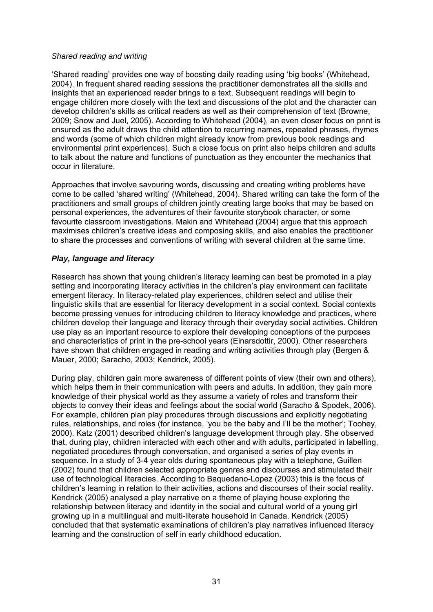#### *Shared reading and writing*

'Shared reading' provides one way of boosting daily reading using 'big books' (Whitehead, 2004). In frequent shared reading sessions the practitioner demonstrates all the skills and insights that an experienced reader brings to a text. Subsequent readings will begin to engage children more closely with the text and discussions of the plot and the character can develop children's skills as critical readers as well as their comprehension of text (Browne, 2009; Snow and Juel, 2005). According to Whitehead (2004), an even closer focus on print is ensured as the adult draws the child attention to recurring names, repeated phrases, rhymes and words (some of which children might already know from previous book readings and environmental print experiences). Such a close focus on print also helps children and adults to talk about the nature and functions of punctuation as they encounter the mechanics that occur in literature.

Approaches that involve savouring words, discussing and creating writing problems have come to be called 'shared writing' (Whitehead, 2004). Shared writing can take the form of the practitioners and small groups of children jointly creating large books that may be based on personal experiences, the adventures of their favourite storybook character, or some favourite classroom investigations. Makin and Whitehead (2004) argue that this approach maximises children's creative ideas and composing skills, and also enables the practitioner to share the processes and conventions of writing with several children at the same time.

### *Play, language and literacy*

Research has shown that young children's literacy learning can best be promoted in a play setting and incorporating literacy activities in the children's play environment can facilitate emergent literacy. In literacy-related play experiences, children select and utilise their linguistic skills that are essential for literacy development in a social context. Social contexts become pressing venues for introducing children to literacy knowledge and practices, where children develop their language and literacy through their everyday social activities. Children use play as an important resource to explore their developing conceptions of the purposes and characteristics of print in the pre-school years (Einarsdottir, 2000). Other researchers have shown that children engaged in reading and writing activities through play (Bergen & Mauer, 2000; Saracho, 2003; Kendrick, 2005).

During play, children gain more awareness of different points of view (their own and others), which helps them in their communication with peers and adults. In addition, they gain more knowledge of their physical world as they assume a variety of roles and transform their objects to convey their ideas and feelings about the social world (Saracho & Spodek, 2006). For example, children plan play procedures through discussions and explicitly negotiating rules, relationships, and roles (for instance, 'you be the baby and I'll be the mother'; Toohey, 2000). Katz (2001) described children's language development through play. She observed that, during play, children interacted with each other and with adults, participated in labelling, negotiated procedures through conversation, and organised a series of play events in sequence. In a study of 3-4 year olds during spontaneous play with a telephone, Guillen (2002) found that children selected appropriate genres and discourses and stimulated their use of technological literacies. According to Baquedano-Lopez (2003) this is the focus of children's learning in relation to their activities, actions and discourses of their social reality. Kendrick (2005) analysed a play narrative on a theme of playing house exploring the relationship between literacy and identity in the social and cultural world of a young girl growing up in a multilingual and multi-literate household in Canada. Kendrick (2005) concluded that that systematic examinations of children's play narratives influenced literacy learning and the construction of self in early childhood education.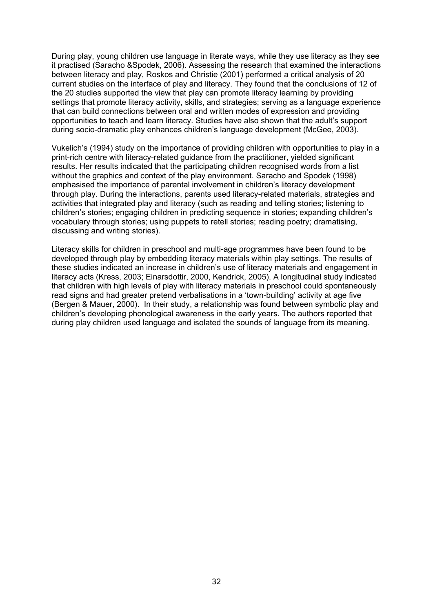During play, young children use language in literate ways, while they use literacy as they see it practised (Saracho &Spodek, 2006). Assessing the research that examined the interactions between literacy and play, Roskos and Christie (2001) performed a critical analysis of 20 current studies on the interface of play and literacy. They found that the conclusions of 12 of the 20 studies supported the view that play can promote literacy learning by providing settings that promote literacy activity, skills, and strategies; serving as a language experience that can build connections between oral and written modes of expression and providing opportunities to teach and learn literacy. Studies have also shown that the adult's support during socio-dramatic play enhances children's language development (McGee, 2003).

Vukelich's (1994) study on the importance of providing children with opportunities to play in a print-rich centre with literacy-related guidance from the practitioner, yielded significant results. Her results indicated that the participating children recognised words from a list without the graphics and context of the play environment. Saracho and Spodek (1998) emphasised the importance of parental involvement in children's literacy development through play. During the interactions, parents used literacy-related materials, strategies and activities that integrated play and literacy (such as reading and telling stories; listening to children's stories; engaging children in predicting sequence in stories; expanding children's vocabulary through stories; using puppets to retell stories; reading poetry; dramatising, discussing and writing stories).

Literacy skills for children in preschool and multi-age programmes have been found to be developed through play by embedding literacy materials within play settings. The results of these studies indicated an increase in children's use of literacy materials and engagement in literacy acts (Kress, 2003; Einarsdottir, 2000, Kendrick, 2005). A longitudinal study indicated that children with high levels of play with literacy materials in preschool could spontaneously read signs and had greater pretend verbalisations in a 'town-building' activity at age five (Bergen & Mauer, 2000). In their study, a relationship was found between symbolic play and children's developing phonological awareness in the early years. The authors reported that during play children used language and isolated the sounds of language from its meaning.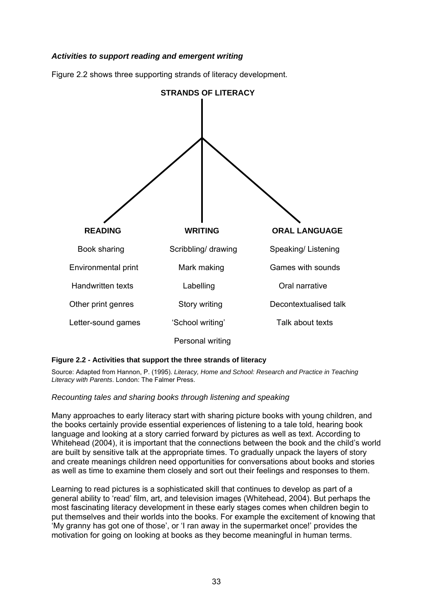# *Activities to support reading and emergent writing*

Figure 2.2 shows three supporting strands of literacy development.



#### **Figure 2.2 - Activities that support the three strands of literacy**

Source: Adapted from Hannon, P. (1995). *Literacy, Home and School: Research and Practice in Teaching Literacy with Parents*. London: The Falmer Press.

### *Recounting tales and sharing books through listening and speaking*

Many approaches to early literacy start with sharing picture books with young children, and the books certainly provide essential experiences of listening to a tale told, hearing book language and looking at a story carried forward by pictures as well as text. According to Whitehead (2004), it is important that the connections between the book and the child's world are built by sensitive talk at the appropriate times. To gradually unpack the layers of story and create meanings children need opportunities for conversations about books and stories as well as time to examine them closely and sort out their feelings and responses to them.

Learning to read pictures is a sophisticated skill that continues to develop as part of a general ability to 'read' film, art, and television images (Whitehead, 2004). But perhaps the most fascinating literacy development in these early stages comes when children begin to put themselves and their worlds into the books. For example the excitement of knowing that 'My granny has got one of those', or 'I ran away in the supermarket once!' provides the motivation for going on looking at books as they become meaningful in human terms.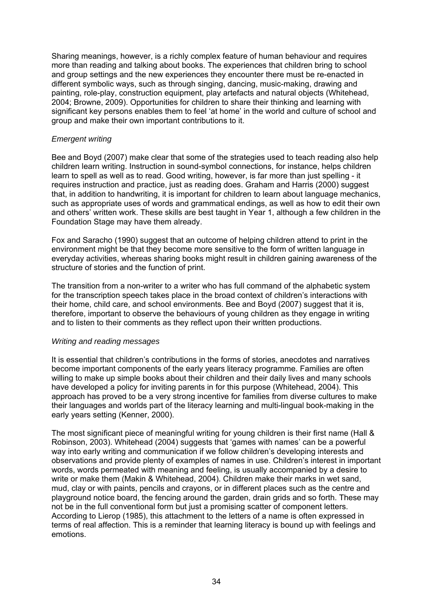Sharing meanings, however, is a richly complex feature of human behaviour and requires more than reading and talking about books. The experiences that children bring to school and group settings and the new experiences they encounter there must be re-enacted in different symbolic ways, such as through singing, dancing, music-making, drawing and painting, role-play, construction equipment, play artefacts and natural objects (Whitehead, 2004; Browne, 2009). Opportunities for children to share their thinking and learning with significant key persons enables them to feel 'at home' in the world and culture of school and group and make their own important contributions to it.

# *Emergent writing*

Bee and Boyd (2007) make clear that some of the strategies used to teach reading also help children learn writing. Instruction in sound-symbol connections, for instance, helps children learn to spell as well as to read. Good writing, however, is far more than just spelling - it requires instruction and practice, just as reading does. Graham and Harris (2000) suggest that, in addition to handwriting, it is important for children to learn about language mechanics, such as appropriate uses of words and grammatical endings, as well as how to edit their own and others' written work. These skills are best taught in Year 1, although a few children in the Foundation Stage may have them already.

Fox and Saracho (1990) suggest that an outcome of helping children attend to print in the environment might be that they become more sensitive to the form of written language in everyday activities, whereas sharing books might result in children gaining awareness of the structure of stories and the function of print.

The transition from a non-writer to a writer who has full command of the alphabetic system for the transcription speech takes place in the broad context of children's interactions with their home, child care, and school environments. Bee and Boyd (2007) suggest that it is, therefore, important to observe the behaviours of young children as they engage in writing and to listen to their comments as they reflect upon their written productions.

### *Writing and reading messages*

It is essential that children's contributions in the forms of stories, anecdotes and narratives become important components of the early years literacy programme. Families are often willing to make up simple books about their children and their daily lives and many schools have developed a policy for inviting parents in for this purpose (Whitehead, 2004). This approach has proved to be a very strong incentive for families from diverse cultures to make their languages and worlds part of the literacy learning and multi-lingual book-making in the early years setting (Kenner, 2000).

The most significant piece of meaningful writing for young children is their first name (Hall & Robinson, 2003). Whitehead (2004) suggests that 'games with names' can be a powerful way into early writing and communication if we follow children's developing interests and observations and provide plenty of examples of names in use. Children's interest in important words, words permeated with meaning and feeling, is usually accompanied by a desire to write or make them (Makin & Whitehead, 2004). Children make their marks in wet sand, mud, clay or with paints, pencils and crayons, or in different places such as the centre and playground notice board, the fencing around the garden, drain grids and so forth. These may not be in the full conventional form but just a promising scatter of component letters. According to Lierop (1985), this attachment to the letters of a name is often expressed in terms of real affection. This is a reminder that learning literacy is bound up with feelings and emotions.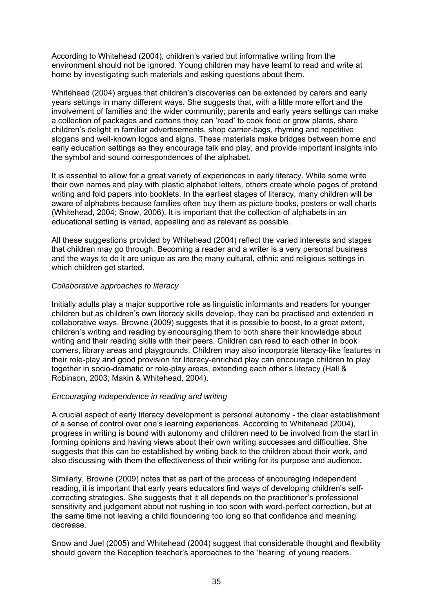According to Whitehead (2004), children's varied but informative writing from the environment should not be ignored. Young children may have learnt to read and write at home by investigating such materials and asking questions about them.

Whitehead (2004) argues that children's discoveries can be extended by carers and early years settings in many different ways. She suggests that, with a little more effort and the involvement of families and the wider community; parents and early years settings can make a collection of packages and cartons they can 'read' to cook food or grow plants, share children's delight in familiar advertisements, shop carrier-bags, rhyming and repetitive slogans and well-known logos and signs. These materials make bridges between home and early education settings as they encourage talk and play, and provide important insights into the symbol and sound correspondences of the alphabet.

It is essential to allow for a great variety of experiences in early literacy. While some write their own names and play with plastic alphabet letters, others create whole pages of pretend writing and fold papers into booklets. In the earliest stages of literacy, many children will be aware of alphabets because families often buy them as picture books, posters or wall charts (Whitehead, 2004; Snow, 2006). It is important that the collection of alphabets in an educational setting is varied, appealing and as relevant as possible.

All these suggestions provided by Whitehead (2004) reflect the varied interests and stages that children may go through. Becoming a reader and a writer is a very personal business and the ways to do it are unique as are the many cultural, ethnic and religious settings in which children get started.

### *Collaborative approaches to literacy*

Initially adults play a major supportive role as linguistic informants and readers for younger children but as children's own literacy skills develop, they can be practised and extended in collaborative ways. Browne (2009) suggests that it is possible to boost, to a great extent, children's writing and reading by encouraging them to both share their knowledge about writing and their reading skills with their peers. Children can read to each other in book corners, library areas and playgrounds. Children may also incorporate literacy-like features in their role-play and good provision for literacy-enriched play can encourage children to play together in socio-dramatic or role-play areas, extending each other's literacy (Hall & Robinson, 2003; Makin & Whitehead, 2004).

### *Encouraging independence in reading and writing*

A crucial aspect of early literacy development is personal autonomy - the clear establishment of a sense of control over one's learning experiences. According to Whitehead (2004), progress in writing is bound with autonomy and children need to be involved from the start in forming opinions and having views about their own writing successes and difficulties. She suggests that this can be established by writing back to the children about their work, and also discussing with them the effectiveness of their writing for its purpose and audience.

Similarly, Browne (2009) notes that as part of the process of encouraging independent reading, it is important that early years educators find ways of developing children's selfcorrecting strategies. She suggests that it all depends on the practitioner's professional sensitivity and judgement about not rushing in too soon with word-perfect correction, but at the same time not leaving a child floundering too long so that confidence and meaning decrease.

Snow and Juel (2005) and Whitehead (2004) suggest that considerable thought and flexibility should govern the Reception teacher's approaches to the 'hearing' of young readers.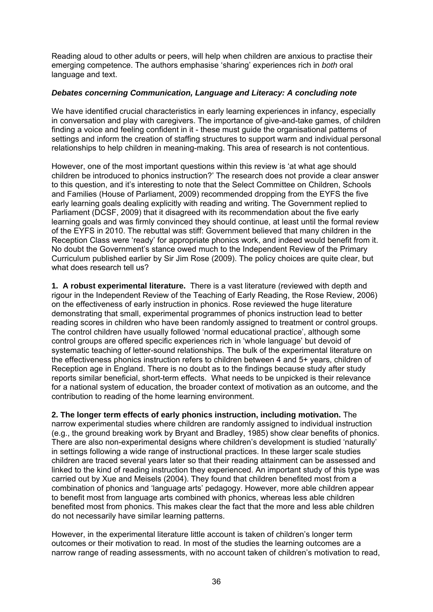Reading aloud to other adults or peers, will help when children are anxious to practise their emerging competence. The authors emphasise 'sharing' experiences rich in *both* oral language and text.

### *Debates concerning Communication, Language and Literacy: A concluding note*

We have identified crucial characteristics in early learning experiences in infancy, especially in conversation and play with caregivers. The importance of give-and-take games, of children finding a voice and feeling confident in it - these must guide the organisational patterns of settings and inform the creation of staffing structures to support warm and individual personal relationships to help children in meaning-making. This area of research is not contentious.

However, one of the most important questions within this review is 'at what age should children be introduced to phonics instruction?' The research does not provide a clear answer to this question, and it's interesting to note that the Select Committee on Children, Schools and Families (House of Parliament, 2009) recommended dropping from the EYFS the five early learning goals dealing explicitly with reading and writing. The Government replied to Parliament (DCSF, 2009) that it disagreed with its recommendation about the five early learning goals and was firmly convinced they should continue, at least until the formal review of the EYFS in 2010. The rebuttal was stiff: Government believed that many children in the Reception Class were 'ready' for appropriate phonics work, and indeed would benefit from it. No doubt the Government's stance owed much to the Independent Review of the Primary Curriculum published earlier by Sir Jim Rose (2009). The policy choices are quite clear, but what does research tell us?

**1. A robust experimental literature.** There is a vast literature (reviewed with depth and rigour in the Independent Review of the Teaching of Early Reading, the Rose Review, 2006) on the effectiveness of early instruction in phonics. Rose reviewed the huge literature demonstrating that small, experimental programmes of phonics instruction lead to better reading scores in children who have been randomly assigned to treatment or control groups. The control children have usually followed 'normal educational practice', although some control groups are offered specific experiences rich in 'whole language' but devoid of systematic teaching of letter-sound relationships. The bulk of the experimental literature on the effectiveness phonics instruction refers to children between 4 and 5+ years, children of Reception age in England. There is no doubt as to the findings because study after study reports similar beneficial, short-term effects. What needs to be unpicked is their relevance for a national system of education, the broader context of motivation as an outcome, and the contribution to reading of the home learning environment.

**2. The longer term effects of early phonics instruction, including motivation.** The narrow experimental studies where children are randomly assigned to individual instruction (e.g., the ground breaking work by Bryant and Bradley, 1985) show clear benefits of phonics. There are also non-experimental designs where children's development is studied 'naturally' in settings following a wide range of instructional practices. In these larger scale studies children are traced several years later so that their reading attainment can be assessed and linked to the kind of reading instruction they experienced. An important study of this type was carried out by Xue and Meisels (2004). They found that children benefited most from a combination of phonics and 'language arts' pedagogy. However, more able children appear to benefit most from language arts combined with phonics, whereas less able children benefited most from phonics. This makes clear the fact that the more and less able children do not necessarily have similar learning patterns.

However, in the experimental literature little account is taken of children's longer term outcomes or their motivation to read. In most of the studies the learning outcomes are a narrow range of reading assessments, with no account taken of children's motivation to read,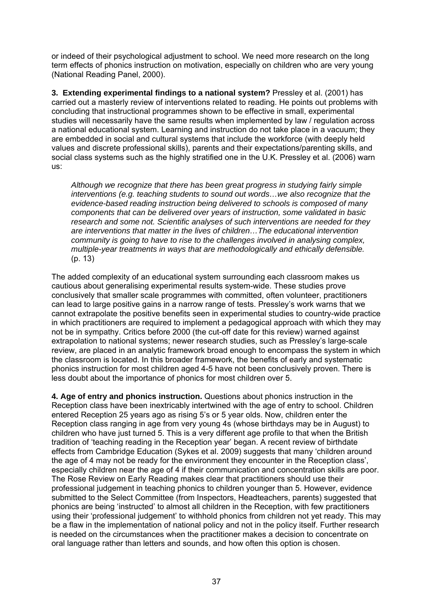or indeed of their psychological adjustment to school. We need more research on the long term effects of phonics instruction on motivation, especially on children who are very young (National Reading Panel, 2000).

**3. Extending experimental findings to a national system?** Pressley et al. (2001) has carried out a masterly review of interventions related to reading. He points out problems with concluding that instructional programmes shown to be effective in small, experimental studies will necessarily have the same results when implemented by law / regulation across a national educational system. Learning and instruction do not take place in a vacuum; they are embedded in social and cultural systems that include the workforce (with deeply held values and discrete professional skills), parents and their expectations/parenting skills, and social class systems such as the highly stratified one in the U.K. Pressley et al. (2006) warn us:

*Although we recognize that there has been great progress in studying fairly simple interventions (e.g. teaching students to sound out words…we also recognize that the evidence-based reading instruction being delivered to schools is composed of many components that can be delivered over years of instruction, some validated in basic research and some not. Scientific analyses of such interventions are needed for they are interventions that matter in the lives of children…The educational intervention community is going to have to rise to the challenges involved in analysing complex, multiple-year treatments in ways that are methodologically and ethically defensible.* (p. 13)

The added complexity of an educational system surrounding each classroom makes us cautious about generalising experimental results system-wide. These studies prove conclusively that smaller scale programmes with committed, often volunteer, practitioners can lead to large positive gains in a narrow range of tests. Pressley's work warns that we cannot extrapolate the positive benefits seen in experimental studies to country-wide practice in which practitioners are required to implement a pedagogical approach with which they may not be in sympathy. Critics before 2000 (the cut-off date for this review) warned against extrapolation to national systems; newer research studies, such as Pressley's large-scale review, are placed in an analytic framework broad enough to encompass the system in which the classroom is located. In this broader framework, the benefits of early and systematic phonics instruction for most children aged 4-5 have not been conclusively proven. There is less doubt about the importance of phonics for most children over 5.

**4. Age of entry and phonics instruction.** Questions about phonics instruction in the Reception class have been inextricably intertwined with the age of entry to school. Children entered Reception 25 years ago as rising 5's or 5 year olds. Now, children enter the Reception class ranging in age from very young 4s (whose birthdays may be in August) to children who have just turned 5. This is a very different age profile to that when the British tradition of 'teaching reading in the Reception year' began. A recent review of birthdate effects from Cambridge Education (Sykes et al. 2009) suggests that many 'children around the age of 4 may not be ready for the environment they encounter in the Reception class', especially children near the age of 4 if their communication and concentration skills are poor. The Rose Review on Early Reading makes clear that practitioners should use their professional judgement in teaching phonics to children younger than 5. However, evidence submitted to the Select Committee (from Inspectors, Headteachers, parents) suggested that phonics are being 'instructed' to almost all children in the Reception, with few practitioners using their 'professional judgement' to withhold phonics from children not yet ready. This may be a flaw in the implementation of national policy and not in the policy itself. Further research is needed on the circumstances when the practitioner makes a decision to concentrate on oral language rather than letters and sounds, and how often this option is chosen.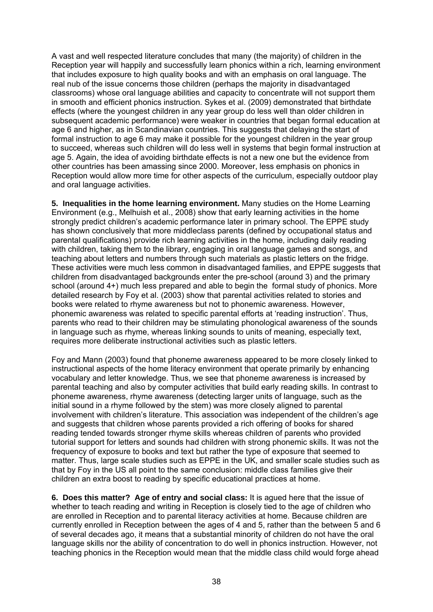A vast and well respected literature concludes that many (the majority) of children in the Reception year will happily and successfully learn phonics within a rich, learning environment that includes exposure to high quality books and with an emphasis on oral language. The real nub of the issue concerns those children (perhaps the majority in disadvantaged classrooms) whose oral language abilities and capacity to concentrate will not support them in smooth and efficient phonics instruction. Sykes et al. (2009) demonstrated that birthdate effects (where the youngest children in any year group do less well than older children in subsequent academic performance) were weaker in countries that began formal education at age 6 and higher, as in Scandinavian countries. This suggests that delaying the start of formal instruction to age 6 may make it possible for the youngest children in the year group to succeed, whereas such children will do less well in systems that begin formal instruction at age 5. Again, the idea of avoiding birthdate effects is not a new one but the evidence from other countries has been amassing since 2000. Moreover, less emphasis on phonics in Reception would allow more time for other aspects of the curriculum, especially outdoor play and oral language activities.

**5. Inequalities in the home learning environment.** Many studies on the Home Learning Environment (e.g., Melhuish et al., 2008) show that early learning activities in the home strongly predict children's academic performance later in primary school. The EPPE study has shown conclusively that more middleclass parents (defined by occupational status and parental qualifications) provide rich learning activities in the home, including daily reading with children, taking them to the library, engaging in oral language games and songs, and teaching about letters and numbers through such materials as plastic letters on the fridge. These activities were much less common in disadvantaged families, and EPPE suggests that children from disadvantaged backgrounds enter the pre-school (around 3) and the primary school (around 4+) much less prepared and able to begin the formal study of phonics. More detailed research by Foy et al. (2003) show that parental activities related to stories and books were related to rhyme awareness but not to phonemic awareness. However, phonemic awareness was related to specific parental efforts at 'reading instruction'. Thus, parents who read to their children may be stimulating phonological awareness of the sounds in language such as rhyme, whereas linking sounds to units of meaning, especially text, requires more deliberate instructional activities such as plastic letters.

Foy and Mann (2003) found that phoneme awareness appeared to be more closely linked to instructional aspects of the home literacy environment that operate primarily by enhancing vocabulary and letter knowledge. Thus, we see that phoneme awareness is increased by parental teaching and also by computer activities that build early reading skills. In contrast to phoneme awareness, rhyme awareness (detecting larger units of language, such as the initial sound in a rhyme followed by the stem) was more closely aligned to parental involvement with children's literature. This association was independent of the children's age and suggests that children whose parents provided a rich offering of books for shared reading tended towards stronger rhyme skills whereas children of parents who provided tutorial support for letters and sounds had children with strong phonemic skills. It was not the frequency of exposure to books and text but rather the type of exposure that seemed to matter. Thus, large scale studies such as EPPE in the UK, and smaller scale studies such as that by Foy in the US all point to the same conclusion: middle class families give their children an extra boost to reading by specific educational practices at home.

**6. Does this matter? Age of entry and social class:** It is agued here that the issue of whether to teach reading and writing in Reception is closely tied to the age of children who are enrolled in Reception and to parental literacy activities at home. Because children are currently enrolled in Reception between the ages of 4 and 5, rather than the between 5 and 6 of several decades ago, it means that a substantial minority of children do not have the oral language skills nor the ability of concentration to do well in phonics instruction. However, not teaching phonics in the Reception would mean that the middle class child would forge ahead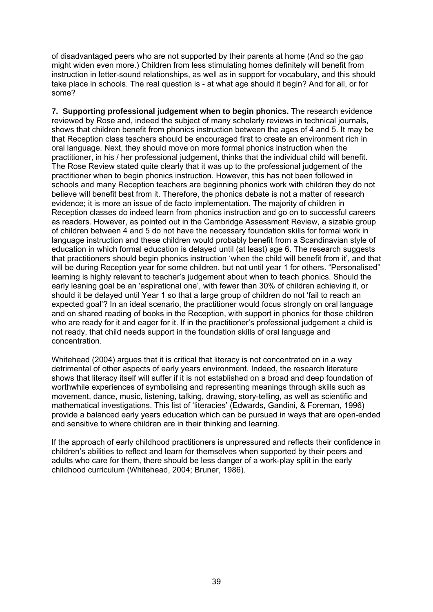of disadvantaged peers who are not supported by their parents at home (And so the gap might widen even more.) Children from less stimulating homes definitely will benefit from instruction in letter-sound relationships, as well as in support for vocabulary, and this should take place in schools. The real question is - at what age should it begin? And for all, or for some?

**7. Supporting professional judgement when to begin phonics.** The research evidence reviewed by Rose and, indeed the subject of many scholarly reviews in technical journals, shows that children benefit from phonics instruction between the ages of 4 and 5. It may be that Reception class teachers should be encouraged first to create an environment rich in oral language. Next, they should move on more formal phonics instruction when the practitioner, in his / her professional judgement, thinks that the individual child will benefit. The Rose Review stated quite clearly that it was up to the professional judgement of the practitioner when to begin phonics instruction. However, this has not been followed in schools and many Reception teachers are beginning phonics work with children they do not believe will benefit best from it. Therefore, the phonics debate is not a matter of research evidence; it is more an issue of de facto implementation. The majority of children in Reception classes do indeed learn from phonics instruction and go on to successful careers as readers. However, as pointed out in the Cambridge Assessment Review, a sizable group of children between 4 and 5 do not have the necessary foundation skills for formal work in language instruction and these children would probably benefit from a Scandinavian style of education in which formal education is delayed until (at least) age 6. The research suggests that practitioners should begin phonics instruction 'when the child will benefit from it', and that will be during Reception year for some children, but not until year 1 for others. "Personalised" learning is highly relevant to teacher's judgement about when to teach phonics. Should the early leaning goal be an 'aspirational one', with fewer than 30% of children achieving it, or should it be delayed until Year 1 so that a large group of children do not 'fail to reach an expected goal'? In an ideal scenario, the practitioner would focus strongly on oral language and on shared reading of books in the Reception, with support in phonics for those children who are ready for it and eager for it. If in the practitioner's professional judgement a child is not ready, that child needs support in the foundation skills of oral language and concentration.

Whitehead (2004) argues that it is critical that literacy is not concentrated on in a way detrimental of other aspects of early years environment. Indeed, the research literature shows that literacy itself will suffer if it is not established on a broad and deep foundation of worthwhile experiences of symbolising and representing meanings through skills such as movement, dance, music, listening, talking, drawing, story-telling, as well as scientific and mathematical investigations. This list of 'literacies' (Edwards, Gandini, & Foreman, 1996) provide a balanced early years education which can be pursued in ways that are open-ended and sensitive to where children are in their thinking and learning.

If the approach of early childhood practitioners is unpressured and reflects their confidence in children's abilities to reflect and learn for themselves when supported by their peers and adults who care for them, there should be less danger of a work-play split in the early childhood curriculum (Whitehead, 2004; Bruner, 1986).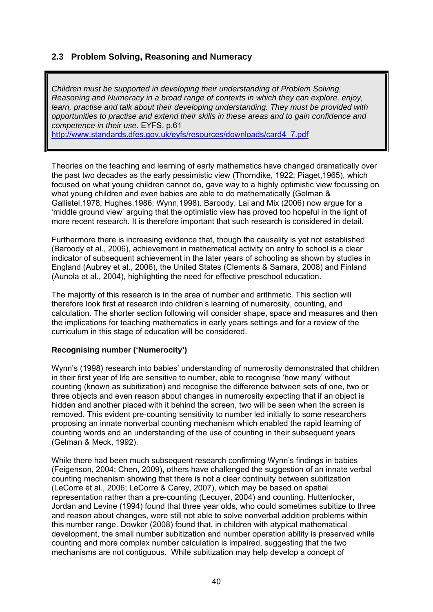# **2.3 Problem Solving, Reasoning and Numeracy**

*Children must be supported in developing their understanding of Problem Solving, Reasoning and Numeracy in a broad range of contexts in which they can explore, enjoy, learn, practise and talk about their developing understanding. They must be provided with opportunities to practise and extend their skills in these areas and to gain confidence and competence in their use*. EYFS, p.61

[http://www.standards.dfes.gov.uk/eyfs/resources/downloads/card4\\_7.pdf](http://www.standards.dfes.gov.uk/eyfs/resources/downloads/card4_7.pdf)

Theories on the teaching and learning of early mathematics have changed dramatically over the past two decades as the early pessimistic view (Thorndike, 1922; Piaget,1965), which focused on what young children cannot do, gave way to a highly optimistic view focussing on what young children and even babies are able to do mathematically (Gelman & Gallistel,1978; Hughes,1986; Wynn,1998). Baroody, Lai and Mix (2006) now argue for a 'middle ground view' arguing that the optimistic view has proved too hopeful in the light of more recent research. It is therefore important that such research is considered in detail.

Furthermore there is increasing evidence that, though the causality is yet not established (Baroody et al., 2006), achievement in mathematical activity on entry to school is a clear indicator of subsequent achievement in the later years of schooling as shown by studies in England (Aubrey et al., 2006), the United States (Clements & Samara, 2008) and Finland (Aunola et al., 2004), highlighting the need for effective preschool education.

The majority of this research is in the area of number and arithmetic. This section will therefore look first at research into children's learning of numerosity, counting, and calculation. The shorter section following will consider shape, space and measures and then the implications for teaching mathematics in early years settings and for a review of the curriculum in this stage of education will be considered.

### **Recognising number ('Numerocity')**

Wynn's (1998) research into babies' understanding of numerosity demonstrated that children in their first year of life are sensitive to number, able to recognise 'how many' without counting (known as subitization) and recognise the difference between sets of one, two or three objects and even reason about changes in numerosity expecting that if an object is hidden and another placed with it behind the screen, two will be seen when the screen is removed. This evident pre-counting sensitivity to number led initially to some researchers proposing an innate nonverbal counting mechanism which enabled the rapid learning of counting words and an understanding of the use of counting in their subsequent years (Gelman & Meck, 1992).

While there had been much subsequent research confirming Wynn's findings in babies (Feigenson, 2004; Chen, 2009), others have challenged the suggestion of an innate verbal counting mechanism showing that there is not a clear continuity between subitization (LeCorre et al., 2006; LeCorre & Carey, 2007), which may be based on spatial representation rather than a pre-counting (Lecuyer, 2004) and counting. Huttenlocker, Jordan and Levine (1994) found that three year olds, who could sometimes subitize to three and reason about changes, were still not able to solve nonverbal addition problems within this number range. Dowker (2008) found that, in children with atypical mathematical development, the small number subitization and number operation ability is preserved while counting and more complex number calculation is impaired, suggesting that the two mechanisms are not contiguous. While subitization may help develop a concept of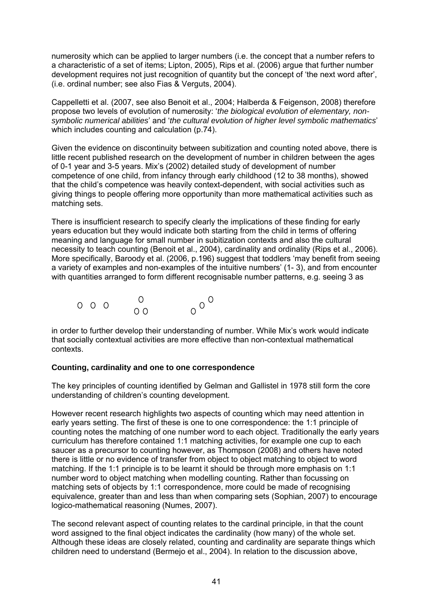numerosity which can be applied to larger numbers (i.e. the concept that a number refers to a characteristic of a set of items; Lipton, 2005), Rips et al. (2006) argue that further number development requires not just recognition of quantity but the concept of 'the next word after', (i.e. ordinal number; see also Fias & Verguts, 2004).

Cappelletti et al. (2007, see also Benoit et al., 2004; Halberda & Feigenson, 2008) therefore propose two levels of evolution of numerosity: '*the biological evolution of elementary, nonsymbolic numerical abilities*' and '*the cultural evolution of higher level symbolic mathematics*' which includes counting and calculation (p.74).

Given the evidence on discontinuity between subitization and counting noted above, there is little recent published research on the development of number in children between the ages of 0-1 year and 3-5 years. Mix's (2002) detailed study of development of number competence of one child, from infancy through early childhood (12 to 38 months), showed that the child's competence was heavily context-dependent, with social activities such as giving things to people offering more opportunity than more mathematical activities such as matching sets.

There is insufficient research to specify clearly the implications of these finding for early years education but they would indicate both starting from the child in terms of offering meaning and language for small number in subitization contexts and also the cultural necessity to teach counting (Benoit et al., 2004), cardinality and ordinality (Rips et al., 2006). More specifically, Baroody et al. (2006, p.196) suggest that toddlers 'may benefit from seeing a variety of examples and non-examples of the intuitive numbers' (1- 3), and from encounter with quantities arranged to form different recognisable number patterns, e.g. seeing 3 as



in order to further develop their understanding of number. While Mix's work would indicate that socially contextual activities are more effective than non-contextual mathematical contexts.

### **Counting, cardinality and one to one correspondence**

The key principles of counting identified by Gelman and Gallistel in 1978 still form the core understanding of children's counting development.

However recent research highlights two aspects of counting which may need attention in early years setting. The first of these is one to one correspondence: the 1:1 principle of counting notes the matching of one number word to each object. Traditionally the early years curriculum has therefore contained 1:1 matching activities, for example one cup to each saucer as a precursor to counting however, as Thompson (2008) and others have noted there is little or no evidence of transfer from object to object matching to object to word matching. If the 1:1 principle is to be learnt it should be through more emphasis on 1:1 number word to object matching when modelling counting. Rather than focussing on matching sets of objects by 1:1 correspondence, more could be made of recognising equivalence, greater than and less than when comparing sets (Sophian, 2007) to encourage logico-mathematical reasoning (Numes, 2007).

The second relevant aspect of counting relates to the cardinal principle, in that the count word assigned to the final object indicates the cardinality (how many) of the whole set. Although these ideas are closely related, counting and cardinality are separate things which children need to understand (Bermejo et al., 2004). In relation to the discussion above,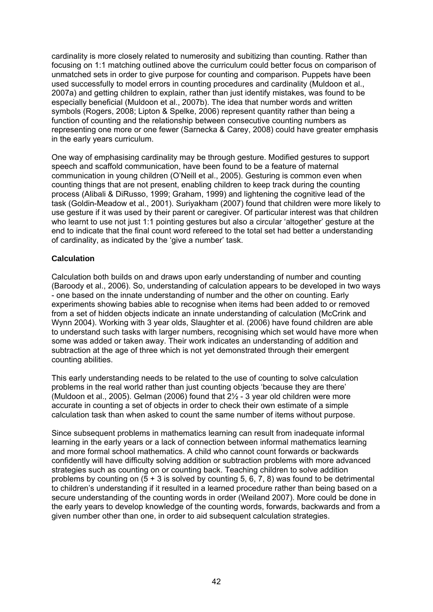cardinality is more closely related to numerosity and subitizing than counting. Rather than focusing on 1:1 matching outlined above the curriculum could better focus on comparison of unmatched sets in order to give purpose for counting and comparison. Puppets have been used successfully to model errors in counting procedures and cardinality (Muldoon et al., 2007a) and getting children to explain, rather than just identify mistakes, was found to be especially beneficial (Muldoon et al., 2007b). The idea that number words and written symbols (Rogers, 2008; Lipton & Spelke, 2006) represent quantity rather than being a function of counting and the relationship between consecutive counting numbers as representing one more or one fewer (Sarnecka & Carey, 2008) could have greater emphasis in the early years curriculum.

One way of emphasising cardinality may be through gesture. Modified gestures to support speech and scaffold communication, have been found to be a feature of maternal communication in young children (O'Neill et al., 2005). Gesturing is common even when counting things that are not present, enabling children to keep track during the counting process (Alibali & DiRusso, 1999; Graham, 1999) and lightening the cognitive lead of the task (Goldin-Meadow et al., 2001). Suriyakham (2007) found that children were more likely to use gesture if it was used by their parent or caregiver. Of particular interest was that children who learnt to use not just 1:1 pointing gestures but also a circular 'altogether' gesture at the end to indicate that the final count word refereed to the total set had better a understanding of cardinality, as indicated by the 'give a number' task.

# **Calculation**

Calculation both builds on and draws upon early understanding of number and counting (Baroody et al., 2006). So, understanding of calculation appears to be developed in two ways - one based on the innate understanding of number and the other on counting. Early experiments showing babies able to recognise when items had been added to or removed from a set of hidden objects indicate an innate understanding of calculation (McCrink and Wynn 2004). Working with 3 year olds, Slaughter et al. (2006) have found children are able to understand such tasks with larger numbers, recognising which set would have more when some was added or taken away. Their work indicates an understanding of addition and subtraction at the age of three which is not yet demonstrated through their emergent counting abilities.

This early understanding needs to be related to the use of counting to solve calculation problems in the real world rather than just counting objects 'because they are there' (Muldoon et al., 2005). Gelman (2006) found that  $2\frac{1}{2}$  - 3 year old children were more accurate in counting a set of objects in order to check their own estimate of a simple calculation task than when asked to count the same number of items without purpose.

Since subsequent problems in mathematics learning can result from inadequate informal learning in the early years or a lack of connection between informal mathematics learning and more formal school mathematics. A child who cannot count forwards or backwards confidently will have difficulty solving addition or subtraction problems with more advanced strategies such as counting on or counting back. Teaching children to solve addition problems by counting on  $(5 + 3)$  is solved by counting 5, 6, 7, 8) was found to be detrimental to children's understanding if it resulted in a learned procedure rather than being based on a secure understanding of the counting words in order (Weiland 2007). More could be done in the early years to develop knowledge of the counting words, forwards, backwards and from a given number other than one, in order to aid subsequent calculation strategies.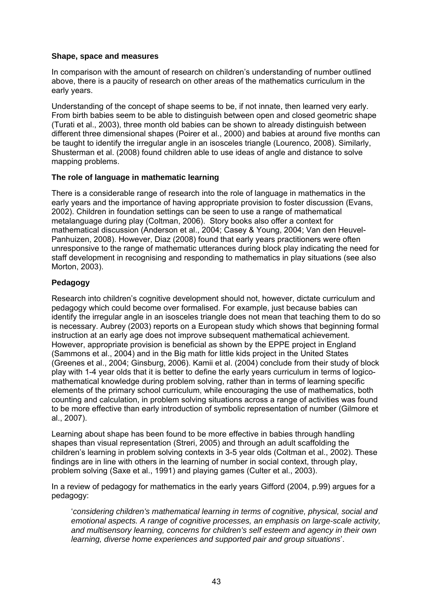### **Shape, space and measures**

In comparison with the amount of research on children's understanding of number outlined above, there is a paucity of research on other areas of the mathematics curriculum in the early years.

Understanding of the concept of shape seems to be, if not innate, then learned very early. From birth babies seem to be able to distinguish between open and closed geometric shape (Turati et al., 2003), three month old babies can be shown to already distinguish between different three dimensional shapes (Poirer et al., 2000) and babies at around five months can be taught to identify the irregular angle in an isosceles triangle (Lourenco, 2008). Similarly, Shusterman et al. (2008) found children able to use ideas of angle and distance to solve mapping problems.

# **The role of language in mathematic learning**

There is a considerable range of research into the role of language in mathematics in the early years and the importance of having appropriate provision to foster discussion (Evans, 2002). Children in foundation settings can be seen to use a range of mathematical metalanguage during play (Coltman, 2006). Story books also offer a context for mathematical discussion (Anderson et al., 2004; Casey & Young, 2004; Van den Heuvel-Panhuizen, 2008). However, Diaz (2008) found that early years practitioners were often unresponsive to the range of mathematic utterances during block play indicating the need for staff development in recognising and responding to mathematics in play situations (see also Morton, 2003).

# **Pedagogy**

Research into children's cognitive development should not, however, dictate curriculum and pedagogy which could become over formalised. For example, just because babies can identify the irregular angle in an isosceles triangle does not mean that teaching them to do so is necessary. Aubrey (2003) reports on a European study which shows that beginning formal instruction at an early age does not improve subsequent mathematical achievement. However, appropriate provision is beneficial as shown by the EPPE project in England (Sammons et al., 2004) and in the Big math for little kids project in the United States (Greenes et al., 2004; Ginsburg, 2006). Kamii et al. (2004) conclude from their study of block play with 1-4 year olds that it is better to define the early years curriculum in terms of logicomathematical knowledge during problem solving, rather than in terms of learning specific elements of the primary school curriculum, while encouraging the use of mathematics, both counting and calculation, in problem solving situations across a range of activities was found to be more effective than early introduction of symbolic representation of number (Gilmore et al., 2007).

Learning about shape has been found to be more effective in babies through handling shapes than visual representation (Streri, 2005) and through an adult scaffolding the children's learning in problem solving contexts in 3-5 year olds (Coltman et al., 2002). These findings are in line with others in the learning of number in social context, through play, problem solving (Saxe et al., 1991) and playing games (Culter et al., 2003).

In a review of pedagogy for mathematics in the early years Gifford (2004, p.99) argues for a pedagogy:

'*considering children's mathematical learning in terms of cognitive, physical, social and emotional aspects. A range of cognitive processes, an emphasis on large-scale activity, and multisensory learning, concerns for children's self esteem and agency in their own learning, diverse home experiences and supported pair and group situations*'.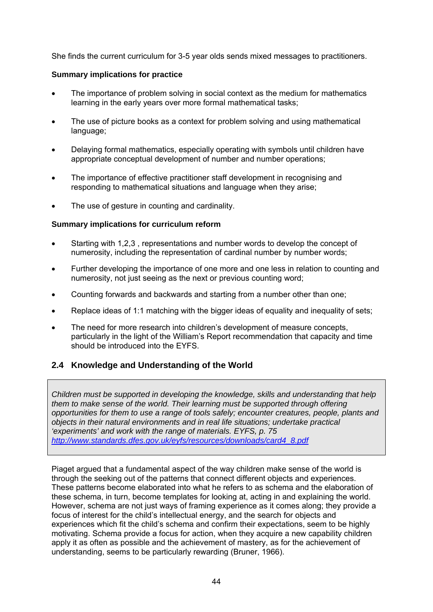She finds the current curriculum for 3-5 year olds sends mixed messages to practitioners.

# **Summary implications for practice**

- The importance of problem solving in social context as the medium for mathematics learning in the early years over more formal mathematical tasks;
- The use of picture books as a context for problem solving and using mathematical language;
- Delaying formal mathematics, especially operating with symbols until children have appropriate conceptual development of number and number operations;
- The importance of effective practitioner staff development in recognising and responding to mathematical situations and language when they arise;
- The use of gesture in counting and cardinality.

# **Summary implications for curriculum reform**

- Starting with 1,2,3 , representations and number words to develop the concept of numerosity, including the representation of cardinal number by number words;
- Further developing the importance of one more and one less in relation to counting and numerosity, not just seeing as the next or previous counting word;
- Counting forwards and backwards and starting from a number other than one;
- Replace ideas of 1:1 matching with the bigger ideas of equality and inequality of sets;
- The need for more research into children's development of measure concepts, particularly in the light of the William's Report recommendation that capacity and time should be introduced into the EYFS.

# **2.4 Knowledge and Understanding of the World**

*Children must be supported in developing the knowledge, skills and understanding that help them to make sense of the world. Their learning must be supported through offering opportunities for them to use a range of tools safely; encounter creatures, people, plants and objects in their natural environments and in real life situations; undertake practical 'experiments' and work with the range of materials. EYFS, p. 75 [http://www.standards.dfes.gov.uk/eyfs/resources/downloads/card4\\_8.pdf](http://www.standards.dfes.gov.uk/eyfs/resources/downloads/card4_8.pdf)* 

Piaget argued that a fundamental aspect of the way children make sense of the world is through the seeking out of the patterns that connect different objects and experiences. These patterns become elaborated into what he refers to as schema and the elaboration of these schema, in turn, become templates for looking at, acting in and explaining the world. However, schema are not just ways of framing experience as it comes along; they provide a focus of interest for the child's intellectual energy, and the search for objects and experiences which fit the child's schema and confirm their expectations, seem to be highly motivating. Schema provide a focus for action, when they acquire a new capability children apply it as often as possible and the achievement of mastery, as for the achievement of understanding, seems to be particularly rewarding (Bruner, 1966).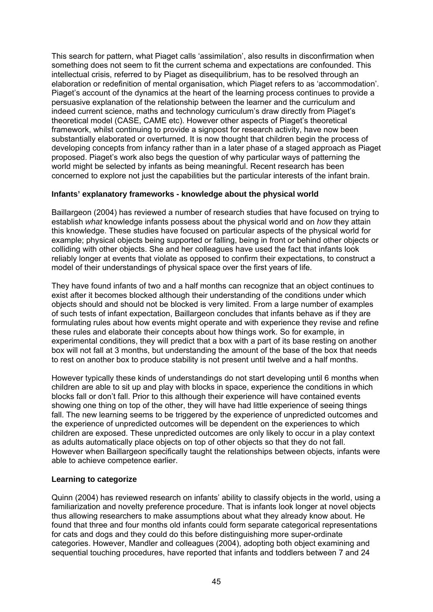This search for pattern, what Piaget calls 'assimilation', also results in disconfirmation when something does not seem to fit the current schema and expectations are confounded. This intellectual crisis, referred to by Piaget as disequilibrium, has to be resolved through an elaboration or redefinition of mental organisation, which Piaget refers to as 'accommodation'. Piaget's account of the dynamics at the heart of the learning process continues to provide a persuasive explanation of the relationship between the learner and the curriculum and indeed current science, maths and technology curriculum's draw directly from Piaget's theoretical model (CASE, CAME etc). However other aspects of Piaget's theoretical framework, whilst continuing to provide a signpost for research activity, have now been substantially elaborated or overturned. It is now thought that children begin the process of developing concepts from infancy rather than in a later phase of a staged approach as Piaget proposed. Piaget's work also begs the question of why particular ways of patterning the world might be selected by infants as being meaningful. Recent research has been concerned to explore not just the capabilities but the particular interests of the infant brain.

# **Infants' explanatory frameworks - knowledge about the physical world**

Baillargeon (2004) has reviewed a number of research studies that have focused on trying to establish *what* knowledge infants possess about the physical world and on *how* they attain this knowledge. These studies have focused on particular aspects of the physical world for example; physical objects being supported or falling, being in front or behind other objects or colliding with other objects. She and her colleagues have used the fact that infants look reliably longer at events that violate as opposed to confirm their expectations, to construct a model of their understandings of physical space over the first years of life.

They have found infants of two and a half months can recognize that an object continues to exist after it becomes blocked although their understanding of the conditions under which objects should and should not be blocked is very limited. From a large number of examples of such tests of infant expectation, Baillargeon concludes that infants behave as if they are formulating rules about how events might operate and with experience they revise and refine these rules and elaborate their concepts about how things work. So for example, in experimental conditions, they will predict that a box with a part of its base resting on another box will not fall at 3 months, but understanding the amount of the base of the box that needs to rest on another box to produce stability is not present until twelve and a half months.

However typically these kinds of understandings do not start developing until 6 months when children are able to sit up and play with blocks in space, experience the conditions in which blocks fall or don't fall. Prior to this although their experience will have contained events showing one thing on top of the other, they will have had little experience of seeing things fall. The new learning seems to be triggered by the experience of unpredicted outcomes and the experience of unpredicted outcomes will be dependent on the experiences to which children are exposed. These unpredicted outcomes are only likely to occur in a play context as adults automatically place objects on top of other objects so that they do not fall. However when Baillargeon specifically taught the relationships between objects, infants were able to achieve competence earlier.

### **Learning to categorize**

Quinn (2004) has reviewed research on infants' ability to classify objects in the world, using a familiarization and novelty preference procedure. That is infants look longer at novel objects thus allowing researchers to make assumptions about what they already know about. He found that three and four months old infants could form separate categorical representations for cats and dogs and they could do this before distinguishing more super-ordinate categories. However, Mandler and colleagues (2004), adopting both object examining and sequential touching procedures, have reported that infants and toddlers between 7 and 24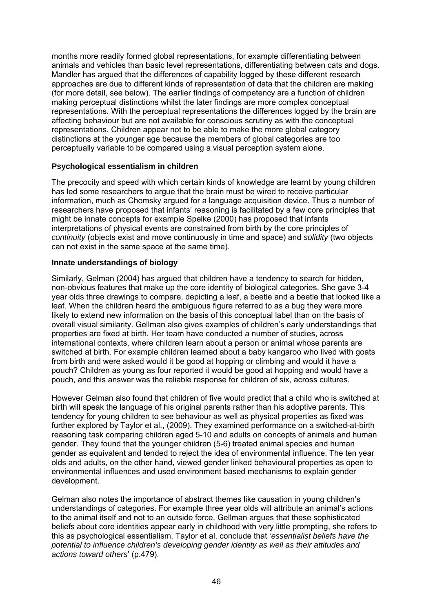months more readily formed global representations, for example differentiating between animals and vehicles than basic level representations, differentiating between cats and dogs. Mandler has argued that the differences of capability logged by these different research approaches are due to different kinds of representation of data that the children are making (for more detail, see below). The earlier findings of competency are a function of children making perceptual distinctions whilst the later findings are more complex conceptual representations. With the perceptual representations the differences logged by the brain are affecting behaviour but are not available for conscious scrutiny as with the conceptual representations. Children appear not to be able to make the more global category distinctions at the younger age because the members of global categories are too perceptually variable to be compared using a visual perception system alone.

### **Psychological essentialism in children**

The precocity and speed with which certain kinds of knowledge are learnt by young children has led some researchers to argue that the brain must be wired to receive particular information, much as Chomsky argued for a language acquisition device. Thus a number of researchers have proposed that infants' reasoning is facilitated by a few core principles that might be innate concepts for example Spelke (2000) has proposed that infants interpretations of physical events are constrained from birth by the core principles of *continuity* (objects exist and move continuously in time and space) and *solidity* (two objects can not exist in the same space at the same time).

# **Innate understandings of biology**

Similarly, Gelman (2004) has argued that children have a tendency to search for hidden, non-obvious features that make up the core identity of biological categories. She gave 3-4 year olds three drawings to compare, depicting a leaf, a beetle and a beetle that looked like a leaf. When the children heard the ambiguous figure referred to as a bug they were more likely to extend new information on the basis of this conceptual label than on the basis of overall visual similarity. Gellman also gives examples of children's early understandings that properties are fixed at birth. Her team have conducted a number of studies, across international contexts, where children learn about a person or animal whose parents are switched at birth. For example children learned about a baby kangaroo who lived with goats from birth and were asked would it be good at hopping or climbing and would it have a pouch? Children as young as four reported it would be good at hopping and would have a pouch, and this answer was the reliable response for children of six, across cultures.

However Gelman also found that children of five would predict that a child who is switched at birth will speak the language of his original parents rather than his adoptive parents. This tendency for young children to see behaviour as well as physical properties as fixed was further explored by Taylor et al., (2009). They examined performance on a switched-at-birth reasoning task comparing children aged 5-10 and adults on concepts of animals and human gender. They found that the younger children (5-6) treated animal species and human gender as equivalent and tended to reject the idea of environmental influence. The ten year olds and adults, on the other hand, viewed gender linked behavioural properties as open to environmental influences and used environment based mechanisms to explain gender development.

Gelman also notes the importance of abstract themes like causation in young children's understandings of categories. For example three year olds will attribute an animal's actions to the animal itself and not to an outside force. Gellman argues that these sophisticated beliefs about core identities appear early in childhood with very little prompting, she refers to this as psychological essentialism. Taylor et al, conclude that '*essentialist beliefs have the potential to influence children's developing gender identity as well as their attitudes and actions toward others*' (p.479).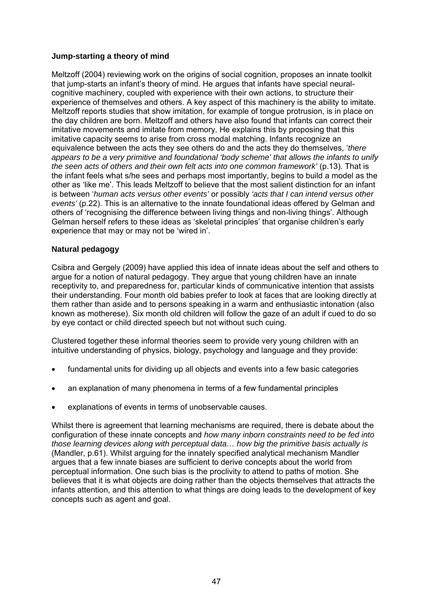# **Jump-starting a theory of mind**

Meltzoff (2004) reviewing work on the origins of social cognition, proposes an innate toolkit that jump-starts an infant's theory of mind. He argues that infants have special neuralcognitive machinery, coupled with experience with their own actions, to structure their experience of themselves and others. A key aspect of this machinery is the ability to imitate. Meltzoff reports studies that show imitation, for example of tongue protrusion, is in place on the day children are born. Meltzoff and others have also found that infants can correct their imitative movements and imitate from memory. He explains this by proposing that this imitative capacity seems to arise from cross modal matching. Infants recognize an equivalence between the acts they see others do and the acts they do themselves, '*there appears to be a very primitive and foundational 'body scheme' that allows the infants to unify the seen acts of others and their own felt acts into one common framework'* (p.13). That is the infant feels what s/he sees and perhaps most importantly, begins to build a model as the other as 'like me'. This leads Meltzoff to believe that the most salient distinction for an infant is between '*human acts versus other events'* or possibly *'acts that I can intend versus other events'* (p.22). This is an alternative to the innate foundational ideas offered by Gelman and others of 'recognising the difference between living things and non-living things'. Although Gelman herself refers to these ideas as 'skeletal principles' that organise children's early experience that may or may not be 'wired in'.

### **Natural pedagogy**

Csibra and Gergely (2009) have applied this idea of innate ideas about the self and others to argue for a notion of natural pedagogy. They argue that young children have an innate receptivity to, and preparedness for, particular kinds of communicative intention that assists their understanding. Four month old babies prefer to look at faces that are looking directly at them rather than aside and to persons speaking in a warm and enthusiastic intonation (also known as motherese). Six month old children will follow the gaze of an adult if cued to do so by eye contact or child directed speech but not without such cuing.

Clustered together these informal theories seem to provide very young children with an intuitive understanding of physics, biology, psychology and language and they provide:

- fundamental units for dividing up all objects and events into a few basic categories
- an explanation of many phenomena in terms of a few fundamental principles
- explanations of events in terms of unobservable causes.

Whilst there is agreement that learning mechanisms are required, there is debate about the configuration of these innate concepts and *how many inborn constraints need to be fed into those learning devices along with perceptual data… how big the primitive basis actually is* (Mandler, p.61). Whilst arguing for the innately specified analytical mechanism Mandler argues that a few innate biases are sufficient to derive concepts about the world from perceptual information. One such bias is the proclivity to attend to paths of motion. She believes that it is what objects are doing rather than the objects themselves that attracts the infants attention, and this attention to what things are doing leads to the development of key concepts such as agent and goal.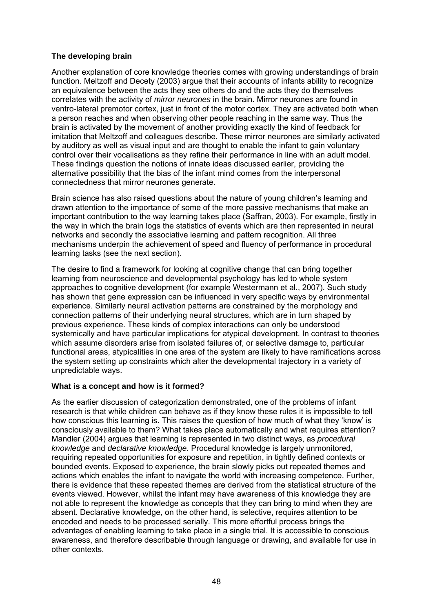# **The developing brain**

Another explanation of core knowledge theories comes with growing understandings of brain function. Meltzoff and Decety (2003) argue that their accounts of infants ability to recognize an equivalence between the acts they see others do and the acts they do themselves correlates with the activity of *mirror neurones* in the brain. Mirror neurones are found in ventro-lateral premotor cortex, just in front of the motor cortex. They are activated both when a person reaches and when observing other people reaching in the same way. Thus the brain is activated by the movement of another providing exactly the kind of feedback for imitation that Meltzoff and colleagues describe. These mirror neurones are similarly activated by auditory as well as visual input and are thought to enable the infant to gain voluntary control over their vocalisations as they refine their performance in line with an adult model. These findings question the notions of innate ideas discussed earlier, providing the alternative possibility that the bias of the infant mind comes from the interpersonal connectedness that mirror neurones generate.

Brain science has also raised questions about the nature of young children's learning and drawn attention to the importance of some of the more passive mechanisms that make an important contribution to the way learning takes place (Saffran, 2003). For example, firstly in the way in which the brain logs the statistics of events which are then represented in neural networks and secondly the associative learning and pattern recognition. All three mechanisms underpin the achievement of speed and fluency of performance in procedural learning tasks (see the next section).

The desire to find a framework for looking at cognitive change that can bring together learning from neuroscience and developmental psychology has led to whole system approaches to cognitive development (for example Westermann et al., 2007). Such study has shown that gene expression can be influenced in very specific ways by environmental experience. Similarly neural activation patterns are constrained by the morphology and connection patterns of their underlying neural structures, which are in turn shaped by previous experience. These kinds of complex interactions can only be understood systemically and have particular implications for atypical development. In contrast to theories which assume disorders arise from isolated failures of, or selective damage to, particular functional areas, atypicalities in one area of the system are likely to have ramifications across the system setting up constraints which alter the developmental trajectory in a variety of unpredictable ways.

### **What is a concept and how is it formed?**

As the earlier discussion of categorization demonstrated, one of the problems of infant research is that while children can behave as if they know these rules it is impossible to tell how conscious this learning is. This raises the question of how much of what they 'know' is consciously available to them? What takes place automatically and what requires attention? Mandler (2004) argues that learning is represented in two distinct ways, as *procedural knowledge* and *declarative knowledge*. Procedural knowledge is largely unmonitored, requiring repeated opportunities for exposure and repetition, in tightly defined contexts or bounded events. Exposed to experience, the brain slowly picks out repeated themes and actions which enables the infant to navigate the world with increasing competence. Further, there is evidence that these repeated themes are derived from the statistical structure of the events viewed. However, whilst the infant may have awareness of this knowledge they are not able to represent the knowledge as concepts that they can bring to mind when they are absent. Declarative knowledge, on the other hand, is selective, requires attention to be encoded and needs to be processed serially. This more effortful process brings the advantages of enabling learning to take place in a single trial. It is accessible to conscious awareness, and therefore describable through language or drawing, and available for use in other contexts.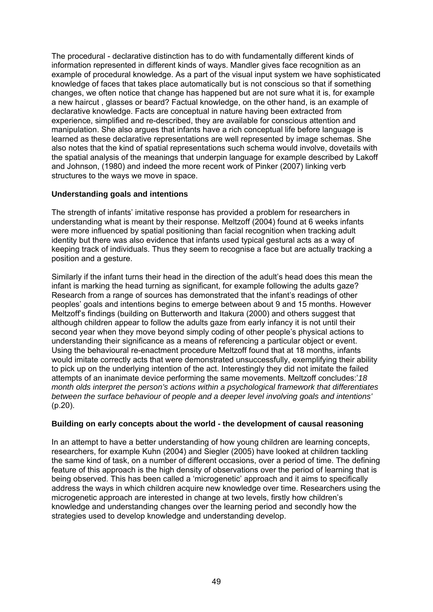The procedural - declarative distinction has to do with fundamentally different kinds of information represented in different kinds of ways. Mandler gives face recognition as an example of procedural knowledge. As a part of the visual input system we have sophisticated knowledge of faces that takes place automatically but is not conscious so that if something changes, we often notice that change has happened but are not sure what it is, for example a new haircut , glasses or beard? Factual knowledge, on the other hand, is an example of declarative knowledge. Facts are conceptual in nature having been extracted from experience, simplified and re-described, they are available for conscious attention and manipulation. She also argues that infants have a rich conceptual life before language is learned as these declarative representations are well represented by image schemas. She also notes that the kind of spatial representations such schema would involve, dovetails with the spatial analysis of the meanings that underpin language for example described by Lakoff and Johnson, (1980) and indeed the more recent work of Pinker (2007) linking verb structures to the ways we move in space.

# **Understanding goals and intentions**

The strength of infants' imitative response has provided a problem for researchers in understanding what is meant by their response. Meltzoff (2004) found at 6 weeks infants were more influenced by spatial positioning than facial recognition when tracking adult identity but there was also evidence that infants used typical gestural acts as a way of keeping track of individuals. Thus they seem to recognise a face but are actually tracking a position and a gesture.

Similarly if the infant turns their head in the direction of the adult's head does this mean the infant is marking the head turning as significant, for example following the adults gaze? Research from a range of sources has demonstrated that the infant's readings of other peoples' goals and intentions begins to emerge between about 9 and 15 months. However Meltzoff's findings (building on Butterworth and Itakura (2000) and others suggest that although children appear to follow the adults gaze from early infancy it is not until their second year when they move beyond simply coding of other people's physical actions to understanding their significance as a means of referencing a particular object or event. Using the behavioural re-enactment procedure Meltzoff found that at 18 months, infants would imitate correctly acts that were demonstrated unsuccessfully, exemplifying their ability to pick up on the underlying intention of the act. Interestingly they did not imitate the failed attempts of an inanimate device performing the same movements. Meltzoff concludes:'*18 month olds interpret the person's actions within a psychological framework that differentiates between the surface behaviour of people and a deeper level involving goals and intentions'* (p.20).

### **Building on early concepts about the world - the development of causal reasoning**

In an attempt to have a better understanding of how young children are learning concepts, researchers, for example Kuhn (2004) and Siegler (2005) have looked at children tackling the same kind of task, on a number of different occasions, over a period of time. The defining feature of this approach is the high density of observations over the period of learning that is being observed. This has been called a 'microgenetic' approach and it aims to specifically address the ways in which children acquire new knowledge over time. Researchers using the microgenetic approach are interested in change at two levels, firstly how children's knowledge and understanding changes over the learning period and secondly how the strategies used to develop knowledge and understanding develop.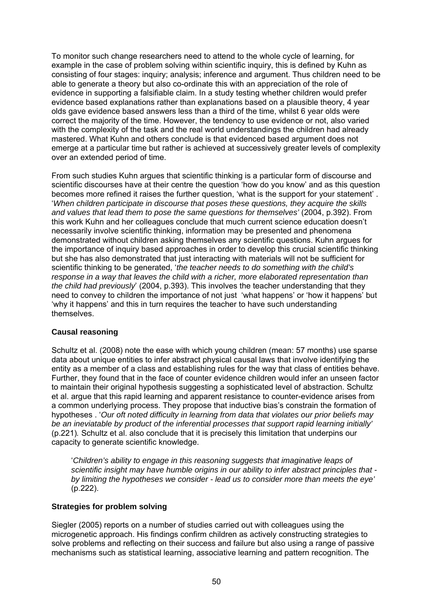To monitor such change researchers need to attend to the whole cycle of learning, for example in the case of problem solving within scientific inquiry, this is defined by Kuhn as consisting of four stages: inquiry; analysis; inference and argument. Thus children need to be able to generate a theory but also co-ordinate this with an appreciation of the role of evidence in supporting a falsifiable claim. In a study testing whether children would prefer evidence based explanations rather than explanations based on a plausible theory, 4 year olds gave evidence based answers less than a third of the time, whilst 6 year olds were correct the majority of the time. However, the tendency to use evidence or not, also varied with the complexity of the task and the real world understandings the children had already mastered. What Kuhn and others conclude is that evidenced based argument does not emerge at a particular time but rather is achieved at successively greater levels of complexity over an extended period of time.

From such studies Kuhn argues that scientific thinking is a particular form of discourse and scientific discourses have at their centre the question 'how do you know' and as this question becomes more refined it raises the further question, 'what is the support for your statement' . '*When children participate in discourse that poses these questions, they acquire the skills and values that lead them to pose the same questions for themselves'* (2004, p.392). From this work Kuhn and her colleagues conclude that much current science education doesn't necessarily involve scientific thinking, information may be presented and phenomena demonstrated without children asking themselves any scientific questions. Kuhn argues for the importance of inquiry based approaches in order to develop this crucial scientific thinking but she has also demonstrated that just interacting with materials will not be sufficient for scientific thinking to be generated, '*the teacher needs to do something with the child's response in a way that leaves the child with a richer, more elaborated representation than the child had previously*' (2004, p.393). This involves the teacher understanding that they need to convey to children the importance of not just 'what happens' or 'how it happens' but 'why it happens' and this in turn requires the teacher to have such understanding themselves.

# **Causal reasoning**

Schultz et al. (2008) note the ease with which young children (mean: 57 months) use sparse data about unique entities to infer abstract physical causal laws that involve identifying the entity as a member of a class and establishing rules for the way that class of entities behave. Further, they found that in the face of counter evidence children would infer an unseen factor to maintain their original hypothesis suggesting a sophisticated level of abstraction. Schultz et al. argue that this rapid learning and apparent resistance to counter-evidence arises from a common underlying process. They propose that inductive bias's constrain the formation of hypotheses . '*Our oft noted difficulty in learning from data that violates our prior beliefs may be an ineviatable by product of the inferential processes that support rapid learning initially'*  (p.221)*.* Schultz et al. also conclude that it is precisely this limitation that underpins our capacity to generate scientific knowledge.

'*Children's ability to engage in this reasoning suggests that imaginative leaps of scientific insight may have humble origins in our ability to infer abstract principles that by limiting the hypotheses we consider - lead us to consider more than meets the eye'*  (p.222).

### **Strategies for problem solving**

Siegler (2005) reports on a number of studies carried out with colleagues using the microgenetic approach. His findings confirm children as actively constructing strategies to solve problems and reflecting on their success and failure but also using a range of passive mechanisms such as statistical learning, associative learning and pattern recognition. The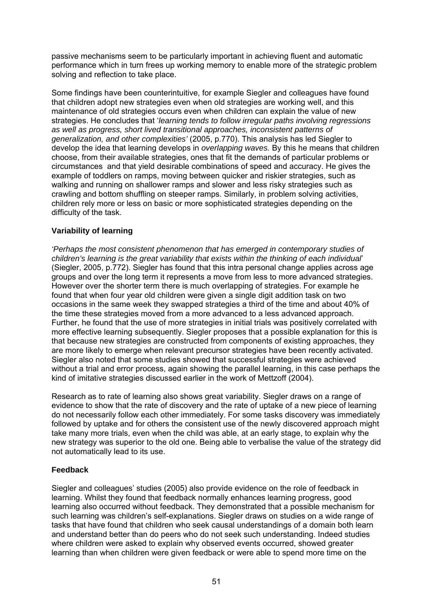passive mechanisms seem to be particularly important in achieving fluent and automatic performance which in turn frees up working memory to enable more of the strategic problem solving and reflection to take place.

Some findings have been counterintuitive, for example Siegler and colleagues have found that children adopt new strategies even when old strategies are working well, and this maintenance of old strategies occurs even when children can explain the value of new strategies. He concludes that '*learning tends to follow irregular paths involving regressions as well as progress, short lived transitional approaches, inconsistent patterns of generalization, and other complexities'* (2005, p.770). This analysis has led Siegler to develop the idea that learning develops in *overlapping waves.* By this he means that children choose, from their available strategies, ones that fit the demands of particular problems or circumstances and that yield desirable combinations of speed and accuracy. He gives the example of toddlers on ramps, moving between quicker and riskier strategies, such as walking and running on shallower ramps and slower and less risky strategies such as crawling and bottom shuffling on steeper ramps. Similarly, in problem solving activities, children rely more or less on basic or more sophisticated strategies depending on the difficulty of the task.

# **Variability of learning**

*'Perhaps the most consistent phenomenon that has emerged in contemporary studies of children's learning is the great variability that exists within the thinking of each individual*' (Siegler, 2005, p.772). Siegler has found that this intra personal change applies across age groups and over the long term it represents a move from less to more advanced strategies. However over the shorter term there is much overlapping of strategies. For example he found that when four year old children were given a single digit addition task on two occasions in the same week they swapped strategies a third of the time and about 40% of the time these strategies moved from a more advanced to a less advanced approach. Further, he found that the use of more strategies in initial trials was positively correlated with more effective learning subsequently. Siegler proposes that a possible explanation for this is that because new strategies are constructed from components of existing approaches, they are more likely to emerge when relevant precursor strategies have been recently activated. Siegler also noted that some studies showed that successful strategies were achieved without a trial and error process, again showing the parallel learning, in this case perhaps the kind of imitative strategies discussed earlier in the work of Mettzoff (2004).

Research as to rate of learning also shows great variability. Siegler draws on a range of evidence to show that the rate of discovery and the rate of uptake of a new piece of learning do not necessarily follow each other immediately. For some tasks discovery was immediately followed by uptake and for others the consistent use of the newly discovered approach might take many more trials, even when the child was able, at an early stage, to explain why the new strategy was superior to the old one. Being able to verbalise the value of the strategy did not automatically lead to its use.

# **Feedback**

Siegler and colleagues' studies (2005) also provide evidence on the role of feedback in learning. Whilst they found that feedback normally enhances learning progress, good learning also occurred without feedback. They demonstrated that a possible mechanism for such learning was children's self-explanations. Siegler draws on studies on a wide range of tasks that have found that children who seek causal understandings of a domain both learn and understand better than do peers who do not seek such understanding. Indeed studies where children were asked to explain why observed events occurred, showed greater learning than when children were given feedback or were able to spend more time on the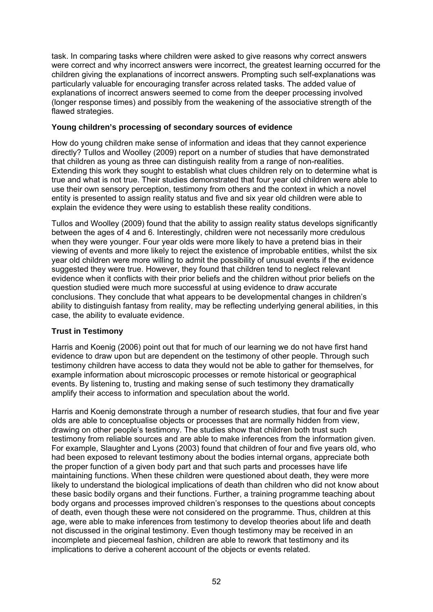task. In comparing tasks where children were asked to give reasons why correct answers were correct and why incorrect answers were incorrect, the greatest learning occurred for the children giving the explanations of incorrect answers. Prompting such self-explanations was particularly valuable for encouraging transfer across related tasks. The added value of explanations of incorrect answers seemed to come from the deeper processing involved (longer response times) and possibly from the weakening of the associative strength of the flawed strategies.

### **Young children's processing of secondary sources of evidence**

How do young children make sense of information and ideas that they cannot experience directly? Tullos and Woolley (2009) report on a number of studies that have demonstrated that children as young as three can distinguish reality from a range of non-realities. Extending this work they sought to establish what clues children rely on to determine what is true and what is not true. Their studies demonstrated that four year old children were able to use their own sensory perception, testimony from others and the context in which a novel entity is presented to assign reality status and five and six year old children were able to explain the evidence they were using to establish these reality conditions.

Tullos and Woolley (2009) found that the ability to assign reality status develops significantly between the ages of 4 and 6. Interestingly, children were not necessarily more credulous when they were younger. Four year olds were more likely to have a pretend bias in their viewing of events and more likely to reject the existence of improbable entities, whilst the six year old children were more willing to admit the possibility of unusual events if the evidence suggested they were true. However, they found that children tend to neglect relevant evidence when it conflicts with their prior beliefs and the children without prior beliefs on the question studied were much more successful at using evidence to draw accurate conclusions. They conclude that what appears to be developmental changes in children's ability to distinguish fantasy from reality, may be reflecting underlying general abilities, in this case, the ability to evaluate evidence.

# **Trust in Testimony**

Harris and Koenig (2006) point out that for much of our learning we do not have first hand evidence to draw upon but are dependent on the testimony of other people. Through such testimony children have access to data they would not be able to gather for themselves, for example information about microscopic processes or remote historical or geographical events. By listening to, trusting and making sense of such testimony they dramatically amplify their access to information and speculation about the world.

Harris and Koenig demonstrate through a number of research studies, that four and five year olds are able to conceptualise objects or processes that are normally hidden from view, drawing on other people's testimony. The studies show that children both trust such testimony from reliable sources and are able to make inferences from the information given. For example, Slaughter and Lyons (2003) found that children of four and five years old, who had been exposed to relevant testimony about the bodies internal organs, appreciate both the proper function of a given body part and that such parts and processes have life maintaining functions. When these children were questioned about death, they were more likely to understand the biological implications of death than children who did not know about these basic bodily organs and their functions. Further, a training programme teaching about body organs and processes improved children's responses to the questions about concepts of death, even though these were not considered on the programme. Thus, children at this age, were able to make inferences from testimony to develop theories about life and death not discussed in the original testimony. Even though testimony may be received in an incomplete and piecemeal fashion, children are able to rework that testimony and its implications to derive a coherent account of the objects or events related.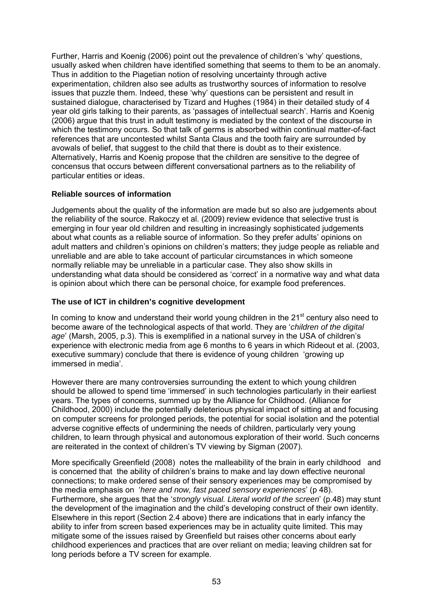Further, Harris and Koenig (2006) point out the prevalence of children's 'why' questions, usually asked when children have identified something that seems to them to be an anomaly. Thus in addition to the Piagetian notion of resolving uncertainty through active experimentation, children also see adults as trustworthy sources of information to resolve issues that puzzle them. Indeed, these 'why' questions can be persistent and result in sustained dialogue, characterised by Tizard and Hughes (1984) in their detailed study of 4 year old girls talking to their parents, as 'passages of intellectual search'. Harris and Koenig (2006) argue that this trust in adult testimony is mediated by the context of the discourse in which the testimony occurs. So that talk of germs is absorbed within continual matter-of-fact references that are uncontested whilst Santa Claus and the tooth fairy are surrounded by avowals of belief, that suggest to the child that there is doubt as to their existence. Alternatively, Harris and Koenig propose that the children are sensitive to the degree of concensus that occurs between different conversational partners as to the reliability of particular entities or ideas.

# **Reliable sources of information**

Judgements about the quality of the information are made but so also are judgements about the reliability of the source. Rakoczy et al. (2009) review evidence that selective trust is emerging in four year old children and resulting in increasingly sophisticated judgements about what counts as a reliable source of information. So they prefer adults' opinions on adult matters and children's opinions on children's matters; they judge people as reliable and unreliable and are able to take account of particular circumstances in which someone normally reliable may be unreliable in a particular case. They also show skills in understanding what data should be considered as 'correct' in a normative way and what data is opinion about which there can be personal choice, for example food preferences.

### **The use of ICT in children's cognitive development**

In coming to know and understand their world young children in the  $21<sup>st</sup>$  century also need to become aware of the technological aspects of that world. They are '*children of the digital age*' (Marsh, 2005, p.3). This is exemplified in a national survey in the USA of children's experience with electronic media from age 6 months to 6 years in which Rideout et al. (2003, executive summary) conclude that there is evidence of young children 'growing up immersed in media'.

However there are many controversies surrounding the extent to which young children should be allowed to spend time 'immersed' in such technologies particularly in their earliest years. The types of concerns, summed up by the Alliance for Childhood. (Alliance for Childhood, 2000) include the potentially deleterious physical impact of sitting at and focusing on computer screens for prolonged periods, the potential for social isolation and the potential adverse cognitive effects of undermining the needs of children, particularly very young children, to learn through physical and autonomous exploration of their world. Such concerns are reiterated in the context of children's TV viewing by Sigman (2007).

More specifically Greenfield (2008) notes the malleability of the brain in early childhood and is concerned that the ability of children's brains to make and lay down effective neuronal connections; to make ordered sense of their sensory experiences may be compromised by the media emphasis on '*here and now, fast paced sensory experiences*' (p 48). Furthermore, she argues that the '*strongly visual. Literal world of the screen*' (p.48) may stunt the development of the imagination and the child's developing construct of their own identity. Elsewhere in this report (Section 2.4 above) there are indications that in early infancy the ability to infer from screen based experiences may be in actuality quite limited. This may mitigate some of the issues raised by Greenfield but raises other concerns about early childhood experiences and practices that are over reliant on media; leaving children sat for long periods before a TV screen for example.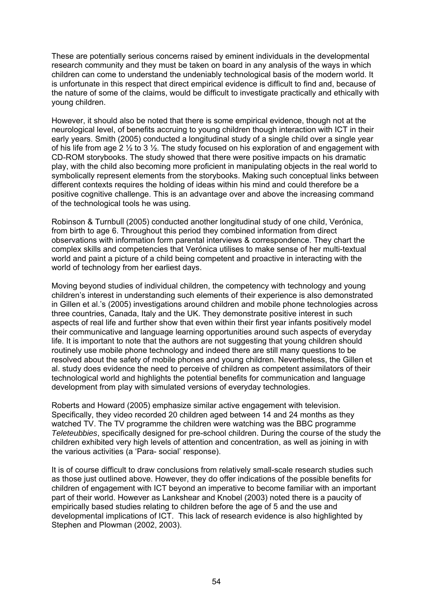These are potentially serious concerns raised by eminent individuals in the developmental research community and they must be taken on board in any analysis of the ways in which children can come to understand the undeniably technological basis of the modern world. It is unfortunate in this respect that direct empirical evidence is difficult to find and, because of the nature of some of the claims, would be difficult to investigate practically and ethically with young children.

However, it should also be noted that there is some empirical evidence, though not at the neurological level, of benefits accruing to young children though interaction with ICT in their early years. Smith (2005) conducted a longitudinal study of a single child over a single year of his life from age 2 ½ to 3 ½. The study focused on his exploration of and engagement with CD-ROM storybooks. The study showed that there were positive impacts on his dramatic play, with the child also becoming more proficient in manipulating objects in the real world to symbolically represent elements from the storybooks. Making such conceptual links between different contexts requires the holding of ideas within his mind and could therefore be a positive cognitive challenge. This is an advantage over and above the increasing command of the technological tools he was using.

Robinson & Turnbull (2005) conducted another longitudinal study of one child, Verónica, from birth to age 6. Throughout this period they combined information from direct observations with information form parental interviews & correspondence. They chart the complex skills and competencies that Verónica utilises to make sense of her multi-textual world and paint a picture of a child being competent and proactive in interacting with the world of technology from her earliest days.

Moving beyond studies of individual children, the competency with technology and young children's interest in understanding such elements of their experience is also demonstrated in Gillen et al.'s (2005) investigations around children and mobile phone technologies across three countries, Canada, Italy and the UK. They demonstrate positive interest in such aspects of real life and further show that even within their first year infants positively model their communicative and language learning opportunities around such aspects of everyday life. It is important to note that the authors are not suggesting that young children should routinely use mobile phone technology and indeed there are still many questions to be resolved about the safety of mobile phones and young children. Nevertheless, the Gillen et al. study does evidence the need to perceive of children as competent assimilators of their technological world and highlights the potential benefits for communication and language development from play with simulated versions of everyday technologies.

Roberts and Howard (2005) emphasize similar active engagement with television. Specifically, they video recorded 20 children aged between 14 and 24 months as they watched TV. The TV programme the children were watching was the BBC programme *Teleteubbies*, specifically designed for pre-school children. During the course of the study the children exhibited very high levels of attention and concentration, as well as joining in with the various activities (a 'Para- social' response).

It is of course difficult to draw conclusions from relatively small-scale research studies such as those just outlined above. However, they do offer indications of the possible benefits for children of engagement with ICT beyond an imperative to become familiar with an important part of their world. However as Lankshear and Knobel (2003) noted there is a paucity of empirically based studies relating to children before the age of 5 and the use and developmental implications of ICT. This lack of research evidence is also highlighted by Stephen and Plowman (2002, 2003).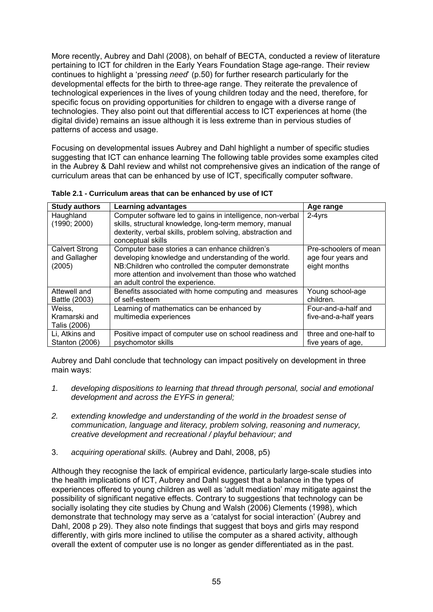More recently, Aubrey and Dahl (2008), on behalf of BECTA, conducted a review of literature pertaining to ICT for children in the Early Years Foundation Stage age-range. Their review continues to highlight a 'pressing *need*' (p.50) for further research particularly for the developmental effects for the birth to three-age range. They reiterate the prevalence of technological experiences in the lives of young children today and the need, therefore, for specific focus on providing opportunities for children to engage with a diverse range of technologies. They also point out that differential access to ICT experiences at home (the digital divide) remains an issue although it is less extreme than in pervious studies of patterns of access and usage.

Focusing on developmental issues Aubrey and Dahl highlight a number of specific studies suggesting that ICT can enhance learning The following table provides some examples cited in the Aubrey & Dahl review and whilst not comprehensive gives an indication of the range of curriculum areas that can be enhanced by use of ICT, specifically computer software.

| <b>Study authors</b>                             | <b>Learning advantages</b>                                                                                                                                                                                                                                  | Age range                                                   |
|--------------------------------------------------|-------------------------------------------------------------------------------------------------------------------------------------------------------------------------------------------------------------------------------------------------------------|-------------------------------------------------------------|
| Haughland<br>(1990; 2000)                        | Computer software led to gains in intelligence, non-verbal<br>skills, structural knowledge, long-term memory, manual<br>dexterity, verbal skills, problem solving, abstraction and<br>conceptual skills                                                     | $2-4yrs$                                                    |
| <b>Calvert Strong</b><br>and Gallagher<br>(2005) | Computer base stories a can enhance children's<br>developing knowledge and understanding of the world.<br>NB: Children who controlled the computer demonstrate<br>more attention and involvement than those who watched<br>an adult control the experience. | Pre-schoolers of mean<br>age four years and<br>eight months |
| Attewell and<br>Battle (2003)                    | Benefits associated with home computing and measures<br>of self-esteem                                                                                                                                                                                      | Young school-age<br>children.                               |
| Weiss,<br>Kramarski and<br>Talis (2006)          | Learning of mathematics can be enhanced by<br>multimedia experiences                                                                                                                                                                                        | Four-and-a-half and<br>five-and-a-half years                |
| Li, Atkins and<br><b>Stanton (2006)</b>          | Positive impact of computer use on school readiness and<br>psychomotor skills                                                                                                                                                                               | three and one-half to<br>five years of age.                 |

**Table 2.1 - Curriculum areas that can be enhanced by use of ICT** 

Aubrey and Dahl conclude that technology can impact positively on development in three main ways:

- *1. developing dispositions to learning that thread through personal, social and emotional development and across the EYFS in general;*
- *2. extending knowledge and understanding of the world in the broadest sense of communication, language and literacy, problem solving, reasoning and numeracy, creative development and recreational / playful behaviour; and*
- 3. *acquiring operational skills.* (Aubrey and Dahl, 2008, p5)

Although they recognise the lack of empirical evidence, particularly large-scale studies into the health implications of ICT, Aubrey and Dahl suggest that a balance in the types of experiences offered to young children as well as 'adult mediation' may mitigate against the possibility of significant negative effects. Contrary to suggestions that technology can be socially isolating they cite studies by Chung and Walsh (2006) Clements (1998), which demonstrate that technology may serve as a 'catalyst for social interaction' (Aubrey and Dahl, 2008 p 29). They also note findings that suggest that boys and girls may respond differently, with girls more inclined to utilise the computer as a shared activity, although overall the extent of computer use is no longer as gender differentiated as in the past.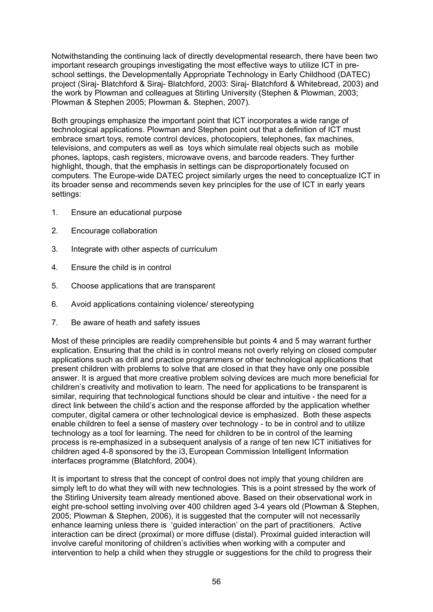Notwithstanding the continuing lack of directly developmental research, there have been two important research groupings investigating the most effective ways to utilize ICT in preschool settings, the Developmentally Appropriate Technology in Early Childhood (DATEC) project (Siraj- Blatchford & Siraj- Blatchford, 2003: Siraj- Blatchford & Whitebread, 2003) and the work by Plowman and colleagues at Stirling University (Stephen & Plowman, 2003; Plowman & Stephen 2005; Plowman &. Stephen, 2007).

Both groupings emphasize the important point that ICT incorporates a wide range of technological applications. Plowman and Stephen point out that a definition of ICT must embrace smart toys, remote control devices, photocopiers, telephones, fax machines, televisions, and computers as well as toys which simulate real objects such as mobile phones, laptops, cash registers, microwave ovens, and barcode readers. They further highlight, though, that the emphasis in settings can be disproportionately focused on computers. The Europe-wide DATEC project similarly urges the need to conceptualize ICT in its broader sense and recommends seven key principles for the use of ICT in early years settings:

- 1. Ensure an educational purpose
- 2. Encourage collaboration
- 3. Integrate with other aspects of curriculum
- 4. Ensure the child is in control
- 5. Choose applications that are transparent
- 6. Avoid applications containing violence/ stereotyping
- 7. Be aware of heath and safety issues

Most of these principles are readily comprehensible but points 4 and 5 may warrant further explication. Ensuring that the child is in control means not overly relying on closed computer applications such as drill and practice programmers or other technological applications that present children with problems to solve that are closed in that they have only one possible answer. It is argued that more creative problem solving devices are much more beneficial for children's creativity and motivation to learn. The need for applications to be transparent is similar, requiring that technological functions should be clear and intuitive - the need for a direct link between the child's action and the response afforded by the application whether computer, digital camera or other technological device is emphasized. Both these aspects enable children to feel a sense of mastery over technology - to be in control and to utilize technology as a tool for learning. The need for children to be in control of the learning process is re-emphasized in a subsequent analysis of a range of ten new ICT initiatives for children aged 4-8 sponsored by the i3, European Commission Intelligent Information interfaces programme (Blatchford, 2004).

It is important to stress that the concept of control does not imply that young children are simply left to do what they will with new technologies. This is a point stressed by the work of the Stirling University team already mentioned above. Based on their observational work in eight pre-school setting involving over 400 children aged 3-4 years old (Plowman & Stephen, 2005; Plowman & Stephen, 2006), it is suggested that the computer will not necessarily enhance learning unless there is 'guided interaction' on the part of practitioners. Active interaction can be direct (proximal) or more diffuse (distal). Proximal guided interaction will involve careful monitoring of children's activities when working with a computer and intervention to help a child when they struggle or suggestions for the child to progress their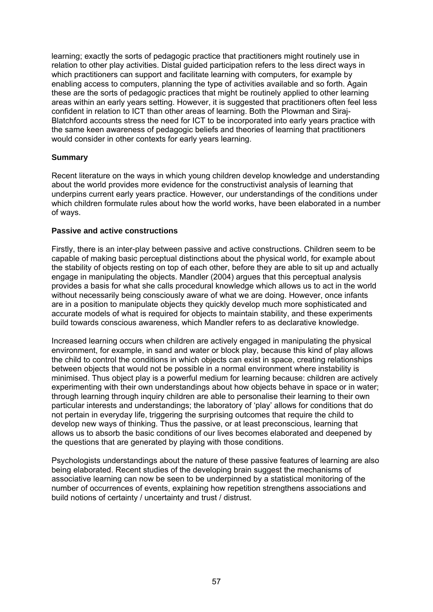learning; exactly the sorts of pedagogic practice that practitioners might routinely use in relation to other play activities. Distal guided participation refers to the less direct ways in which practitioners can support and facilitate learning with computers, for example by enabling access to computers, planning the type of activities available and so forth. Again these are the sorts of pedagogic practices that might be routinely applied to other learning areas within an early years setting. However, it is suggested that practitioners often feel less confident in relation to ICT than other areas of learning. Both the Plowman and Siraj-Blatchford accounts stress the need for ICT to be incorporated into early years practice with the same keen awareness of pedagogic beliefs and theories of learning that practitioners would consider in other contexts for early years learning.

# **Summary**

Recent literature on the ways in which young children develop knowledge and understanding about the world provides more evidence for the constructivist analysis of learning that underpins current early years practice. However, our understandings of the conditions under which children formulate rules about how the world works, have been elaborated in a number of ways.

### **Passive and active constructions**

Firstly, there is an inter-play between passive and active constructions. Children seem to be capable of making basic perceptual distinctions about the physical world, for example about the stability of objects resting on top of each other, before they are able to sit up and actually engage in manipulating the objects. Mandler (2004) argues that this perceptual analysis provides a basis for what she calls procedural knowledge which allows us to act in the world without necessarily being consciously aware of what we are doing. However, once infants are in a position to manipulate objects they quickly develop much more sophisticated and accurate models of what is required for objects to maintain stability, and these experiments build towards conscious awareness, which Mandler refers to as declarative knowledge.

Increased learning occurs when children are actively engaged in manipulating the physical environment, for example, in sand and water or block play, because this kind of play allows the child to control the conditions in which objects can exist in space, creating relationships between objects that would not be possible in a normal environment where instability is minimised. Thus object play is a powerful medium for learning because: children are actively experimenting with their own understandings about how objects behave in space or in water; through learning through inquiry children are able to personalise their learning to their own particular interests and understandings; the laboratory of 'play' allows for conditions that do not pertain in everyday life, triggering the surprising outcomes that require the child to develop new ways of thinking. Thus the passive, or at least preconscious, learning that allows us to absorb the basic conditions of our lives becomes elaborated and deepened by the questions that are generated by playing with those conditions.

Psychologists understandings about the nature of these passive features of learning are also being elaborated. Recent studies of the developing brain suggest the mechanisms of associative learning can now be seen to be underpinned by a statistical monitoring of the number of occurrences of events, explaining how repetition strengthens associations and build notions of certainty / uncertainty and trust / distrust.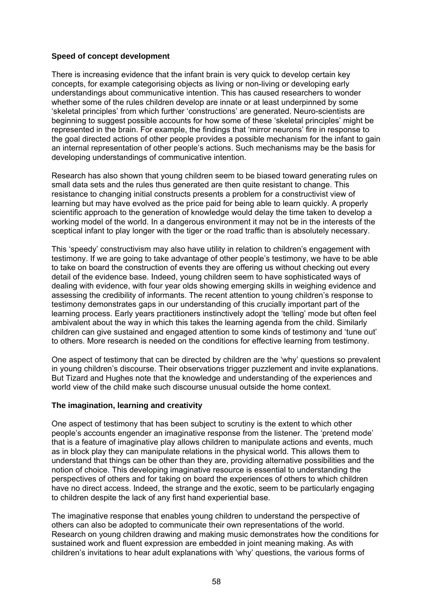### **Speed of concept development**

There is increasing evidence that the infant brain is very quick to develop certain key concepts, for example categorising objects as living or non-living or developing early understandings about communicative intention. This has caused researchers to wonder whether some of the rules children develop are innate or at least underpinned by some 'skeletal principles' from which further 'constructions' are generated. Neuro-scientists are beginning to suggest possible accounts for how some of these 'skeletal principles' might be represented in the brain. For example, the findings that 'mirror neurons' fire in response to the goal directed actions of other people provides a possible mechanism for the infant to gain an internal representation of other people's actions. Such mechanisms may be the basis for developing understandings of communicative intention.

Research has also shown that young children seem to be biased toward generating rules on small data sets and the rules thus generated are then quite resistant to change. This resistance to changing initial constructs presents a problem for a constructivist view of learning but may have evolved as the price paid for being able to learn quickly. A properly scientific approach to the generation of knowledge would delay the time taken to develop a working model of the world. In a dangerous environment it may not be in the interests of the sceptical infant to play longer with the tiger or the road traffic than is absolutely necessary.

This 'speedy' constructivism may also have utility in relation to children's engagement with testimony. If we are going to take advantage of other people's testimony, we have to be able to take on board the construction of events they are offering us without checking out every detail of the evidence base. Indeed, young children seem to have sophisticated ways of dealing with evidence, with four year olds showing emerging skills in weighing evidence and assessing the credibility of informants. The recent attention to young children's response to testimony demonstrates gaps in our understanding of this crucially important part of the learning process. Early years practitioners instinctively adopt the 'telling' mode but often feel ambivalent about the way in which this takes the learning agenda from the child. Similarly children can give sustained and engaged attention to some kinds of testimony and 'tune out' to others. More research is needed on the conditions for effective learning from testimony.

One aspect of testimony that can be directed by children are the 'why' questions so prevalent in young children's discourse. Their observations trigger puzzlement and invite explanations. But Tizard and Hughes note that the knowledge and understanding of the experiences and world view of the child make such discourse unusual outside the home context.

### **The imagination, learning and creativity**

One aspect of testimony that has been subject to scrutiny is the extent to which other people's accounts engender an imaginative response from the listener. The 'pretend mode' that is a feature of imaginative play allows children to manipulate actions and events, much as in block play they can manipulate relations in the physical world. This allows them to understand that things can be other than they are, providing alternative possibilities and the notion of choice. This developing imaginative resource is essential to understanding the perspectives of others and for taking on board the experiences of others to which children have no direct access. Indeed, the strange and the exotic, seem to be particularly engaging to children despite the lack of any first hand experiential base.

The imaginative response that enables young children to understand the perspective of others can also be adopted to communicate their own representations of the world. Research on young children drawing and making music demonstrates how the conditions for sustained work and fluent expression are embedded in joint meaning making. As with children's invitations to hear adult explanations with 'why' questions, the various forms of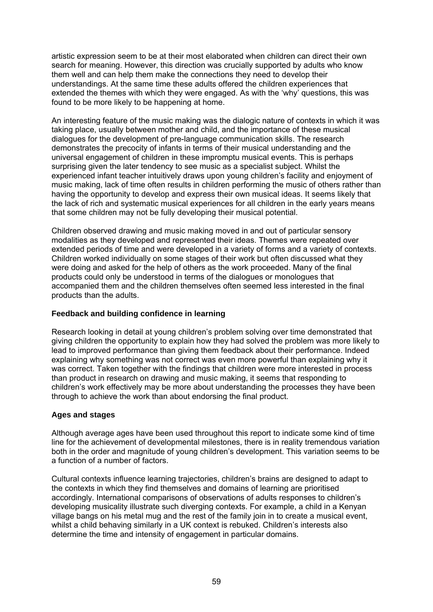artistic expression seem to be at their most elaborated when children can direct their own search for meaning. However, this direction was crucially supported by adults who know them well and can help them make the connections they need to develop their understandings. At the same time these adults offered the children experiences that extended the themes with which they were engaged. As with the 'why' questions, this was found to be more likely to be happening at home.

An interesting feature of the music making was the dialogic nature of contexts in which it was taking place, usually between mother and child, and the importance of these musical dialogues for the development of pre-language communication skills. The research demonstrates the precocity of infants in terms of their musical understanding and the universal engagement of children in these impromptu musical events. This is perhaps surprising given the later tendency to see music as a specialist subject. Whilst the experienced infant teacher intuitively draws upon young children's facility and enjoyment of music making, lack of time often results in children performing the music of others rather than having the opportunity to develop and express their own musical ideas. It seems likely that the lack of rich and systematic musical experiences for all children in the early years means that some children may not be fully developing their musical potential.

Children observed drawing and music making moved in and out of particular sensory modalities as they developed and represented their ideas. Themes were repeated over extended periods of time and were developed in a variety of forms and a variety of contexts. Children worked individually on some stages of their work but often discussed what they were doing and asked for the help of others as the work proceeded. Many of the final products could only be understood in terms of the dialogues or monologues that accompanied them and the children themselves often seemed less interested in the final products than the adults.

### **Feedback and building confidence in learning**

Research looking in detail at young children's problem solving over time demonstrated that giving children the opportunity to explain how they had solved the problem was more likely to lead to improved performance than giving them feedback about their performance. Indeed explaining why something was not correct was even more powerful than explaining why it was correct. Taken together with the findings that children were more interested in process than product in research on drawing and music making, it seems that responding to children's work effectively may be more about understanding the processes they have been through to achieve the work than about endorsing the final product.

# **Ages and stages**

Although average ages have been used throughout this report to indicate some kind of time line for the achievement of developmental milestones, there is in reality tremendous variation both in the order and magnitude of young children's development. This variation seems to be a function of a number of factors.

Cultural contexts influence learning trajectories, children's brains are designed to adapt to the contexts in which they find themselves and domains of learning are prioritised accordingly. International comparisons of observations of adults responses to children's developing musicality illustrate such diverging contexts. For example, a child in a Kenyan village bangs on his metal mug and the rest of the family join in to create a musical event, whilst a child behaving similarly in a UK context is rebuked. Children's interests also determine the time and intensity of engagement in particular domains.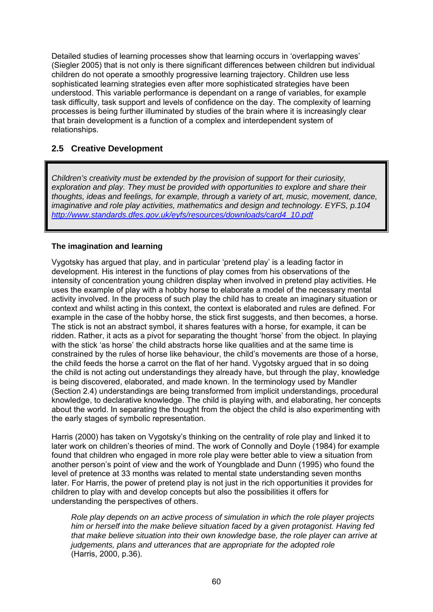Detailed studies of learning processes show that learning occurs in 'overlapping waves' (Siegler 2005) that is not only is there significant differences between children but individual children do not operate a smoothly progressive learning trajectory. Children use less sophisticated learning strategies even after more sophisticated strategies have been understood. This variable performance is dependant on a range of variables, for example task difficulty, task support and levels of confidence on the day. The complexity of learning processes is being further illuminated by studies of the brain where it is increasingly clear that brain development is a function of a complex and interdependent system of relationships.

# **2.5 Creative Development**

*Children's creativity must be extended by the provision of support for their curiosity, exploration and play. They must be provided with opportunities to explore and share their thoughts, ideas and feelings, for example, through a variety of art, music, movement, dance, imaginative and role play activities, mathematics and design and technology. EYFS, p.104 [http://www.standards.dfes.gov.uk/eyfs/resources/downloads/card4\\_10.pdf](http://www.standards.dfes.gov.uk/eyfs/resources/downloads/card4_10.pdf)* 

# **The imagination and learning**

Vygotsky has argued that play, and in particular 'pretend play' is a leading factor in development. His interest in the functions of play comes from his observations of the intensity of concentration young children display when involved in pretend play activities. He uses the example of play with a hobby horse to elaborate a model of the necessary mental activity involved. In the process of such play the child has to create an imaginary situation or context and whilst acting in this context, the context is elaborated and rules are defined. For example in the case of the hobby horse, the stick first suggests, and then becomes, a horse. The stick is not an abstract symbol, it shares features with a horse, for example, it can be ridden. Rather, it acts as a pivot for separating the thought 'horse' from the object. In playing with the stick 'as horse' the child abstracts horse like qualities and at the same time is constrained by the rules of horse like behaviour, the child's movements are those of a horse, the child feeds the horse a carrot on the flat of her hand. Vygotsky argued that in so doing the child is not acting out understandings they already have, but through the play, knowledge is being discovered, elaborated, and made known. In the terminology used by Mandler (Section 2.4) understandings are being transformed from implicit understandings, procedural knowledge, to declarative knowledge. The child is playing with, and elaborating, her concepts about the world. In separating the thought from the object the child is also experimenting with the early stages of symbolic representation.

Harris (2000) has taken on Vygotsky's thinking on the centrality of role play and linked it to later work on children's theories of mind. The work of Connolly and Doyle (1984) for example found that children who engaged in more role play were better able to view a situation from another person's point of view and the work of Youngblade and Dunn (1995) who found the level of pretence at 33 months was related to mental state understanding seven months later. For Harris, the power of pretend play is not just in the rich opportunities it provides for children to play with and develop concepts but also the possibilities it offers for understanding the perspectives of others.

*Role play depends on an active process of simulation in which the role player projects him or herself into the make believe situation faced by a given protagonist. Having fed that make believe situation into their own knowledge base, the role player can arrive at judgements, plans and utterances that are appropriate for the adopted role*  (Harris, 2000, p.36).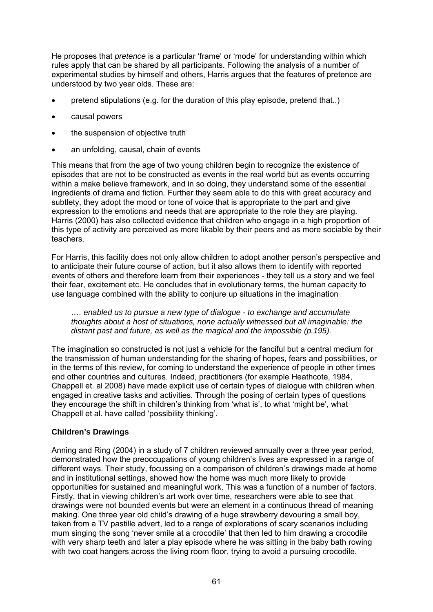He proposes that *pretence* is a particular 'frame' or 'mode' for understanding within which rules apply that can be shared by all participants. Following the analysis of a number of experimental studies by himself and others, Harris argues that the features of pretence are understood by two year olds. These are:

- pretend stipulations (e.g. for the duration of this play episode, pretend that..)
- causal powers
- the suspension of objective truth
- an unfolding, causal, chain of events

This means that from the age of two young children begin to recognize the existence of episodes that are not to be constructed as events in the real world but as events occurring within a make believe framework, and in so doing, they understand some of the essential ingredients of drama and fiction*.* Further they seem able to do this with great accuracy and subtlety, they adopt the mood or tone of voice that is appropriate to the part and give expression to the emotions and needs that are appropriate to the role they are playing. Harris (2000) has also collected evidence that children who engage in a high proportion of this type of activity are perceived as more likable by their peers and as more sociable by their teachers.

For Harris, this facility does not only allow children to adopt another person's perspective and to anticipate their future course of action, but it also allows them to identify with reported events of others and therefore learn from their experiences - they tell us a story and we feel their fear, excitement etc. He concludes that in evolutionary terms, the human capacity to use language combined with the ability to conjure up situations in the imagination

*…. enabled us to pursue a new type of dialogue - to exchange and accumulate thoughts about a host of situations, none actually witnessed but all imaginable: the distant past and future, as well as the magical and the impossible (p.195).*

The imagination so constructed is not just a vehicle for the fanciful but a central medium for the transmission of human understanding for the sharing of hopes, fears and possibilities, or in the terms of this review, for coming to understand the experience of people in other times and other countries and cultures. Indeed, practitioners (for example Heathcote, 1984, Chappell et. al 2008) have made explicit use of certain types of dialogue with children when engaged in creative tasks and activities. Through the posing of certain types of questions they encourage the shift in children's thinking from 'what is', to what 'might be', what Chappell et al. have called 'possibility thinking'.

### **Children's Drawings**

Anning and Ring (2004) in a study of 7 children reviewed annually over a three year period, demonstrated how the preoccupations of young children's lives are expressed in a range of different ways. Their study, focussing on a comparison of children's drawings made at home and in institutional settings, showed how the home was much more likely to provide opportunities for sustained and meaningful work. This was a function of a number of factors. Firstly, that in viewing children's art work over time, researchers were able to see that drawings were not bounded events but were an element in a continuous thread of meaning making. One three year old child's drawing of a huge strawberry devouring a small boy, taken from a TV pastille advert, led to a range of explorations of scary scenarios including mum singing the song 'never smile at a crocodile' that then led to him drawing a crocodile with very sharp teeth and later a play episode where he was sitting in the baby bath rowing with two coat hangers across the living room floor, trying to avoid a pursuing crocodile.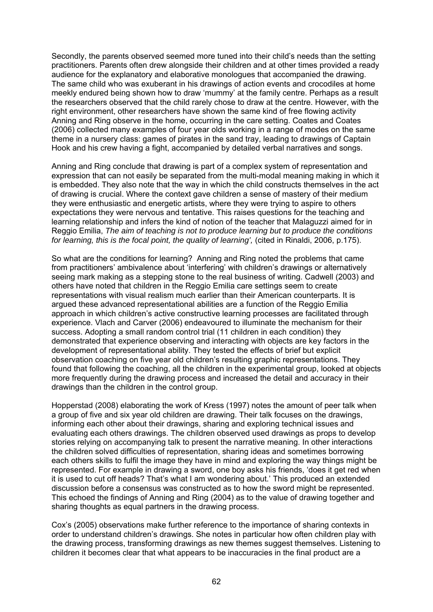Secondly, the parents observed seemed more tuned into their child's needs than the setting practitioners. Parents often drew alongside their children and at other times provided a ready audience for the explanatory and elaborative monologues that accompanied the drawing. The same child who was exuberant in his drawings of action events and crocodiles at home meekly endured being shown how to draw 'mummy' at the family centre. Perhaps as a result the researchers observed that the child rarely chose to draw at the centre. However, with the right environment, other researchers have shown the same kind of free flowing activity Anning and Ring observe in the home, occurring in the care setting. Coates and Coates (2006) collected many examples of four year olds working in a range of modes on the same theme in a nursery class: games of pirates in the sand tray, leading to drawings of Captain Hook and his crew having a fight, accompanied by detailed verbal narratives and songs.

Anning and Ring conclude that drawing is part of a complex system of representation and expression that can not easily be separated from the multi-modal meaning making in which it is embedded. They also note that the way in which the child constructs themselves in the act of drawing is crucial. Where the context gave children a sense of mastery of their medium they were enthusiastic and energetic artists, where they were trying to aspire to others expectations they were nervous and tentative. This raises questions for the teaching and learning relationship and infers the kind of notion of the teacher that Malaguzzi aimed for in Reggio Emilia, *The aim of teaching is not to produce learning but to produce the conditions for learning, this is the focal point, the quality of learning',* (cited in Rinaldi, 2006, p.175).

So what are the conditions for learning? Anning and Ring noted the problems that came from practitioners' ambivalence about 'interfering' with children's drawings or alternatively seeing mark making as a stepping stone to the real business of writing. Cadwell (2003) and others have noted that children in the Reggio Emilia care settings seem to create representations with visual realism much earlier than their American counterparts. It is argued these advanced representational abilities are a function of the Reggio Emilia approach in which children's active constructive learning processes are facilitated through experience. Vlach and Carver (2006) endeavoured to illuminate the mechanism for their success. Adopting a small random control trial (11 children in each condition) they demonstrated that experience observing and interacting with objects are key factors in the development of representational ability. They tested the effects of brief but explicit observation coaching on five year old children's resulting graphic representations. They found that following the coaching, all the children in the experimental group, looked at objects more frequently during the drawing process and increased the detail and accuracy in their drawings than the children in the control group.

Hopperstad (2008) elaborating the work of Kress (1997) notes the amount of peer talk when a group of five and six year old children are drawing. Their talk focuses on the drawings, informing each other about their drawings, sharing and exploring technical issues and evaluating each others drawings. The children observed used drawings as props to develop stories relying on accompanying talk to present the narrative meaning. In other interactions the children solved difficulties of representation, sharing ideas and sometimes borrowing each others skills to fulfil the image they have in mind and exploring the way things might be represented. For example in drawing a sword, one boy asks his friends, 'does it get red when it is used to cut off heads? That's what I am wondering about.' This produced an extended discussion before a consensus was constructed as to how the sword might be represented. This echoed the findings of Anning and Ring (2004) as to the value of drawing together and sharing thoughts as equal partners in the drawing process.

Cox's (2005) observations make further reference to the importance of sharing contexts in order to understand children's drawings. She notes in particular how often children play with the drawing process, transforming drawings as new themes suggest themselves. Listening to children it becomes clear that what appears to be inaccuracies in the final product are a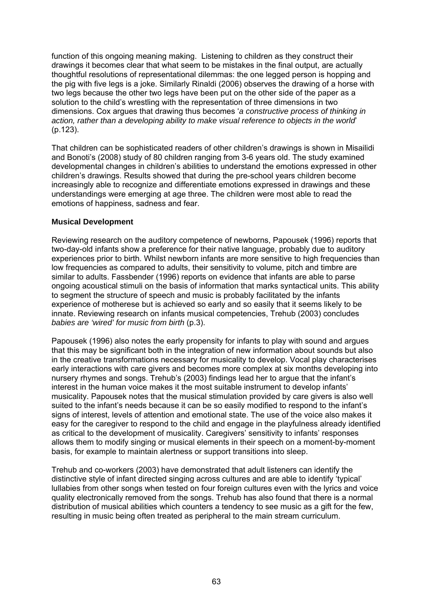function of this ongoing meaning making. Listening to children as they construct their drawings it becomes clear that what seem to be mistakes in the final output, are actually thoughtful resolutions of representational dilemmas: the one legged person is hopping and the pig with five legs is a joke. Similarly Rinaldi (2006) observes the drawing of a horse with two legs because the other two legs have been put on the other side of the paper as a solution to the child's wrestling with the representation of three dimensions in two dimensions. Cox argues that drawing thus becomes '*a constructive process of thinking in action, rather than a developing ability to make visual reference to objects in the world*' (p.123).

That children can be sophisticated readers of other children's drawings is shown in Misailidi and Bonoti's (2008) study of 80 children ranging from 3-6 years old. The study examined developmental changes in children's abilities to understand the emotions expressed in other children's drawings. Results showed that during the pre-school years children become increasingly able to recognize and differentiate emotions expressed in drawings and these understandings were emerging at age three. The children were most able to read the emotions of happiness, sadness and fear.

# **Musical Development**

Reviewing research on the auditory competence of newborns, Papousek (1996) reports that two-day-old infants show a preference for their native language, probably due to auditory experiences prior to birth. Whilst newborn infants are more sensitive to high frequencies than low frequencies as compared to adults, their sensitivity to volume, pitch and timbre are similar to adults. Fassbender (1996) reports on evidence that infants are able to parse ongoing acoustical stimuli on the basis of information that marks syntactical units. This ability to segment the structure of speech and music is probably facilitated by the infants experience of motherese but is achieved so early and so easily that it seems likely to be innate. Reviewing research on infants musical competencies, Trehub (2003) concludes *babies are 'wired' for music from birth* (p.3).

Papousek (1996) also notes the early propensity for infants to play with sound and argues that this may be significant both in the integration of new information about sounds but also in the creative transformations necessary for musicality to develop. Vocal play characterises early interactions with care givers and becomes more complex at six months developing into nursery rhymes and songs. Trehub's (2003) findings lead her to argue that the infant's interest in the human voice makes it the most suitable instrument to develop infants' musicality. Papousek notes that the musical stimulation provided by care givers is also well suited to the infant's needs because it can be so easily modified to respond to the infant's signs of interest, levels of attention and emotional state. The use of the voice also makes it easy for the caregiver to respond to the child and engage in the playfulness already identified as critical to the development of musicality. Caregivers' sensitivity to infants' responses allows them to modify singing or musical elements in their speech on a moment-by-moment basis, for example to maintain alertness or support transitions into sleep.

Trehub and co-workers (2003) have demonstrated that adult listeners can identify the distinctive style of infant directed singing across cultures and are able to identify 'typical' lullabies from other songs when tested on four foreign cultures even with the lyrics and voice quality electronically removed from the songs. Trehub has also found that there is a normal distribution of musical abilities which counters a tendency to see music as a gift for the few, resulting in music being often treated as peripheral to the main stream curriculum.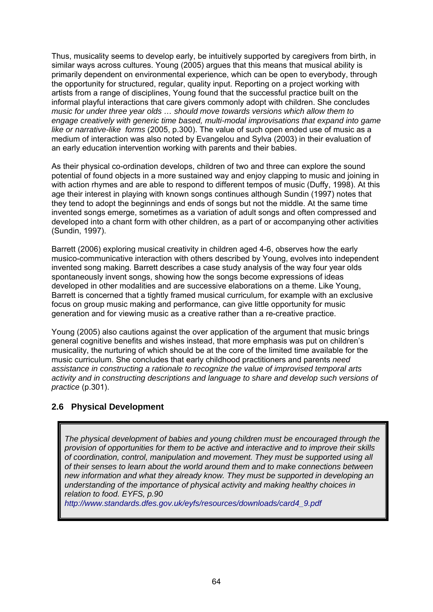Thus, musicality seems to develop early, be intuitively supported by caregivers from birth, in similar ways across cultures. Young (2005) argues that this means that musical ability is primarily dependent on environmental experience, which can be open to everybody, through the opportunity for structured, regular, quality input. Reporting on a project working with artists from a range of disciplines, Young found that the successful practice built on the informal playful interactions that care givers commonly adopt with children. She concludes *music for under three year olds … should move towards versions which allow them to engage creatively with generic time based, multi-modal improvisations that expand into game like or narrative-like forms* (2005, p.300). The value of such open ended use of music as a medium of interaction was also noted by Evangelou and Sylva (2003) in their evaluation of an early education intervention working with parents and their babies.

As their physical co-ordination develops, children of two and three can explore the sound potential of found objects in a more sustained way and enjoy clapping to music and joining in with action rhymes and are able to respond to different tempos of music (Duffy, 1998). At this age their interest in playing with known songs continues although Sundin (1997) notes that they tend to adopt the beginnings and ends of songs but not the middle. At the same time invented songs emerge, sometimes as a variation of adult songs and often compressed and developed into a chant form with other children, as a part of or accompanying other activities (Sundin, 1997).

Barrett (2006) exploring musical creativity in children aged 4-6, observes how the early musico-communicative interaction with others described by Young, evolves into independent invented song making. Barrett describes a case study analysis of the way four year olds spontaneously invent songs, showing how the songs become expressions of ideas developed in other modalities and are successive elaborations on a theme. Like Young, Barrett is concerned that a tightly framed musical curriculum, for example with an exclusive focus on group music making and performance, can give little opportunity for music generation and for viewing music as a creative rather than a re-creative practice.

Young (2005) also cautions against the over application of the argument that music brings general cognitive benefits and wishes instead, that more emphasis was put on children's musicality, the nurturing of which should be at the core of the limited time available for the music curriculum. She concludes that early childhood practitioners and parents *need assistance in constructing a rationale to recognize the value of improvised temporal arts activity and in constructing descriptions and language to share and develop such versions of practice* (p.301).

# **2.6 Physical Development**

*The physical development of babies and young children must be encouraged through the provision of opportunities for them to be active and interactive and to improve their skills of coordination, control, manipulation and movement. They must be supported using all of their senses to learn about the world around them and to make connections between new information and what they already know. They must be supported in developing an understanding of the importance of physical activity and making healthy choices in relation to food. EYFS, p.90* 

*http://www.standards.dfes.gov.uk/eyfs/resources/downloads/card4\_9.pdf*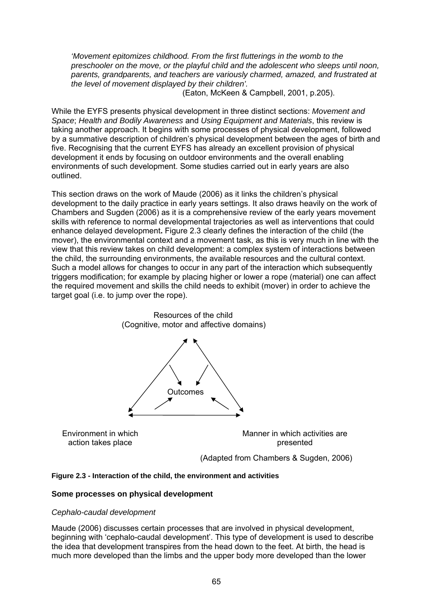*'Movement epitomizes childhood. From the first flutterings in the womb to the preschooler on the move, or the playful child and the adolescent who sleeps until noon, parents, grandparents, and teachers are variously charmed, amazed, and frustrated at the level of movement displayed by their children'.* 

(Eaton, McKeen & Campbell, 2001, p.205).

While the EYFS presents physical development in three distinct sections: *Movement and Space*; *Health and Bodily Awareness* and *Using Equipment and Materials*, this review is taking another approach. It begins with some processes of physical development, followed by a summative description of children's physical development between the ages of birth and five. Recognising that the current EYFS has already an excellent provision of physical development it ends by focusing on outdoor environments and the overall enabling environments of such development. Some studies carried out in early years are also outlined.

This section draws on the work of Maude (2006) as it links the children's physical development to the daily practice in early years settings. It also draws heavily on the work of Chambers and Sugden (2006) as it is a comprehensive review of the early years movement skills with reference to normal developmental trajectories as well as interventions that could enhance delayed development**.** Figure 2.3 clearly defines the interaction of the child (the mover), the environmental context and a movement task, as this is very much in line with the view that this review takes on child development: a complex system of interactions between the child, the surrounding environments, the available resources and the cultural context. Such a model allows for changes to occur in any part of the interaction which subsequently triggers modification; for example by placing higher or lower a rope (material) one can affect the required movement and skills the child needs to exhibit (mover) in order to achieve the target goal (i.e. to jump over the rope).



### **Figure 2.3 - Interaction of the child, the environment and activities**

#### **Some processes on physical development**

#### *Cephalo-caudal development*

Maude (2006) discusses certain processes that are involved in physical development, beginning with 'cephalo-caudal development'. This type of development is used to describe the idea that development transpires from the head down to the feet. At birth, the head is much more developed than the limbs and the upper body more developed than the lower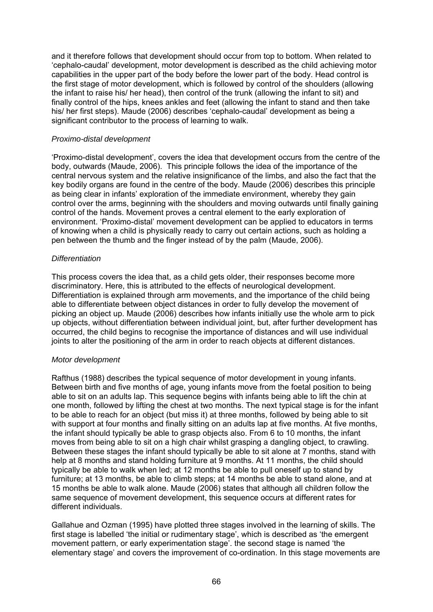and it therefore follows that development should occur from top to bottom. When related to 'cephalo-caudal' development, motor development is described as the child achieving motor capabilities in the upper part of the body before the lower part of the body. Head control is the first stage of motor development, which is followed by control of the shoulders (allowing the infant to raise his/ her head), then control of the trunk (allowing the infant to sit) and finally control of the hips, knees ankles and feet (allowing the infant to stand and then take his/ her first steps). Maude (2006) describes 'cephalo-caudal' development as being a significant contributor to the process of learning to walk.

## *Proximo-distal development*

'Proximo-distal development', covers the idea that development occurs from the centre of the body, outwards (Maude, 2006). This principle follows the idea of the importance of the central nervous system and the relative insignificance of the limbs, and also the fact that the key bodily organs are found in the centre of the body. Maude (2006) describes this principle as being clear in infants' exploration of the immediate environment, whereby they gain control over the arms, beginning with the shoulders and moving outwards until finally gaining control of the hands. Movement proves a central element to the early exploration of environment. 'Proximo-distal' movement development can be applied to educators in terms of knowing when a child is physically ready to carry out certain actions, such as holding a pen between the thumb and the finger instead of by the palm (Maude, 2006).

## *Differentiation*

This process covers the idea that, as a child gets older, their responses become more discriminatory. Here, this is attributed to the effects of neurological development. Differentiation is explained through arm movements, and the importance of the child being able to differentiate between object distances in order to fully develop the movement of picking an object up. Maude (2006) describes how infants initially use the whole arm to pick up objects, without differentiation between individual joint, but, after further development has occurred, the child begins to recognise the importance of distances and will use individual joints to alter the positioning of the arm in order to reach objects at different distances.

#### *Motor development*

Rafthus (1988) describes the typical sequence of motor development in young infants. Between birth and five months of age, young infants move from the foetal position to being able to sit on an adults lap. This sequence begins with infants being able to lift the chin at one month, followed by lifting the chest at two months. The next typical stage is for the infant to be able to reach for an object (but miss it) at three months, followed by being able to sit with support at four months and finally sitting on an adults lap at five months. At five months, the infant should typically be able to grasp objects also. From 6 to 10 months, the infant moves from being able to sit on a high chair whilst grasping a dangling object, to crawling. Between these stages the infant should typically be able to sit alone at 7 months, stand with help at 8 months and stand holding furniture at 9 months. At 11 months, the child should typically be able to walk when led; at 12 months be able to pull oneself up to stand by furniture; at 13 months, be able to climb steps; at 14 months be able to stand alone, and at 15 months be able to walk alone. Maude (2006) states that although all children follow the same sequence of movement development, this sequence occurs at different rates for different individuals.

Gallahue and Ozman (1995) have plotted three stages involved in the learning of skills. The first stage is labelled 'the initial or rudimentary stage', which is described as 'the emergent movement pattern, or early experimentation stage'. the second stage is named 'the elementary stage' and covers the improvement of co-ordination. In this stage movements are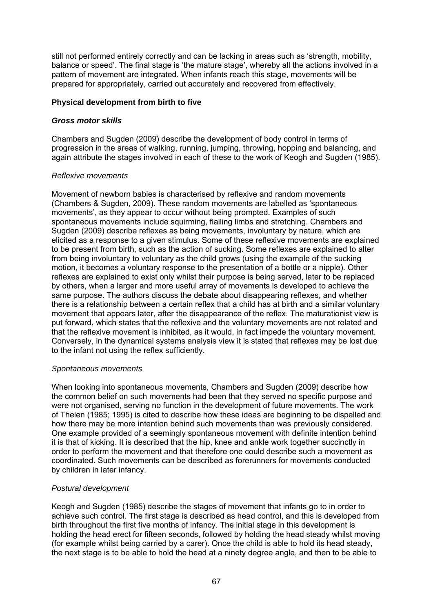still not performed entirely correctly and can be lacking in areas such as 'strength, mobility, balance or speed'. The final stage is 'the mature stage', whereby all the actions involved in a pattern of movement are integrated. When infants reach this stage, movements will be prepared for appropriately, carried out accurately and recovered from effectively.

## **Physical development from birth to five**

## *Gross motor skills*

Chambers and Sugden (2009) describe the development of body control in terms of progression in the areas of walking, running, jumping, throwing, hopping and balancing, and again attribute the stages involved in each of these to the work of Keogh and Sugden (1985).

#### *Reflexive movements*

Movement of newborn babies is characterised by reflexive and random movements (Chambers & Sugden, 2009). These random movements are labelled as 'spontaneous movements', as they appear to occur without being prompted. Examples of such spontaneous movements include squirming, flailing limbs and stretching. Chambers and Sugden (2009) describe reflexes as being movements, involuntary by nature, which are elicited as a response to a given stimulus. Some of these reflexive movements are explained to be present from birth, such as the action of sucking. Some reflexes are explained to alter from being involuntary to voluntary as the child grows (using the example of the sucking motion, it becomes a voluntary response to the presentation of a bottle or a nipple). Other reflexes are explained to exist only whilst their purpose is being served, later to be replaced by others, when a larger and more useful array of movements is developed to achieve the same purpose. The authors discuss the debate about disappearing reflexes, and whether there is a relationship between a certain reflex that a child has at birth and a similar voluntary movement that appears later, after the disappearance of the reflex. The maturationist view is put forward, which states that the reflexive and the voluntary movements are not related and that the reflexive movement is inhibited, as it would, in fact impede the voluntary movement. Conversely, in the dynamical systems analysis view it is stated that reflexes may be lost due to the infant not using the reflex sufficiently.

#### *Spontaneous movements*

When looking into spontaneous movements, Chambers and Sugden (2009) describe how the common belief on such movements had been that they served no specific purpose and were not organised, serving no function in the development of future movements. The work of Thelen (1985; 1995) is cited to describe how these ideas are beginning to be dispelled and how there may be more intention behind such movements than was previously considered. One example provided of a seemingly spontaneous movement with definite intention behind it is that of kicking. It is described that the hip, knee and ankle work together succinctly in order to perform the movement and that therefore one could describe such a movement as coordinated. Such movements can be described as forerunners for movements conducted by children in later infancy.

#### *Postural development*

Keogh and Sugden (1985) describe the stages of movement that infants go to in order to achieve such control. The first stage is described as head control, and this is developed from birth throughout the first five months of infancy. The initial stage in this development is holding the head erect for fifteen seconds, followed by holding the head steady whilst moving (for example whilst being carried by a carer). Once the child is able to hold its head steady, the next stage is to be able to hold the head at a ninety degree angle, and then to be able to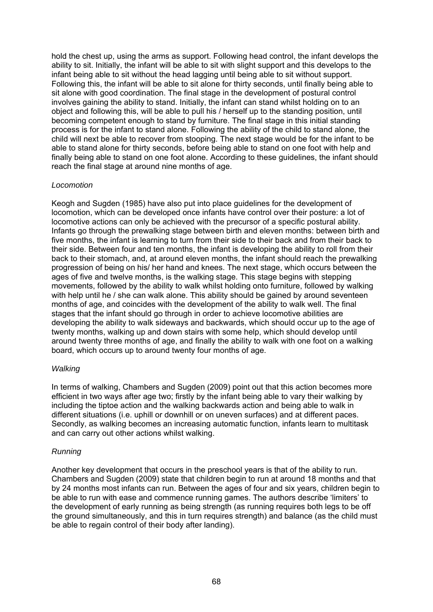hold the chest up, using the arms as support. Following head control, the infant develops the ability to sit. Initially, the infant will be able to sit with slight support and this develops to the infant being able to sit without the head lagging until being able to sit without support. Following this, the infant will be able to sit alone for thirty seconds, until finally being able to sit alone with good coordination. The final stage in the development of postural control involves gaining the ability to stand. Initially, the infant can stand whilst holding on to an object and following this, will be able to pull his / herself up to the standing position, until becoming competent enough to stand by furniture. The final stage in this initial standing process is for the infant to stand alone. Following the ability of the child to stand alone, the child will next be able to recover from stooping. The next stage would be for the infant to be able to stand alone for thirty seconds, before being able to stand on one foot with help and finally being able to stand on one foot alone. According to these guidelines, the infant should reach the final stage at around nine months of age.

#### *Locomotion*

Keogh and Sugden (1985) have also put into place guidelines for the development of locomotion, which can be developed once infants have control over their posture: a lot of locomotive actions can only be achieved with the precursor of a specific postural ability. Infants go through the prewalking stage between birth and eleven months: between birth and five months, the infant is learning to turn from their side to their back and from their back to their side. Between four and ten months, the infant is developing the ability to roll from their back to their stomach, and, at around eleven months, the infant should reach the prewalking progression of being on his/ her hand and knees. The next stage, which occurs between the ages of five and twelve months, is the walking stage. This stage begins with stepping movements, followed by the ability to walk whilst holding onto furniture, followed by walking with help until he / she can walk alone. This ability should be gained by around seventeen months of age, and coincides with the development of the ability to walk well. The final stages that the infant should go through in order to achieve locomotive abilities are developing the ability to walk sideways and backwards, which should occur up to the age of twenty months, walking up and down stairs with some help, which should develop until around twenty three months of age, and finally the ability to walk with one foot on a walking board, which occurs up to around twenty four months of age.

#### *Walking*

In terms of walking, Chambers and Sugden (2009) point out that this action becomes more efficient in two ways after age two; firstly by the infant being able to vary their walking by including the tiptoe action and the walking backwards action and being able to walk in different situations (i.e. uphill or downhill or on uneven surfaces) and at different paces. Secondly, as walking becomes an increasing automatic function, infants learn to multitask and can carry out other actions whilst walking.

#### *Running*

Another key development that occurs in the preschool years is that of the ability to run. Chambers and Sugden (2009) state that children begin to run at around 18 months and that by 24 months most infants can run. Between the ages of four and six years, children begin to be able to run with ease and commence running games. The authors describe 'limiters' to the development of early running as being strength (as running requires both legs to be off the ground simultaneously, and this in turn requires strength) and balance (as the child must be able to regain control of their body after landing).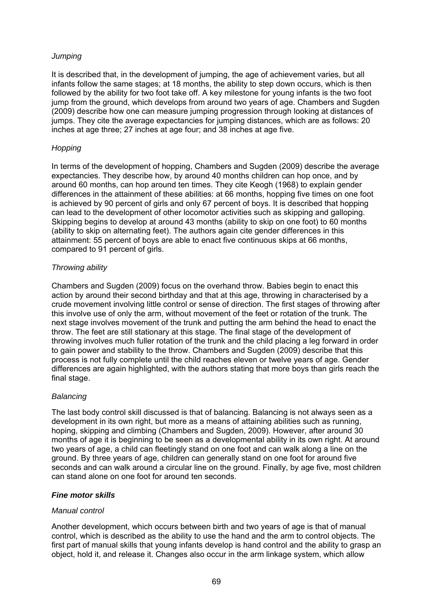## *Jumping*

It is described that, in the development of jumping, the age of achievement varies, but all infants follow the same stages; at 18 months, the ability to step down occurs, which is then followed by the ability for two foot take off. A key milestone for young infants is the two foot jump from the ground, which develops from around two years of age. Chambers and Sugden (2009) describe how one can measure jumping progression through looking at distances of jumps. They cite the average expectancies for jumping distances, which are as follows: 20 inches at age three; 27 inches at age four; and 38 inches at age five.

## *Hopping*

In terms of the development of hopping, Chambers and Sugden (2009) describe the average expectancies. They describe how, by around 40 months children can hop once, and by around 60 months, can hop around ten times. They cite Keogh (1968) to explain gender differences in the attainment of these abilities: at 66 months, hopping five times on one foot is achieved by 90 percent of girls and only 67 percent of boys. It is described that hopping can lead to the development of other locomotor activities such as skipping and galloping. Skipping begins to develop at around 43 months (ability to skip on one foot) to 60 months (ability to skip on alternating feet). The authors again cite gender differences in this attainment: 55 percent of boys are able to enact five continuous skips at 66 months, compared to 91 percent of girls.

## *Throwing ability*

Chambers and Sugden (2009) focus on the overhand throw. Babies begin to enact this action by around their second birthday and that at this age, throwing in characterised by a crude movement involving little control or sense of direction. The first stages of throwing after this involve use of only the arm, without movement of the feet or rotation of the trunk. The next stage involves movement of the trunk and putting the arm behind the head to enact the throw. The feet are still stationary at this stage. The final stage of the development of throwing involves much fuller rotation of the trunk and the child placing a leg forward in order to gain power and stability to the throw. Chambers and Sugden (2009) describe that this process is not fully complete until the child reaches eleven or twelve years of age. Gender differences are again highlighted, with the authors stating that more boys than girls reach the final stage.

## *Balancing*

The last body control skill discussed is that of balancing. Balancing is not always seen as a development in its own right, but more as a means of attaining abilities such as running, hoping, skipping and climbing (Chambers and Sugden, 2009). However, after around 30 months of age it is beginning to be seen as a developmental ability in its own right. At around two years of age, a child can fleetingly stand on one foot and can walk along a line on the ground. By three years of age, children can generally stand on one foot for around five seconds and can walk around a circular line on the ground. Finally, by age five, most children can stand alone on one foot for around ten seconds.

#### *Fine motor skills*

#### *Manual control*

Another development, which occurs between birth and two years of age is that of manual control, which is described as the ability to use the hand and the arm to control objects. The first part of manual skills that young infants develop is hand control and the ability to grasp an object, hold it, and release it. Changes also occur in the arm linkage system, which allow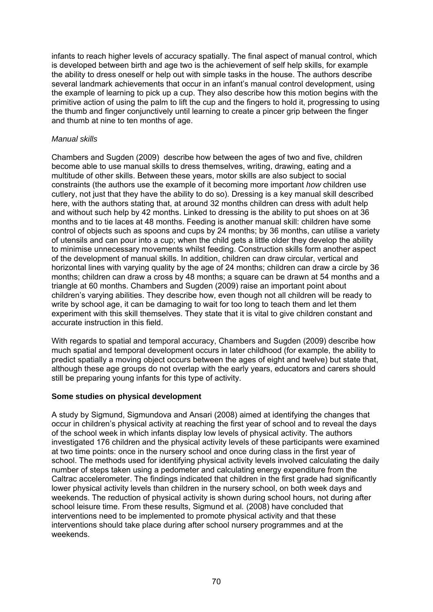infants to reach higher levels of accuracy spatially. The final aspect of manual control, which is developed between birth and age two is the achievement of self help skills, for example the ability to dress oneself or help out with simple tasks in the house. The authors describe several landmark achievements that occur in an infant's manual control development, using the example of learning to pick up a cup. They also describe how this motion begins with the primitive action of using the palm to lift the cup and the fingers to hold it, progressing to using the thumb and finger conjunctively until learning to create a pincer grip between the finger and thumb at nine to ten months of age.

## *Manual skills*

Chambers and Sugden (2009) describe how between the ages of two and five, children become able to use manual skills to dress themselves, writing, drawing, eating and a multitude of other skills. Between these years, motor skills are also subject to social constraints (the authors use the example of it becoming more important *how* children use cutlery, not just that they have the ability to do so). Dressing is a key manual skill described here, with the authors stating that, at around 32 months children can dress with adult help and without such help by 42 months. Linked to dressing is the ability to put shoes on at 36 months and to tie laces at 48 months. Feeding is another manual skill: children have some control of objects such as spoons and cups by 24 months; by 36 months, can utilise a variety of utensils and can pour into a cup; when the child gets a little older they develop the ability to minimise unnecessary movements whilst feeding. Construction skills form another aspect of the development of manual skills. In addition, children can draw circular, vertical and horizontal lines with varying quality by the age of 24 months; children can draw a circle by 36 months; children can draw a cross by 48 months; a square can be drawn at 54 months and a triangle at 60 months. Chambers and Sugden (2009) raise an important point about children's varying abilities. They describe how, even though not all children will be ready to write by school age, it can be damaging to wait for too long to teach them and let them experiment with this skill themselves. They state that it is vital to give children constant and accurate instruction in this field.

With regards to spatial and temporal accuracy, Chambers and Sugden (2009) describe how much spatial and temporal development occurs in later childhood (for example, the ability to predict spatially a moving object occurs between the ages of eight and twelve) but state that, although these age groups do not overlap with the early years, educators and carers should still be preparing young infants for this type of activity.

#### **Some studies on physical development**

A study by Sigmund, Sigmundova and Ansari (2008) aimed at identifying the changes that occur in children's physical activity at reaching the first year of school and to reveal the days of the school week in which infants display low levels of physical activity. The authors investigated 176 children and the physical activity levels of these participants were examined at two time points: once in the nursery school and once during class in the first year of school. The methods used for identifying physical activity levels involved calculating the daily number of steps taken using a pedometer and calculating energy expenditure from the Caltrac accelerometer. The findings indicated that children in the first grade had significantly lower physical activity levels than children in the nursery school, on both week days and weekends. The reduction of physical activity is shown during school hours, not during after school leisure time. From these results, Sigmund et al*.* (2008) have concluded that interventions need to be implemented to promote physical activity and that these interventions should take place during after school nursery programmes and at the weekends.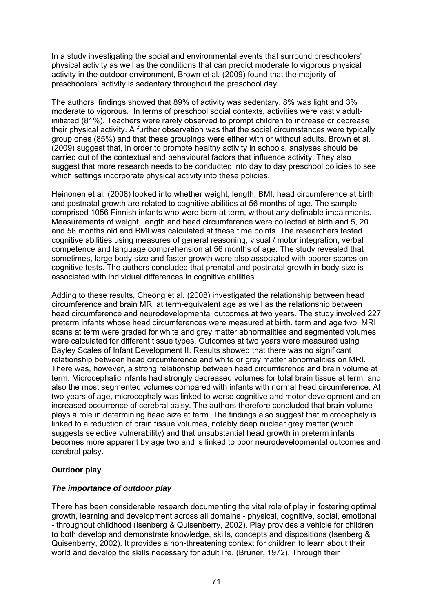In a study investigating the social and environmental events that surround preschoolers' physical activity as well as the conditions that can predict moderate to vigorous physical activity in the outdoor environment, Brown et al*.* (2009) found that the majority of preschoolers' activity is sedentary throughout the preschool day.

The authors' findings showed that 89% of activity was sedentary, 8% was light and 3% moderate to vigorous. In terms of preschool social contexts, activities were vastly adultinitiated (81%). Teachers were rarely observed to prompt children to increase or decrease their physical activity. A further observation was that the social circumstances were typically group ones (85%) and that these groupings were either with or without adults. Brown et al*.* (2009) suggest that, in order to promote healthy activity in schools, analyses should be carried out of the contextual and behavioural factors that influence activity. They also suggest that more research needs to be conducted into day to day preschool policies to see which settings incorporate physical activity into these policies.

Heinonen et al*.* (2008) looked into whether weight, length, BMI, head circumference at birth and postnatal growth are related to cognitive abilities at 56 months of age. The sample comprised 1056 Finnish infants who were born at term, without any definable impairments. Measurements of weight, length and head circumference were collected at birth and 5, 20 and 56 months old and BMI was calculated at these time points. The researchers tested cognitive abilities using measures of general reasoning, visual / motor integration, verbal competence and language comprehension at 56 months of age. The study revealed that sometimes, large body size and faster growth were also associated with poorer scores on cognitive tests. The authors concluded that prenatal and postnatal growth in body size is associated with individual differences in cognitive abilities.

Adding to these results, Cheong et al*.* (2008) investigated the relationship between head circumference and brain MRI at term-equivalent age as well as the relationship between head circumference and neurodevelopmental outcomes at two years. The study involved 227 preterm infants whose head circumferences were measured at birth, term and age two. MRI scans at term were graded for white and grey matter abnormalities and segmented volumes were calculated for different tissue types. Outcomes at two years were measured using Bayley Scales of Infant Development II. Results showed that there was no significant relationship between head circumference and white or grey matter abnormalities on MRI. There was, however, a strong relationship between head circumference and brain volume at term. Microcephalic infants had strongly decreased volumes for total brain tissue at term, and also the most segmented volumes compared with infants with normal head circumference. At two years of age, microcephaly was linked to worse cognitive and motor development and an increased occurrence of cerebral palsy. The authors therefore concluded that brain volume plays a role in determining head size at term. The findings also suggest that microcephaly is linked to a reduction of brain tissue volumes, notably deep nuclear grey matter (which suggests selective vulnerability) and that unsubstantial head growth in preterm infants becomes more apparent by age two and is linked to poor neurodevelopmental outcomes and cerebral palsy.

#### **Outdoor play**

#### *The importance of outdoor play*

There has been considerable research documenting the vital role of play in fostering optimal growth, learning and development across all domains - physical, cognitive, social, emotional - throughout childhood (Isenberg & Quisenberry, 2002). Play provides a vehicle for children to both develop and demonstrate knowledge, skills, concepts and dispositions (Isenberg & Quisenberry, 2002). It provides a non-threatening context for children to learn about their world and develop the skills necessary for adult life. (Bruner, 1972). Through their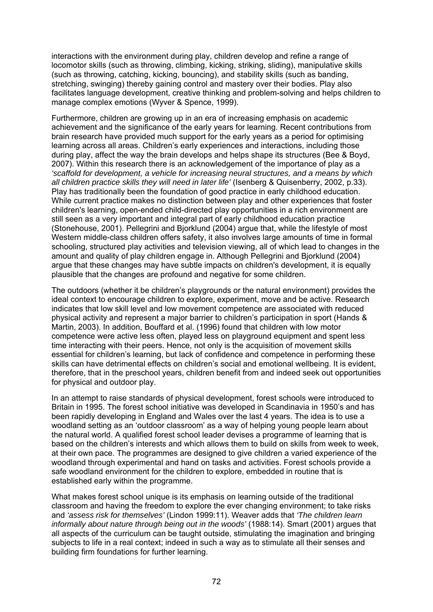interactions with the environment during play, children develop and refine a range of locomotor skills (such as throwing, climbing, kicking, striking, sliding), manipulative skills (such as throwing, catching, kicking, bouncing), and stability skills (such as banding, stretching, swinging) thereby gaining control and mastery over their bodies. Play also facilitates language development, creative thinking and problem-solving and helps children to manage complex emotions (Wyver & Spence, 1999).

Furthermore, children are growing up in an era of increasing emphasis on academic achievement and the significance of the early years for learning. Recent contributions from brain research have provided much support for the early years as a period for optimising learning across all areas. Children's early experiences and interactions, including those during play, affect the way the brain develops and helps shape its structures (Bee & Boyd, 2007). Within this research there is an acknowledgement of the importance of play as a *'scaffold for development, a vehicle for increasing neural structures, and a means by which all children practice skills they will need in later life'* (Isenberg & Quisenberry, 2002, p.33). Play has traditionally been the foundation of good practice in early childhood education. While current practice makes no distinction between play and other experiences that foster children's learning, open-ended child-directed play opportunities in a rich environment are still seen as a very important and integral part of early childhood education practice (Stonehouse, 2001). Pellegrini and Bjorklund (2004) argue that, while the lifestyle of most Western middle-class children offers safety, it also involves large amounts of time in formal schooling, structured play activities and television viewing, all of which lead to changes in the amount and quality of play children engage in. Although Pellegrini and Bjorklund (2004) argue that these changes may have subtle impacts on children's development, it is equally plausible that the changes are profound and negative for some children.

The outdoors (whether it be children's playgrounds or the natural environment) provides the ideal context to encourage children to explore, experiment, move and be active. Research indicates that low skill level and low movement competence are associated with reduced physical activity and represent a major barrier to children's participation in sport (Hands & Martin, 2003). In addition, Bouffard et al. (1996) found that children with low motor competence were active less often, played less on playground equipment and spent less time interacting with their peers. Hence, not only is the acquisition of movement skills essential for children's learning, but lack of confidence and competence in performing these skills can have detrimental effects on children's social and emotional wellbeing. It is evident, therefore, that in the preschool years, children benefit from and indeed seek out opportunities for physical and outdoor play.

In an attempt to raise standards of physical development, forest schools were introduced to Britain in 1995. The forest school initiative was developed in Scandinavia in 1950's and has been rapidly developing in England and Wales over the last 4 years. The idea is to use a woodland setting as an 'outdoor classroom' as a way of helping young people learn about the natural world. A qualified forest school leader devises a programme of learning that is based on the children's interests and which allows them to build on skills from week to week, at their own pace. The programmes are designed to give children a varied experience of the woodland through experimental and hand on tasks and activities. Forest schools provide a safe woodland environment for the children to explore, embedded in routine that is established early within the programme.

What makes forest school unique is its emphasis on learning outside of the traditional classroom and having the freedom to explore the ever changing environment; to take risks and *'assess risk for themselves'* (Lindon 1999:11). Weaver adds that *'The children learn informally about nature through being out in the woods'* (1988:14). Smart (2001) argues that all aspects of the curriculum can be taught outside, stimulating the imagination and bringing subjects to life in a real context; indeed in such a way as to stimulate all their senses and building firm foundations for further learning.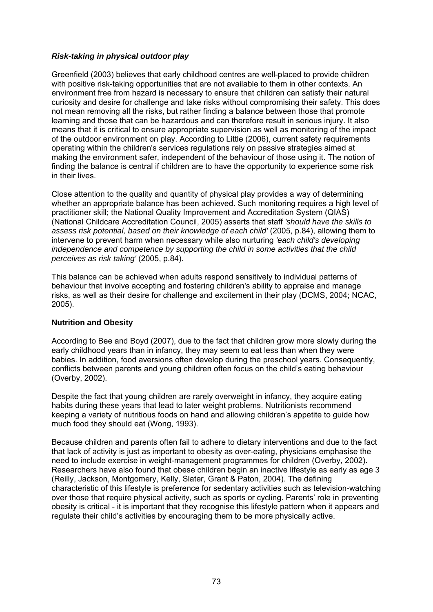## *Risk-taking in physical outdoor play*

Greenfield (2003) believes that early childhood centres are well-placed to provide children with positive risk-taking opportunities that are not available to them in other contexts. An environment free from hazard is necessary to ensure that children can satisfy their natural curiosity and desire for challenge and take risks without compromising their safety. This does not mean removing all the risks, but rather finding a balance between those that promote learning and those that can be hazardous and can therefore result in serious injury. It also means that it is critical to ensure appropriate supervision as well as monitoring of the impact of the outdoor environment on play. According to Little (2006), current safety requirements operating within the children's services regulations rely on passive strategies aimed at making the environment safer, independent of the behaviour of those using it. The notion of finding the balance is central if children are to have the opportunity to experience some risk in their lives.

Close attention to the quality and quantity of physical play provides a way of determining whether an appropriate balance has been achieved. Such monitoring requires a high level of practitioner skill; the National Quality Improvement and Accreditation System (QIAS) (National Childcare Accreditation Council, 2005) asserts that staff *'should have the skills to assess risk potential, based on their knowledge of each child'* (2005, p.84), allowing them to intervene to prevent harm when necessary while also nurturing *'each child's developing independence and competence by supporting the child in some activities that the child perceives as risk taking'* (2005, p.84).

This balance can be achieved when adults respond sensitively to individual patterns of behaviour that involve accepting and fostering children's ability to appraise and manage risks, as well as their desire for challenge and excitement in their play (DCMS, 2004; NCAC, 2005).

#### **Nutrition and Obesity**

According to Bee and Boyd (2007), due to the fact that children grow more slowly during the early childhood years than in infancy, they may seem to eat less than when they were babies. In addition, food aversions often develop during the preschool years. Consequently, conflicts between parents and young children often focus on the child's eating behaviour (Overby, 2002).

Despite the fact that young children are rarely overweight in infancy, they acquire eating habits during these years that lead to later weight problems. Nutritionists recommend keeping a variety of nutritious foods on hand and allowing children's appetite to guide how much food they should eat (Wong, 1993).

Because children and parents often fail to adhere to dietary interventions and due to the fact that lack of activity is just as important to obesity as over-eating, physicians emphasise the need to include exercise in weight-management programmes for children (Overby, 2002). Researchers have also found that obese children begin an inactive lifestyle as early as age 3 (Reilly, Jackson, Montgomery, Kelly, Slater, Grant & Paton, 2004). The defining characteristic of this lifestyle is preference for sedentary activities such as television-watching over those that require physical activity, such as sports or cycling. Parents' role in preventing obesity is critical - it is important that they recognise this lifestyle pattern when it appears and regulate their child's activities by encouraging them to be more physically active.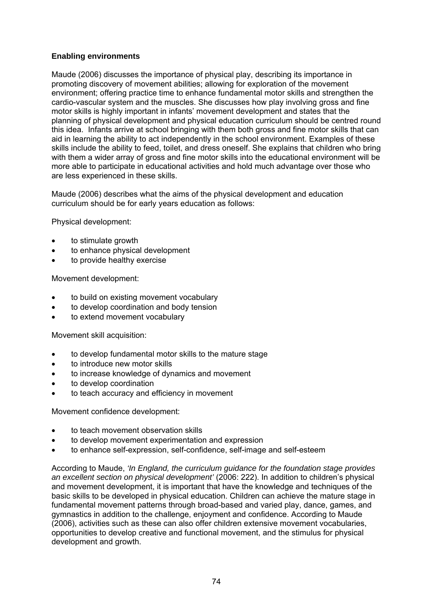## **Enabling environments**

Maude (2006) discusses the importance of physical play, describing its importance in promoting discovery of movement abilities; allowing for exploration of the movement environment; offering practice time to enhance fundamental motor skills and strengthen the cardio-vascular system and the muscles. She discusses how play involving gross and fine motor skills is highly important in infants' movement development and states that the planning of physical development and physical education curriculum should be centred round this idea. Infants arrive at school bringing with them both gross and fine motor skills that can aid in learning the ability to act independently in the school environment. Examples of these skills include the ability to feed, toilet, and dress oneself. She explains that children who bring with them a wider array of gross and fine motor skills into the educational environment will be more able to participate in educational activities and hold much advantage over those who are less experienced in these skills.

Maude (2006) describes what the aims of the physical development and education curriculum should be for early years education as follows:

Physical development:

- to stimulate growth
- to enhance physical development
- to provide healthy exercise

Movement development:

- to build on existing movement vocabulary
- to develop coordination and body tension
- to extend movement vocabulary

Movement skill acquisition:

- to develop fundamental motor skills to the mature stage
- to introduce new motor skills
- to increase knowledge of dynamics and movement
- to develop coordination
- to teach accuracy and efficiency in movement

Movement confidence development:

- to teach movement observation skills
- to develop movement experimentation and expression
- to enhance self-expression, self-confidence, self-image and self-esteem

According to Maude, *'In England, the curriculum guidance for the foundation stage provides an excellent section on physical development'* (2006: 222). In addition to children's physical and movement development, it is important that have the knowledge and techniques of the basic skills to be developed in physical education. Children can achieve the mature stage in fundamental movement patterns through broad-based and varied play, dance, games, and gymnastics in addition to the challenge, enjoyment and confidence. According to Maude (2006), activities such as these can also offer children extensive movement vocabularies, opportunities to develop creative and functional movement, and the stimulus for physical development and growth.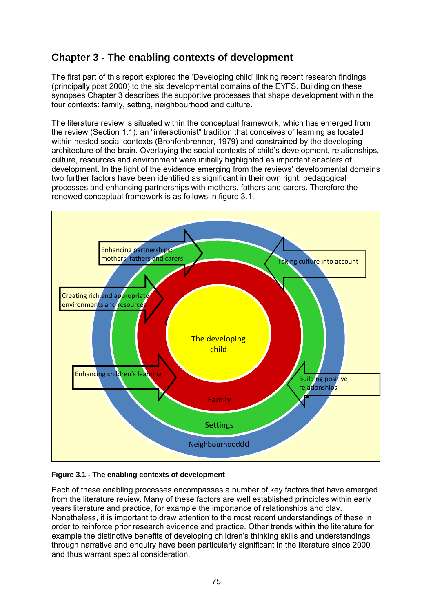# **Chapter 3 - The enabling contexts of development**

The first part of this report explored the 'Developing child' linking recent research findings (principally post 2000) to the six developmental domains of the EYFS. Building on these synopses Chapter 3 describes the supportive processes that shape development within the four contexts: family, setting, neighbourhood and culture.

The literature review is situated within the conceptual framework, which has emerged from the review (Section 1.1): an "interactionist" tradition that conceives of learning as located within nested social contexts (Bronfenbrenner, 1979) and constrained by the developing architecture of the brain. Overlaying the social contexts of child's development, relationships, culture, resources and environment were initially highlighted as important enablers of development. In the light of the evidence emerging from the reviews' developmental domains two further factors have been identified as significant in their own right: pedagogical processes and enhancing partnerships with mothers, fathers and carers. Therefore the renewed conceptual framework is as follows in figure 3.1.



#### **Figure 3.1 - The enabling contexts of development**

Each of these enabling processes encompasses a number of key factors that have emerged from the literature review. Many of these factors are well established principles within early years literature and practice, for example the importance of relationships and play. Nonetheless, it is important to draw attention to the most recent understandings of these in order to reinforce prior research evidence and practice. Other trends within the literature for example the distinctive benefits of developing children's thinking skills and understandings through narrative and enquiry have been particularly significant in the literature since 2000 and thus warrant special consideration.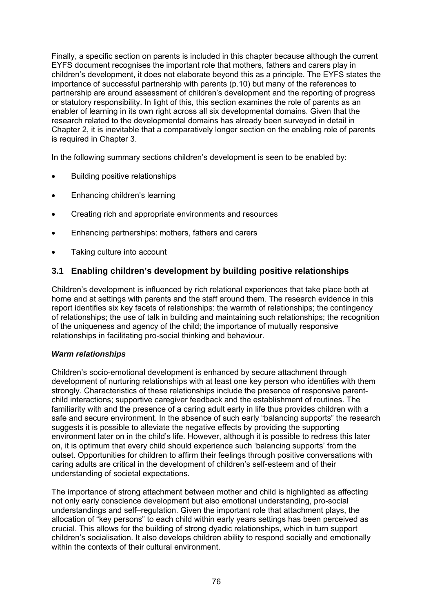Finally, a specific section on parents is included in this chapter because although the current EYFS document recognises the important role that mothers, fathers and carers play in children's development, it does not elaborate beyond this as a principle. The EYFS states the importance of successful partnership with parents (p.10) but many of the references to partnership are around assessment of children's development and the reporting of progress or statutory responsibility. In light of this, this section examines the role of parents as an enabler of learning in its own right across all six developmental domains. Given that the research related to the developmental domains has already been surveyed in detail in Chapter 2, it is inevitable that a comparatively longer section on the enabling role of parents is required in Chapter 3.

In the following summary sections children's development is seen to be enabled by:

- Building positive relationships
- Enhancing children's learning
- Creating rich and appropriate environments and resources
- Enhancing partnerships: mothers, fathers and carers
- Taking culture into account

## **3.1 Enabling children's development by building positive relationships**

Children's development is influenced by rich relational experiences that take place both at home and at settings with parents and the staff around them. The research evidence in this report identifies six key facets of relationships: the warmth of relationships; the contingency of relationships; the use of talk in building and maintaining such relationships; the recognition of the uniqueness and agency of the child; the importance of mutually responsive relationships in facilitating pro-social thinking and behaviour.

#### *Warm relationships*

Children's socio-emotional development is enhanced by secure attachment through development of nurturing relationships with at least one key person who identifies with them strongly. Characteristics of these relationships include the presence of responsive parentchild interactions; supportive caregiver feedback and the establishment of routines. The familiarity with and the presence of a caring adult early in life thus provides children with a safe and secure environment. In the absence of such early "balancing supports" the research suggests it is possible to alleviate the negative effects by providing the supporting environment later on in the child's life. However, although it is possible to redress this later on, it is optimum that every child should experience such 'balancing supports' from the outset. Opportunities for children to affirm their feelings through positive conversations with caring adults are critical in the development of children's self-esteem and of their understanding of societal expectations.

The importance of strong attachment between mother and child is highlighted as affecting not only early conscience development but also emotional understanding, pro-social understandings and self–regulation. Given the important role that attachment plays, the allocation of "key persons" to each child within early years settings has been perceived as crucial. This allows for the building of strong dyadic relationships, which in turn support children's socialisation. It also develops children ability to respond socially and emotionally within the contexts of their cultural environment.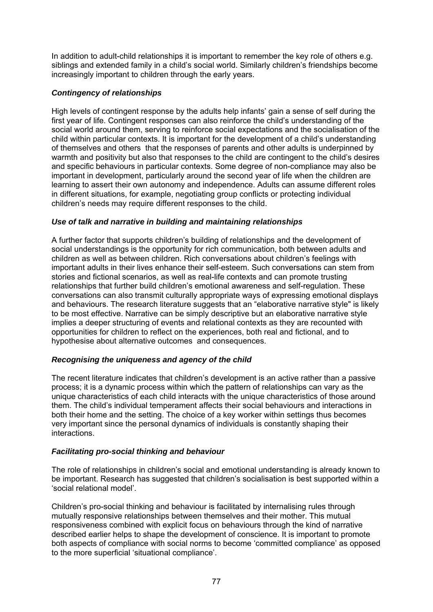In addition to adult-child relationships it is important to remember the key role of others e.g. siblings and extended family in a child's social world. Similarly children's friendships become increasingly important to children through the early years.

## *Contingency of relationships*

High levels of contingent response by the adults help infants' gain a sense of self during the first year of life. Contingent responses can also reinforce the child's understanding of the social world around them, serving to reinforce social expectations and the socialisation of the child within particular contexts. It is important for the development of a child's understanding of themselves and others that the responses of parents and other adults is underpinned by warmth and positivity but also that responses to the child are contingent to the child's desires and specific behaviours in particular contexts. Some degree of non-compliance may also be important in development, particularly around the second year of life when the children are learning to assert their own autonomy and independence. Adults can assume different roles in different situations, for example, negotiating group conflicts or protecting individual children's needs may require different responses to the child.

## *Use of talk and narrative in building and maintaining relationships*

A further factor that supports children's building of relationships and the development of social understandings is the opportunity for rich communication, both between adults and children as well as between children. Rich conversations about children's feelings with important adults in their lives enhance their self-esteem. Such conversations can stem from stories and fictional scenarios, as well as real-life contexts and can promote trusting relationships that further build children's emotional awareness and self-regulation. These conversations can also transmit culturally appropriate ways of expressing emotional displays and behaviours. The research literature suggests that an "elaborative narrative style" is likely to be most effective. Narrative can be simply descriptive but an elaborative narrative style implies a deeper structuring of events and relational contexts as they are recounted with opportunities for children to reflect on the experiences, both real and fictional, and to hypothesise about alternative outcomes and consequences.

## *Recognising the uniqueness and agency of the child*

The recent literature indicates that children's development is an active rather than a passive process; it is a dynamic process within which the pattern of relationships can vary as the unique characteristics of each child interacts with the unique characteristics of those around them. The child's individual temperament affects their social behaviours and interactions in both their home and the setting. The choice of a key worker within settings thus becomes very important since the personal dynamics of individuals is constantly shaping their interactions.

#### *Facilitating pro-social thinking and behaviour*

The role of relationships in children's social and emotional understanding is already known to be important. Research has suggested that children's socialisation is best supported within a 'social relational model'.

Children's pro-social thinking and behaviour is facilitated by internalising rules through mutually responsive relationships between themselves and their mother. This mutual responsiveness combined with explicit focus on behaviours through the kind of narrative described earlier helps to shape the development of conscience. It is important to promote both aspects of compliance with social norms to become 'committed compliance' as opposed to the more superficial 'situational compliance'.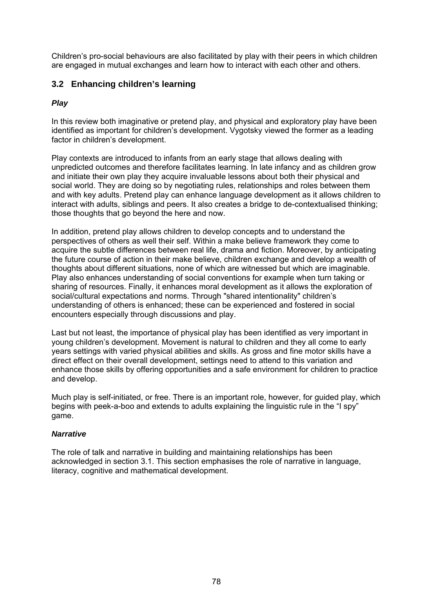Children's pro-social behaviours are also facilitated by play with their peers in which children are engaged in mutual exchanges and learn how to interact with each other and others.

## **3.2 Enhancing children's learning**

## *Play*

In this review both imaginative or pretend play, and physical and exploratory play have been identified as important for children's development. Vygotsky viewed the former as a leading factor in children's development.

Play contexts are introduced to infants from an early stage that allows dealing with unpredicted outcomes and therefore facilitates learning. In late infancy and as children grow and initiate their own play they acquire invaluable lessons about both their physical and social world. They are doing so by negotiating rules, relationships and roles between them and with key adults. Pretend play can enhance language development as it allows children to interact with adults, siblings and peers. It also creates a bridge to de-contextualised thinking; those thoughts that go beyond the here and now.

In addition, pretend play allows children to develop concepts and to understand the perspectives of others as well their self. Within a make believe framework they come to acquire the subtle differences between real life, drama and fiction. Moreover, by anticipating the future course of action in their make believe, children exchange and develop a wealth of thoughts about different situations, none of which are witnessed but which are imaginable. Play also enhances understanding of social conventions for example when turn taking or sharing of resources. Finally, it enhances moral development as it allows the exploration of social/cultural expectations and norms. Through "shared intentionality" children's understanding of others is enhanced; these can be experienced and fostered in social encounters especially through discussions and play.

Last but not least, the importance of physical play has been identified as very important in young children's development. Movement is natural to children and they all come to early years settings with varied physical abilities and skills. As gross and fine motor skills have a direct effect on their overall development, settings need to attend to this variation and enhance those skills by offering opportunities and a safe environment for children to practice and develop.

Much play is self-initiated, or free. There is an important role, however, for guided play, which begins with peek-a-boo and extends to adults explaining the linguistic rule in the "I spy" game.

## *Narrative*

The role of talk and narrative in building and maintaining relationships has been acknowledged in section 3.1. This section emphasises the role of narrative in language, literacy, cognitive and mathematical development.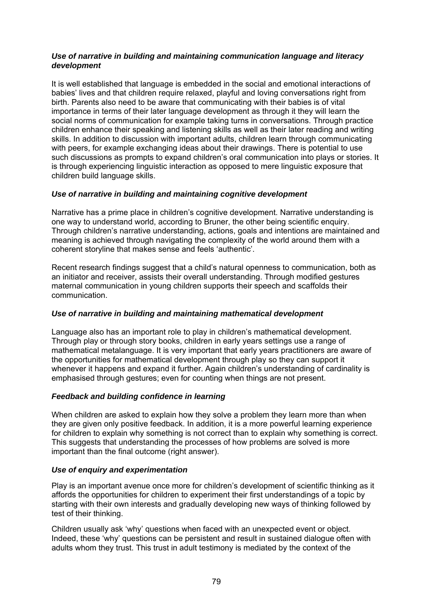## *Use of narrative in building and maintaining communication language and literacy development*

It is well established that language is embedded in the social and emotional interactions of babies' lives and that children require relaxed, playful and loving conversations right from birth. Parents also need to be aware that communicating with their babies is of vital importance in terms of their later language development as through it they will learn the social norms of communication for example taking turns in conversations. Through practice children enhance their speaking and listening skills as well as their later reading and writing skills. In addition to discussion with important adults, children learn through communicating with peers, for example exchanging ideas about their drawings. There is potential to use such discussions as prompts to expand children's oral communication into plays or stories. It is through experiencing linguistic interaction as opposed to mere linguistic exposure that children build language skills.

## *Use of narrative in building and maintaining cognitive development*

Narrative has a prime place in children's cognitive development. Narrative understanding is one way to understand world, according to Bruner, the other being scientific enquiry. Through children's narrative understanding, actions, goals and intentions are maintained and meaning is achieved through navigating the complexity of the world around them with a coherent storyline that makes sense and feels 'authentic'.

Recent research findings suggest that a child's natural openness to communication, both as an initiator and receiver, assists their overall understanding. Through modified gestures maternal communication in young children supports their speech and scaffolds their communication.

## *Use of narrative in building and maintaining mathematical development*

Language also has an important role to play in children's mathematical development. Through play or through story books, children in early years settings use a range of mathematical metalanguage. It is very important that early years practitioners are aware of the opportunities for mathematical development through play so they can support it whenever it happens and expand it further. Again children's understanding of cardinality is emphasised through gestures; even for counting when things are not present.

## *Feedback and building confidence in learning*

When children are asked to explain how they solve a problem they learn more than when they are given only positive feedback. In addition, it is a more powerful learning experience for children to explain why something is not correct than to explain why something is correct. This suggests that understanding the processes of how problems are solved is more important than the final outcome (right answer).

#### *Use of enquiry and experimentation*

Play is an important avenue once more for children's development of scientific thinking as it affords the opportunities for children to experiment their first understandings of a topic by starting with their own interests and gradually developing new ways of thinking followed by test of their thinking.

Children usually ask 'why' questions when faced with an unexpected event or object. Indeed, these 'why' questions can be persistent and result in sustained dialogue often with adults whom they trust. This trust in adult testimony is mediated by the context of the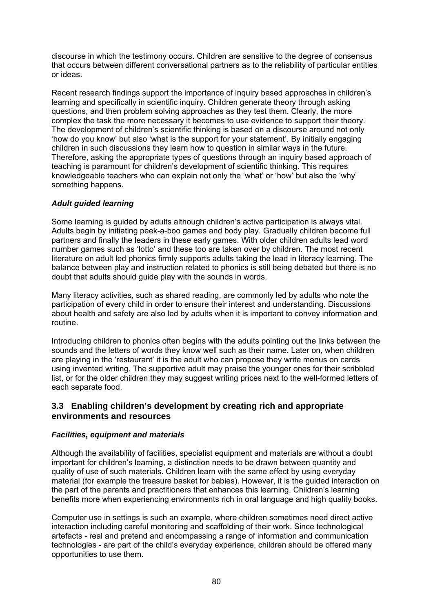discourse in which the testimony occurs. Children are sensitive to the degree of consensus that occurs between different conversational partners as to the reliability of particular entities or ideas.

Recent research findings support the importance of inquiry based approaches in children's learning and specifically in scientific inquiry. Children generate theory through asking questions, and then problem solving approaches as they test them. Clearly, the more complex the task the more necessary it becomes to use evidence to support their theory. The development of children's scientific thinking is based on a discourse around not only 'how do you know' but also 'what is the support for your statement'. By initially engaging children in such discussions they learn how to question in similar ways in the future. Therefore, asking the appropriate types of questions through an inquiry based approach of teaching is paramount for children's development of scientific thinking. This requires knowledgeable teachers who can explain not only the 'what' or 'how' but also the 'why' something happens.

## *Adult guided learning*

Some learning is guided by adults although children's active participation is always vital. Adults begin by initiating peek-a-boo games and body play. Gradually children become full partners and finally the leaders in these early games. With older children adults lead word number games such as 'lotto' and these too are taken over by children. The most recent literature on adult led phonics firmly supports adults taking the lead in literacy learning. The balance between play and instruction related to phonics is still being debated but there is no doubt that adults should guide play with the sounds in words.

Many literacy activities, such as shared reading, are commonly led by adults who note the participation of every child in order to ensure their interest and understanding. Discussions about health and safety are also led by adults when it is important to convey information and routine.

Introducing children to phonics often begins with the adults pointing out the links between the sounds and the letters of words they know well such as their name. Later on, when children are playing in the 'restaurant' it is the adult who can propose they write menus on cards using invented writing. The supportive adult may praise the younger ones for their scribbled list, or for the older children they may suggest writing prices next to the well-formed letters of each separate food.

## **3.3 Enabling children's development by creating rich and appropriate environments and resources**

#### *Facilities, equipment and materials*

Although the availability of facilities, specialist equipment and materials are without a doubt important for children's learning, a distinction needs to be drawn between quantity and quality of use of such materials. Children learn with the same effect by using everyday material (for example the treasure basket for babies). However, it is the guided interaction on the part of the parents and practitioners that enhances this learning. Children's learning benefits more when experiencing environments rich in oral language and high quality books.

Computer use in settings is such an example, where children sometimes need direct active interaction including careful monitoring and scaffolding of their work. Since technological artefacts - real and pretend and encompassing a range of information and communication technologies - are part of the child's everyday experience, children should be offered many opportunities to use them.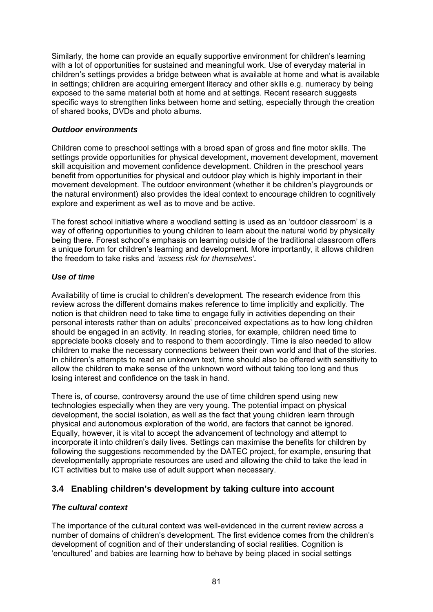Similarly, the home can provide an equally supportive environment for children's learning with a lot of opportunities for sustained and meaningful work. Use of everyday material in children's settings provides a bridge between what is available at home and what is available in settings; children are acquiring emergent literacy and other skills e.g. numeracy by being exposed to the same material both at home and at settings. Recent research suggests specific ways to strengthen links between home and setting, especially through the creation of shared books, DVDs and photo albums.

#### *Outdoor environments*

Children come to preschool settings with a broad span of gross and fine motor skills. The settings provide opportunities for physical development, movement development, movement skill acquisition and movement confidence development. Children in the preschool years benefit from opportunities for physical and outdoor play which is highly important in their movement development. The outdoor environment (whether it be children's playgrounds or the natural environment) also provides the ideal context to encourage children to cognitively explore and experiment as well as to move and be active.

The forest school initiative where a woodland setting is used as an 'outdoor classroom' is a way of offering opportunities to young children to learn about the natural world by physically being there. Forest school's emphasis on learning outside of the traditional classroom offers a unique forum for children's learning and development. More importantly, it allows children the freedom to take risks and *'assess risk for themselves'.* 

## *Use of time*

Availability of time is crucial to children's development. The research evidence from this review across the different domains makes reference to time implicitly and explicitly. The notion is that children need to take time to engage fully in activities depending on their personal interests rather than on adults' preconceived expectations as to how long children should be engaged in an activity. In reading stories, for example, children need time to appreciate books closely and to respond to them accordingly. Time is also needed to allow children to make the necessary connections between their own world and that of the stories. In children's attempts to read an unknown text, time should also be offered with sensitivity to allow the children to make sense of the unknown word without taking too long and thus losing interest and confidence on the task in hand.

There is, of course, controversy around the use of time children spend using new technologies especially when they are very young. The potential impact on physical development, the social isolation, as well as the fact that young children learn through physical and autonomous exploration of the world, are factors that cannot be ignored. Equally, however, it is vital to accept the advancement of technology and attempt to incorporate it into children's daily lives. Settings can maximise the benefits for children by following the suggestions recommended by the DATEC project, for example, ensuring that developmentally appropriate resources are used and allowing the child to take the lead in ICT activities but to make use of adult support when necessary.

## **3.4 Enabling children's development by taking culture into account**

## *The cultural context*

The importance of the cultural context was well-evidenced in the current review across a number of domains of children's development. The first evidence comes from the children's development of cognition and of their understanding of social realities. Cognition is 'encultured' and babies are learning how to behave by being placed in social settings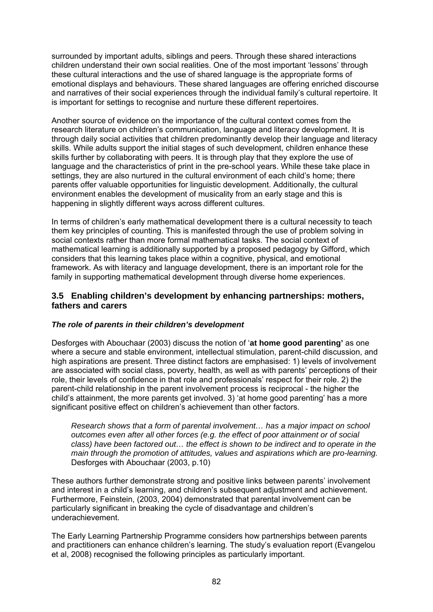surrounded by important adults, siblings and peers. Through these shared interactions children understand their own social realities. One of the most important 'lessons' through these cultural interactions and the use of shared language is the appropriate forms of emotional displays and behaviours. These shared languages are offering enriched discourse and narratives of their social experiences through the individual family's cultural repertoire. It is important for settings to recognise and nurture these different repertoires.

Another source of evidence on the importance of the cultural context comes from the research literature on children's communication, language and literacy development. It is through daily social activities that children predominantly develop their language and literacy skills. While adults support the initial stages of such development, children enhance these skills further by collaborating with peers. It is through play that they explore the use of language and the characteristics of print in the pre-school years. While these take place in settings, they are also nurtured in the cultural environment of each child's home; there parents offer valuable opportunities for linguistic development. Additionally, the cultural environment enables the development of musicality from an early stage and this is happening in slightly different ways across different cultures.

In terms of children's early mathematical development there is a cultural necessity to teach them key principles of counting. This is manifested through the use of problem solving in social contexts rather than more formal mathematical tasks. The social context of mathematical learning is additionally supported by a proposed pedagogy by Gifford, which considers that this learning takes place within a cognitive, physical, and emotional framework. As with literacy and language development, there is an important role for the family in supporting mathematical development through diverse home experiences.

## **3.5 Enabling children's development by enhancing partnerships: mothers, fathers and carers**

## *The role of parents in their children's development*

Desforges with Abouchaar (2003) discuss the notion of '**at home good parenting'** as one where a secure and stable environment, intellectual stimulation, parent-child discussion, and high aspirations are present. Three distinct factors are emphasised: 1) levels of involvement are associated with social class, poverty, health, as well as with parents' perceptions of their role, their levels of confidence in that role and professionals' respect for their role. 2) the parent-child relationship in the parent involvement process is reciprocal - the higher the child's attainment, the more parents get involved. 3) 'at home good parenting' has a more significant positive effect on children's achievement than other factors.

*Research shows that a form of parental involvement… has a major impact on school outcomes even after all other forces (e.g. the effect of poor attainment or of social class) have been factored out… the effect is shown to be indirect and to operate in the main through the promotion of attitudes, values and aspirations which are pro-learning.* Desforges with Abouchaar (2003, p.10)

These authors further demonstrate strong and positive links between parents' involvement and interest in a child's learning, and children's subsequent adjustment and achievement. Furthermore, Feinstein, (2003, 2004) demonstrated that parental involvement can be particularly significant in breaking the cycle of disadvantage and children's underachievement.

The Early Learning Partnership Programme considers how partnerships between parents and practitioners can enhance children's learning. The study's evaluation report (Evangelou et al, 2008) recognised the following principles as particularly important.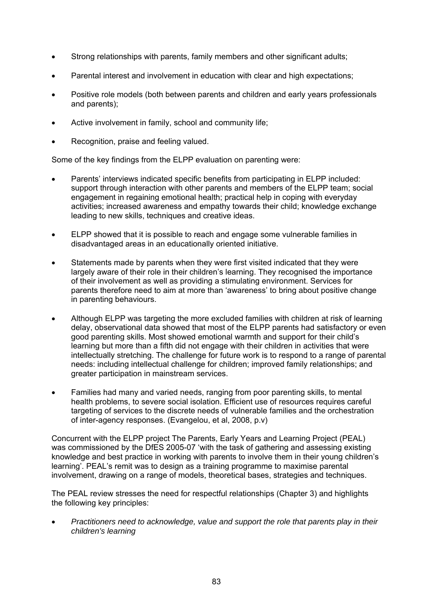- Strong relationships with parents, family members and other significant adults;
- Parental interest and involvement in education with clear and high expectations;
- Positive role models (both between parents and children and early years professionals and parents);
- Active involvement in family, school and community life;
- Recognition, praise and feeling valued.

Some of the key findings from the ELPP evaluation on parenting were:

- Parents' interviews indicated specific benefits from participating in ELPP included: support through interaction with other parents and members of the ELPP team; social engagement in regaining emotional health; practical help in coping with everyday activities; increased awareness and empathy towards their child; knowledge exchange leading to new skills, techniques and creative ideas.
- ELPP showed that it is possible to reach and engage some vulnerable families in disadvantaged areas in an educationally oriented initiative.
- Statements made by parents when they were first visited indicated that they were largely aware of their role in their children's learning. They recognised the importance of their involvement as well as providing a stimulating environment. Services for parents therefore need to aim at more than 'awareness' to bring about positive change in parenting behaviours.
- Although ELPP was targeting the more excluded families with children at risk of learning delay, observational data showed that most of the ELPP parents had satisfactory or even good parenting skills. Most showed emotional warmth and support for their child's learning but more than a fifth did not engage with their children in activities that were intellectually stretching. The challenge for future work is to respond to a range of parental needs: including intellectual challenge for children; improved family relationships; and greater participation in mainstream services.
- Families had many and varied needs, ranging from poor parenting skills, to mental health problems, to severe social isolation. Efficient use of resources requires careful targeting of services to the discrete needs of vulnerable families and the orchestration of inter-agency responses. (Evangelou, et al, 2008, p.v)

Concurrent with the ELPP project The Parents, Early Years and Learning Project (PEAL) was commissioned by the DfES 2005-07 'with the task of gathering and assessing existing knowledge and best practice in working with parents to involve them in their young children's learning'. PEAL's remit was to design as a training programme to maximise parental involvement, drawing on a range of models, theoretical bases, strategies and techniques.

The PEAL review stresses the need for respectful relationships (Chapter 3) and highlights the following key principles:

• *Practitioners need to acknowledge, value and support the role that parents play in their children's learning*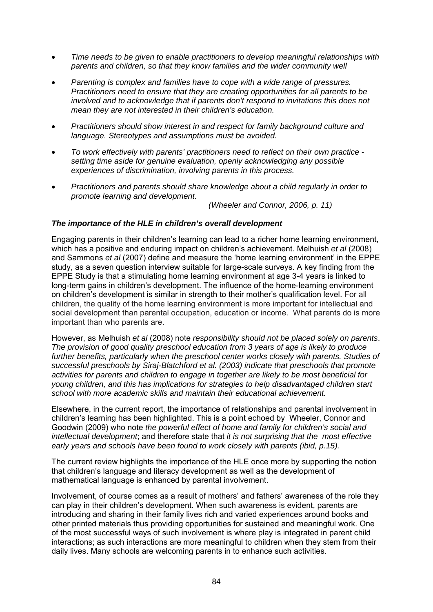- *Time needs to be given to enable practitioners to develop meaningful relationships with parents and children, so that they know families and the wider community well*
- *Parenting is complex and families have to cope with a wide range of pressures. Practitioners need to ensure that they are creating opportunities for all parents to be involved and to acknowledge that if parents don't respond to invitations this does not mean they are not interested in their children's education.*
- *Practitioners should show interest in and respect for family background culture and language. Stereotypes and assumptions must be avoided.*
- *To work effectively with parents' practitioners need to reflect on their own practice setting time aside for genuine evaluation, openly acknowledging any possible experiences of discrimination, involving parents in this process.*
- *Practitioners and parents should share knowledge about a child regularly in order to promote learning and development.*

*(Wheeler and Connor, 2006, p. 11)* 

#### *The importance of the HLE in children's overall development*

Engaging parents in their children's learning can lead to a richer home learning environment, which has a positive and enduring impact on children's achievement. Melhuish *et al* (2008) and Sammons *et al* (2007) define and measure the 'home learning environment' in the EPPE study, as a seven question interview suitable for large-scale surveys. A key finding from the EPPE Study is that a stimulating home learning environment at age 3-4 years is linked to long-term gains in children's development. The influence of the home-learning environment on children's development is similar in strength to their mother's qualification level. For all children, the quality of the home learning environment is more important for intellectual and social development than parental occupation, education or income. What parents do is more important than who parents are.

However, as Melhuish *et al* (2008) note *responsibility should not be placed solely on parents*. *The provision of good quality preschool education from 3 years of age is likely to produce*  further benefits, particularly when the preschool center works closely with parents. Studies of *successful preschools by Siraj-Blatchford et al. (2003) indicate that preschools that promote activities for parents and children to engage in together are likely to be most beneficial for young children, and this has implications for strategies to help disadvantaged children start school with more academic skills and maintain their educational achievement.* 

Elsewhere, in the current report, the importance of relationships and parental involvement in children's learning has been highlighted. This is a point echoed by Wheeler, Connor and Goodwin (2009) who note *the powerful effect of home and family for children's social and intellectual development*; and therefore state that *it is not surprising that the most effective early years and schools have been found to work closely with parents (ibid, p.15).* 

The current review highlights the importance of the HLE once more by supporting the notion that children's language and literacy development as well as the development of mathematical language is enhanced by parental involvement.

Involvement, of course comes as a result of mothers' and fathers' awareness of the role they can play in their children's development. When such awareness is evident, parents are introducing and sharing in their family lives rich and varied experiences around books and other printed materials thus providing opportunities for sustained and meaningful work. One of the most successful ways of such involvement is where play is integrated in parent child interactions; as such interactions are more meaningful to children when they stem from their daily lives. Many schools are welcoming parents in to enhance such activities.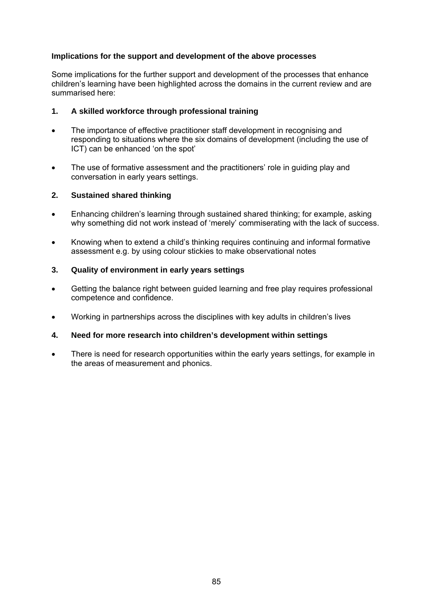## **Implications for the support and development of the above processes**

Some implications for the further support and development of the processes that enhance children's learning have been highlighted across the domains in the current review and are summarised here:

#### **1. A skilled workforce through professional training**

- The importance of effective practitioner staff development in recognising and responding to situations where the six domains of development (including the use of ICT) can be enhanced 'on the spot'
- The use of formative assessment and the practitioners' role in guiding play and conversation in early years settings.

#### **2. Sustained shared thinking**

- Enhancing children's learning through sustained shared thinking; for example, asking why something did not work instead of 'merely' commiserating with the lack of success.
- Knowing when to extend a child's thinking requires continuing and informal formative assessment e.g. by using colour stickies to make observational notes

#### **3. Quality of environment in early years settings**

- Getting the balance right between guided learning and free play requires professional competence and confidence.
- Working in partnerships across the disciplines with key adults in children's lives

#### **4. Need for more research into children's development within settings**

• There is need for research opportunities within the early years settings, for example in the areas of measurement and phonics.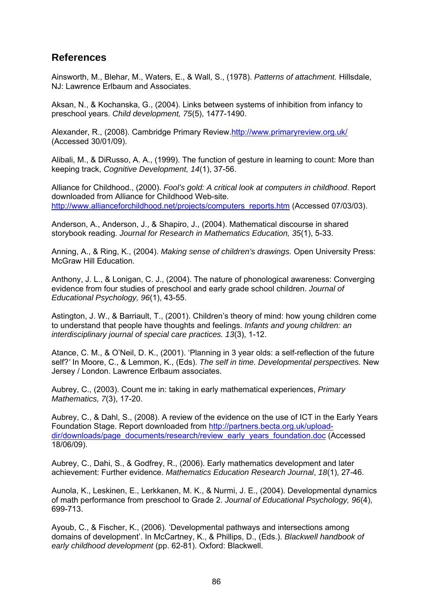## **References**

Ainsworth, M., Blehar, M., Waters, E., & Wall, S., (1978). *Patterns of attachment.* Hillsdale, NJ: Lawrence Erlbaum and Associates.

Aksan, N., & Kochanska, G., (2004). Links between systems of inhibition from infancy to preschool years. *Child development, 75*(5), 1477-1490.

Alexander, R., (2008). Cambridge Primary Review[.http://www.primaryreview.org.uk/](http://www.primaryreview.org.uk/) (Accessed 30/01/09).

Alibali, M., & DiRusso, A. A., (1999). The function of gesture in learning to count: More than keeping track, *Cognitive Development, 14*(1), 37-56.

Alliance for Childhood., (2000). *Fool's gold: A critical look at computers in childhood*. Report downloaded from Alliance for Childhood Web-site. [http://www.allianceforchildhood.net/projects/computers\\_reports.htm](http://www.allianceforchildhood.net/projects/computers_reports.htm) (Accessed 07/03/03).

Anderson, A., Anderson, J., & Shapiro, J., (2004). Mathematical discourse in shared storybook reading. *Journal for Research in Mathematics Education, 35*(1), 5-33.

Anning, A., & Ring, K., (2004). *Making sense of children's drawings.* Open University Press: McGraw Hill Education.

Anthony, J. L., & Lonigan, C. J., (2004). The nature of phonological awareness: Converging evidence from four studies of preschool and early grade school children. *Journal of Educational Psychology, 96*(1), 43-55.

Astington, J. W., & Barriault, T., (2001). Children's theory of mind: how young children come to understand that people have thoughts and feelings. *Infants and young children: an interdisciplinary journal of special care practices. 13*(3), 1-12.

Atance, C. M., & O'Neil, D. K., (2001). 'Planning in 3 year olds: a self-reflection of the future self?*'* In Moore, C., & Lemmon, K., (Eds). *The self in time. Developmental perspectives.* New Jersey / London. Lawrence Erlbaum associates.

Aubrey, C., (2003). Count me in: taking in early mathematical experiences, *Primary Mathematics, 7*(3), 17-20.

Aubrey, C., & Dahl, S., (2008). A review of the evidence on the use of ICT in the Early Years Foundation Stage. Report downloaded from [http://partners.becta.org.uk/upload](http://partners.becta.org.uk/upload-dir/downloads/page_documents/research/review_early_years_foundation.doc)[dir/downloads/page\\_documents/research/review\\_early\\_years\\_foundation.doc](http://partners.becta.org.uk/upload-dir/downloads/page_documents/research/review_early_years_foundation.doc) (Accessed 18/06/09).

Aubrey, C., Dahi, S., & Godfrey, R., (2006). [Early mathematics development and later](http://web.ebscohost.com/ehost/viewarticle?data=dGJyMPPp44rp2%2fdV0%2bnjisfk5Ie46bROs6%2bvSLWk63nn5Kx95uXxjL6rrUmzpbBIrq%2beULipslKuqp5Zy5zyit%2fk8Xnh6ueH7N%2fiVautsFGwqbRQs6ikhN%2fk5VXj5KR84LPjgOac8nnls79mpNfsVbCns0yxqa5OpNztiuvX8lXk6%2bqE8tv2jAAA&hid=7)  [achievement: Further evidence.](http://web.ebscohost.com/ehost/viewarticle?data=dGJyMPPp44rp2%2fdV0%2bnjisfk5Ie46bROs6%2bvSLWk63nn5Kx95uXxjL6rrUmzpbBIrq%2beULipslKuqp5Zy5zyit%2fk8Xnh6ueH7N%2fiVautsFGwqbRQs6ikhN%2fk5VXj5KR84LPjgOac8nnls79mpNfsVbCns0yxqa5OpNztiuvX8lXk6%2bqE8tv2jAAA&hid=7) *Mathematics Education Research Journal*, *18*(1), 27-46.

Aunola, K., Leskinen, E., Lerkkanen, M. K., & Nurmi, J. E., (2004). Developmental dynamics of math performance from preschool to Grade 2. *Journal of Educational Psychology, 96*(4), 699-713.

Ayoub, C., & Fischer, K., (2006). 'Developmental pathways and intersections among domains of development'. In McCartney, K., & Phillips, D., (Eds.). *Blackwell handbook of early childhood development* (pp. 62-81). Oxford: Blackwell.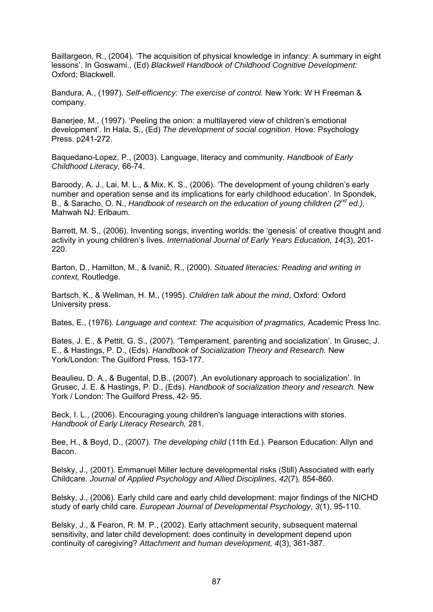Baillargeon, R., (2004). 'The acquisition of physical knowledge in infancy: A summary in eight lessons'. In Goswami., (Ed) *Blackwell Handbook of Childhood Cognitive Development:* Oxford: Blackwell.

Bandura, A., (1997). *Self-efficiency: The exercise of control.* New York: W H Freeman & company.

Banerjee, M., (1997). 'Peeling the onion: a multilayered view of children's emotional development'. In Hala, S., (Ed) *The development of social cognition*. Hove: Psychology Press. p241-272.

Baquedano-Lopez, P., (2003). Language, literacy and community. *Handbook of Early Childhood Literacy,* 66-74.

Baroody, A. J., Lai, M. L., & Mix, K. S., (2006). 'The development of young children's early number and operation sense and its implications for early childhood education'. In Spondek, B., & Saracho, O. N., *Handbook of research on the education of young children (2nd ed.),* Mahwah NJ: Erlbaum.

Barrett, M. S., (2006). Inventing songs, inventing worlds: the 'genesis' of creative thought and activity in young children's lives. *International Journal of Early Years Education, 14*(3), 201- 220.

Barton, D., Hamilton, M., & Ivanič, R., (2000). *Situated literacies: Reading and writing in context,* Routledge.

Bartsch, K., & Wellman, H. M., (1995). *Children talk about the mind*, Oxford: Oxford University press.

Bates, E., (1976). *Language and context: The acquisition of pragmatics,* Academic Press Inc.

Bates, J. E., & Pettit, G. S., (2007). 'Temperament, parenting and socialization'. In Grusec, J. E., & Hastings, P. D., (Eds). *Handbook of Socialization Theory and Research.* New York/London: The Guilford Press, 153-177.

Beaulieu, D. A., & Bugental, D.B., (2007). An evolutionary approach to socialization'. In Grusec, J. E. & Hastings, P. D., (Eds). *Handbook of socialization theory and research.* New York / London: The Guilford Press, 42- 95.

Beck, I. L., (2006). Encouraging young children's language interactions with stories. *Handbook of Early Literacy Research,* 281.

Bee, H., & Boyd, D., (2007). *The developing child* (11th Ed.). Pearson Education: Allyn and Bacon.

Belsky, J., (2001). Emmanuel Miller lecture developmental risks (Still) Associated with early Childcare*. Journal of Applied Psychology and Allied Disciplines, 42*(7), 854-860.

Belsky, J., (2006). Early child care and early child development: major findings of the NICHD study of early child care. *European Journal of Developmental Psychology*, *3*(1), 95-110.

Belsky, J., & Fearon, R. M. P., (2002). Early attachment security, subsequent maternal sensitivity, and later child development: does continuity in development depend upon continuity of caregiving? *Attachment and human development, 4*(3), 361-387.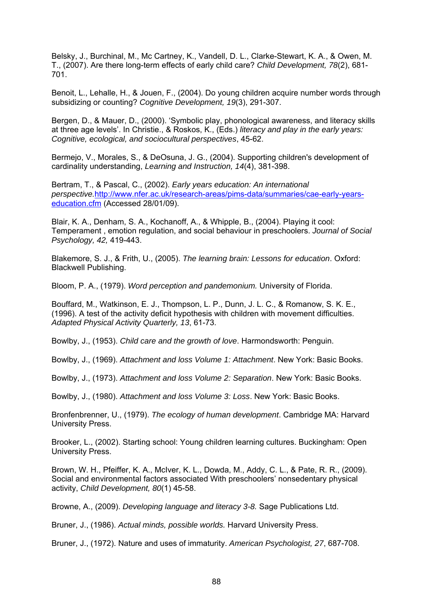Belsky, J., Burchinal, M., Mc Cartney, K., Vandell, D. L., Clarke-Stewart, K. A., & Owen, M. T., (2007). Are there long-term effects of early child care? *Child Development, 78*(2), 681- 701.

Benoit, L., Lehalle, H., & Jouen, F., (2004). Do young children acquire number words through subsidizing or counting? *Cognitive Development, 19*(3), 291-307.

Bergen, D., & Mauer, D., (2000). 'Symbolic play, phonological awareness, and literacy skills at three age levels'. In Christie., & Roskos, K., (Eds.) *literacy and play in the early years: Cognitive, ecological, and sociocultural perspectives*, 45-62.

Bermejo, V., Morales, S., & DeOsuna, J. G., (2004). Supporting children's development of cardinality understanding, *Learning and Instruction, 14*(4), 381-398.

Bertram, T., & Pascal, C., (2002). *Early years education: An international perspective.*[http://www.nfer.ac.uk/research-areas/pims-data/summaries/cae-early-years](http://www.nfer.ac.uk/research-areas/pims-data/summaries/cae-early-years-education.cfm)[education.cfm](http://www.nfer.ac.uk/research-areas/pims-data/summaries/cae-early-years-education.cfm) (Accessed 28/01/09).

Blair, K. A., Denham, S. A., Kochanoff, A., & Whipple, B., (2004). Playing it cool: Temperament , emotion regulation, and social behaviour in preschoolers. *Journal of Social Psychology, 42,* 419-443.

Blakemore, S. J., & Frith, U., (2005). *The learning brain: Lessons for education*. Oxford: Blackwell Publishing.

Bloom, P. A., (1979). *Word perception and pandemonium.* University of Florida.

Bouffard, M., Watkinson, E. J., Thompson, L. P., Dunn, J. L. C., & Romanow, S. K. E., (1996). A test of the activity deficit hypothesis with children with movement difficulties. *Adapted Physical Activity Quarterly, 13*, 61-73.

Bowlby, J., (1953). *Child care and the growth of love*. Harmondsworth: Penguin.

Bowlby, J., (1969). *Attachment and loss Volume 1: Attachment*. New York: Basic Books.

Bowlby, J., (1973). *Attachment and loss Volume 2: Separation*. New York: Basic Books.

Bowlby, J., (1980). *Attachment and loss Volume 3: Loss*. New York: Basic Books.

Bronfenbrenner, U., (1979). *The ecology of human development*. Cambridge MA: Harvard University Press.

Brooker, L., (2002). Starting school: Young children learning cultures. Buckingham: Open University Press.

Brown, W. H., Pfeiffer, K. A., McIver, K. L., Dowda, M., Addy, C. L., & Pate, R. R., (2009). Social and environmental factors associated With preschoolers' nonsedentary physical activity, *Child Development, 80*(1) 45-58.

Browne, A., (2009). *Developing language and literacy 3-8.* Sage Publications Ltd.

Bruner, J., (1986). *Actual minds, possible worlds.* Harvard University Press.

Bruner, J., (1972). Nature and uses of immaturity. *American Psychologist, 27*, 687-708.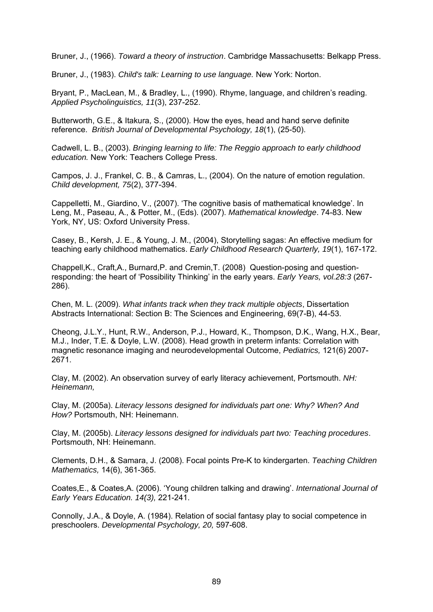Bruner, J., (1966). *Toward a theory of instruction*. Cambridge Massachusetts: Belkapp Press.

Bruner, J., (1983). *Child's talk: Learning to use language.* New York: Norton.

Bryant, P., MacLean, M., & Bradley, L., (1990). Rhyme, language, and children's reading. *Applied Psycholinguistics, 11*(3), 237-252.

Butterworth, G.E., & Itakura, S., (2000). How the eyes, head and hand serve definite reference. *British Journal of Developmental Psychology, 18*(1), (25-50).

Cadwell, L. B., (2003). *Bringing learning to life: The Reggio approach to early childhood education.* New York: Teachers College Press.

Campos, J. J., Frankel, C. B., & Camras, L., (2004). On the nature of emotion regulation. *Child development, 75*(2), 377-394.

Cappelletti, M., Giardino, V., (2007). 'The cognitive basis of mathematical knowledge'. In Leng, M., Paseau, A., & Potter, M., (Eds). (2007). *Mathematical knowledge*. 74-83. New York, NY, US: Oxford University Press.

[Casey, B.](http://ovidsp.tx.ovid.com/spa/ovidweb.cgi?&S=OALBFPCJBKDDOOFHNCFLIFMLHFEFAA00&Search+Link=%22Casey%2c+Beth%22.au.), [Kersh, J. E.](http://ovidsp.tx.ovid.com/spa/ovidweb.cgi?&S=OALBFPCJBKDDOOFHNCFLIFMLHFEFAA00&Search+Link=%22Kersh%2c+Joanne+E%22.au.), & [Young, J. M.](http://ovidsp.tx.ovid.com/spa/ovidweb.cgi?&S=OALBFPCJBKDDOOFHNCFLIFMLHFEFAA00&Search+Link=%22Young%2c+Jessica+Mercer%22.au.), (2004), Storytelling sagas: An effective medium for teaching early childhood mathematics. *Early Childhood Research Quarterly, 19*(1), 167-172.

Chappell,K., Craft,A., Burnard,P. and Cremin,T. (2008) Question-posing and questionresponding: the heart of 'Possibility Thinking' in the early years. *Early Years, vol.28:3* (267- 286).

Chen, M. L. (2009). *What infants track when they track multiple objects*, Dissertation Abstracts International: Section B: The Sciences and Engineering, 69(7-B), 44-53.

Cheong, J.L.Y., Hunt, R.W., Anderson, P.J., Howard, K., Thompson, D.K., Wang, H.X., Bear, M.J., Inder, T.E. & Doyle, L.W. (2008). Head growth in preterm infants: Correlation with magnetic resonance imaging and neurodevelopmental Outcome, *Pediatrics,* 121(6) 2007- 2671.

Clay, M. (2002). An observation survey of early literacy achievement, Portsmouth. *NH: Heinemann,* 

Clay, M. (2005a). *Literacy lessons designed for individuals part one: Why? When? And How?* Portsmouth, NH: Heinemann.

Clay, M. (2005b). *Literacy lessons designed for individuals part two: Teaching procedures*. Portsmouth, NH: Heinemann.

Clements, D.H., & Samara, J. (2008). Focal points Pre-K to kindergarten. *Teaching Children Mathematics,* 14(6), 361-365.

Coates,E., & Coates,A. (2006). 'Young children talking and drawing'. *International Journal of Early Years Education. 14(3),* 221-241.

Connolly, J.A., & Doyle, A. (1984). Relation of social fantasy play to social competence in preschoolers. *Developmental Psychology, 20,* 597-608.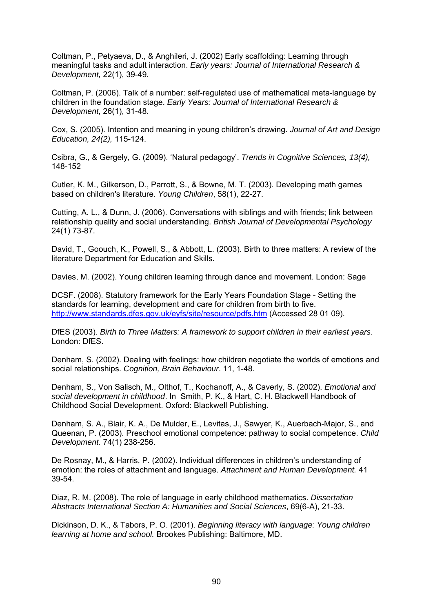Coltman, P., Petyaeva, D., & Anghileri, J. (2002) Early [scaffolding: Learning through](http://web.ebscohost.com/ehost/viewarticle?data=dGJyMPPp44rp2%2fdV0%2bnjisfk5Ie46bROs6%2bvSLWk63nn5Kx95uXxjL6srUqtqK5It5a2UrKsuE2xlr9lpOrweezp33vy3%2b2G59q7TLGntVC0r7FMpOLfhuWz44ak2uBV497mPvLX5VW%2fxKR57LO0SbartkuvnOSH8OPfjLvc84Tq6uOQ8gAA&hid=3)  [meaningful tasks and adult interaction.](http://web.ebscohost.com/ehost/viewarticle?data=dGJyMPPp44rp2%2fdV0%2bnjisfk5Ie46bROs6%2bvSLWk63nn5Kx95uXxjL6srUqtqK5It5a2UrKsuE2xlr9lpOrweezp33vy3%2b2G59q7TLGntVC0r7FMpOLfhuWz44ak2uBV497mPvLX5VW%2fxKR57LO0SbartkuvnOSH8OPfjLvc84Tq6uOQ8gAA&hid=3) *Early years: Journal of International Research & Development,* 22(1), 39-49.

Coltman, P. (2006). [Talk of a number: self-regulated use of mathematical meta-language by](http://web.ebscohost.com/ehost/viewarticle?data=dGJyMPPp44rp2%2fdV0%2bnjisfk5Ie46bROs6%2bvSLWk63nn5Kx95uXxjL6rrUmzpbBIrq%2beULipslKuqp5Zy5zyit%2fk8Xnh6ueH7N%2fiVautsFGwqbRQs6ikhN%2fk5VXj5KR84LPjgOac8nnls79mpNfsVa%2bvtk2vprJRpNztiuvX8lXk6%2bqE8tv2jAAA&hid=7)  [children in the foundation stage.](http://web.ebscohost.com/ehost/viewarticle?data=dGJyMPPp44rp2%2fdV0%2bnjisfk5Ie46bROs6%2bvSLWk63nn5Kx95uXxjL6rrUmzpbBIrq%2beULipslKuqp5Zy5zyit%2fk8Xnh6ueH7N%2fiVautsFGwqbRQs6ikhN%2fk5VXj5KR84LPjgOac8nnls79mpNfsVa%2bvtk2vprJRpNztiuvX8lXk6%2bqE8tv2jAAA&hid=7) *Early Years: Journal of International Research & Development,* 26(1), 31-48.

Cox, S. (2005). Intention and meaning in young children's drawing. *Journal of Art and Design Education, 24(2),* 115-124.

Csibra, G., & Gergely, G. (2009). 'Natural pedagogy'. *Trends in Cognitive Sciences, 13(4),* 148-152

Cutler, K. M., Gilkerson, D., Parrott, S., & Bowne, M. T. (2003). [Developing math games](http://web.ebscohost.com/ehost/viewarticle?data=dGJyMPPp44rp2%2fdV0%2bnjisfk5Ie46bROs6%2bvSLWk63nn5Kx95uXxjL6srUqtqK5It5a2UrGouEu1lr9lpOrweezp33vy3%2b2G59q7TLGntVC0r7FMpOLfhuWz44ak2uBV497mPvLX5VW%2fxKR57LOvUa6msk2yq6R%2b7ejrefKz5I3q4vJ99uoA&hid=103)  [based on children's literature.](http://web.ebscohost.com/ehost/viewarticle?data=dGJyMPPp44rp2%2fdV0%2bnjisfk5Ie46bROs6%2bvSLWk63nn5Kx95uXxjL6srUqtqK5It5a2UrGouEu1lr9lpOrweezp33vy3%2b2G59q7TLGntVC0r7FMpOLfhuWz44ak2uBV497mPvLX5VW%2fxKR57LOvUa6msk2yq6R%2b7ejrefKz5I3q4vJ99uoA&hid=103) *Young Children*, 58(1), 22-27.

Cutting, A. L., & Dunn, J. (2006). Conversations with siblings and with friends; link between relationship quality and social understanding. *British Journal of Developmental Psychology*  24(1) 73-87.

David, T., Goouch, K., Powell, S., & Abbott, L. (2003). Birth to three matters: A review of the literature Department for Education and Skills.

Davies, M. (2002). Young children learning through dance and movement. London: Sage

DCSF. (2008). Statutory framework for the Early Years Foundation Stage - Setting the standards for learning, development and care for children from birth to five. <http://www.standards.dfes.gov.uk/eyfs/site/resource/pdfs.htm> (Accessed 28 01 09).

DfES (2003). *Birth to Three Matters: A framework to support children in their earliest years*. London: DfES.

Denham, S. (2002). Dealing with feelings: how children negotiate the worlds of emotions and social relationships. *Cognition, Brain Behaviour*. 11, 1-48.

Denham, S., Von Salisch, M., Olthof, T., Kochanoff, A., & Caverly, S. (2002). *Emotional and social development in childhood*. In Smith, P. K., & Hart, C. H. Blackwell Handbook of Childhood Social Development. Oxford: Blackwell Publishing.

Denham, S. A., Blair, K. A., De Mulder, E., Levitas, J., Sawyer, K., Auerbach-Major, S., and Queenan, P. (2003). Preschool emotional competence: pathway to social competence. *Child Development.* 74(1) 238-256.

De Rosnay, M., & Harris, P. (2002). Individual differences in children's understanding of emotion: the roles of attachment and language. *Attachment and Human Development.* 41 39-54.

Diaz, R. M. (2008). The role of language in early childhood mathematics. *Dissertation Abstracts International Section A: Humanities and Social Sciences*, 69(6-A), 21-33.

Dickinson, D. K., & Tabors, P. O. (2001). *Beginning literacy with language: Young children learning at home and school.* Brookes Publishing: Baltimore, MD.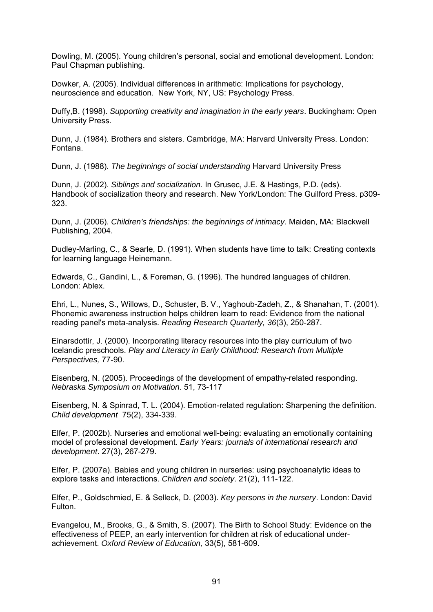Dowling, M. (2005). Young children's personal, social and emotional development. London: Paul Chapman publishing.

Dowker, A. (2005). Individual differences in arithmetic: Implications for psychology, neuroscience and education. New York, NY, US: Psychology Press.

Duffy,B. (1998). *Supporting creativity and imagination in the early years*. Buckingham: Open University Press.

Dunn, J. (1984). Brothers and sisters. Cambridge, MA: Harvard University Press. London: Fontana.

Dunn, J. (1988). *The beginnings of social understanding* Harvard University Press

Dunn, J. (2002). *Siblings and socialization*. In Grusec, J.E. & Hastings, P.D. (eds). Handbook of socialization theory and research. New York/London: The Guilford Press. p309- 323.

Dunn, J. (2006). *Children's friendships: the beginnings of intimacy*. Maiden, MA: Blackwell Publishing, 2004.

Dudley-Marling, C., & Searle, D. (1991). When students have time to talk: Creating contexts for learning language Heinemann.

Edwards, C., Gandini, L., & Foreman, G. (1996). The hundred languages of children. London: Ablex.

Ehri, L., Nunes, S., Willows, D., Schuster, B. V., Yaghoub-Zadeh, Z., & Shanahan, T. (2001). Phonemic awareness instruction helps children learn to read: Evidence from the national reading panel's meta-analysis. *Reading Research Quarterly, 36*(3), 250-287.

Einarsdottir, J. (2000). Incorporating literacy resources into the play curriculum of two Icelandic preschools. *Play and Literacy in Early Childhood: Research from Multiple Perspectives,* 77-90.

Eisenberg, N. (2005). Proceedings of the development of empathy-related responding. *Nebraska Symposium on Motivation*. 51, 73-117

Eisenberg, N. & Spinrad, T. L. (2004). Emotion-related regulation: Sharpening the definition. *Child development* 75(2), 334-339.

Elfer, P. (2002b). Nurseries and emotional well-being: evaluating an emotionally containing model of professional development. *Early Years: journals of international research and development*. 27(3), 267-279.

Elfer, P. (2007a). Babies and young children in nurseries: using psychoanalytic ideas to explore tasks and interactions. *Children and society*. 21(2), 111-122.

Elfer, P., Goldschmied, E. & Selleck, D. (2003). *Key persons in the nursery*. London: David Fulton.

Evangelou, M., Brooks, G., & Smith, S. (2007). The Birth to School Study: Evidence on the effectiveness of PEEP, an early intervention for children at risk of educational underachievement. *Oxford Review of Education,* 33(5), 581-609.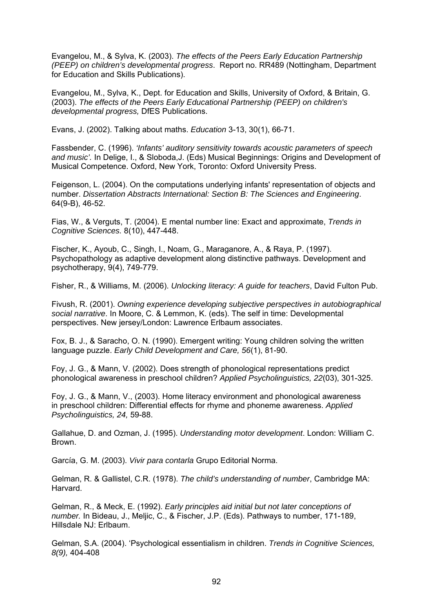Evangelou, M., & Sylva, K. (2003). *The effects of the Peers Early Education Partnership (PEEP) on children's developmental progress*. Report no. RR489 (Nottingham, Department for Education and Skills Publications).

Evangelou, M., Sylva, K., Dept. for Education and Skills, University of Oxford, & Britain, G. (2003). *The effects of the Peers Early Educational Partnership (PEEP) on children's developmental progress,* DfES Publications.

Evans, J. (2002). Talking about maths. *Education* 3-13, 30(1), 66-71.

Fassbender, C. (1996). *'Infants' auditory sensitivity towards acoustic parameters of speech and music'.* In Delige, I., & Sloboda,J. (Eds) Musical Beginnings: Origins and Development of Musical Competence. Oxford, New York, Toronto: Oxford University Press.

Feigenson, L. (2004). On the computations underlying infants' representation of objects and number. *Dissertation Abstracts International: Section B: The Sciences and Engineering*. 64(9-B), 46-52.

Fias, W., & Verguts, T. (2004). E mental number line: Exact and approximate, *Trends in Cognitive Sciences.* 8(10), 447-448.

Fischer, K., Ayoub, C., Singh, I., Noam, G., Maraganore, A., & Raya, P. (1997). Psychopathology as adaptive development along distinctive pathways. Development and psychotherapy, 9(4), 749-779.

Fisher, R., & Williams, M. (2006). *Unlocking literacy: A guide for teachers*, David Fulton Pub.

Fivush, R. (2001). *Owning experience developing subjective perspectives in autobiographical social narrative*. In Moore, C. & Lemmon, K. (eds). The self in time: Developmental perspectives. New jersey/London: Lawrence Erlbaum associates.

Fox, B. J., & Saracho, O. N. (1990). Emergent writing: Young children solving the written language puzzle. *Early Child Development and Care, 56*(1), 81-90.

Foy, J. G., & Mann, V. (2002). Does strength of phonological representations predict phonological awareness in preschool children? *Applied Psycholinguistics, 22*(03), 301-325.

Foy, J. G., & Mann, V., (2003). Home literacy environment and phonological awareness in preschool children: Differential effects for rhyme and phoneme awareness. *Applied Psycholinguistics, 24,* 59-88.

Gallahue, D. and Ozman, J. (1995). *Understanding motor development*. London: William C. Brown.

García, G. M. (2003). *Vivir para contarla* Grupo Editorial Norma.

Gelman, R. & Gallistel, C.R. (1978). *The child's understanding of number*, Cambridge MA: Harvard.

Gelman, R., & Meck, E. (1992). *Early principles aid initial but not later conceptions of number.* In Bideau, J., Meljic, C., & Fischer, J.P. (Eds). Pathways to number, 171-189, Hillsdale NJ: Erlbaum.

Gelman, S.A. (2004). 'Psychological essentialism in children. *Trends in Cognitive Sciences, 8(9),* 404-408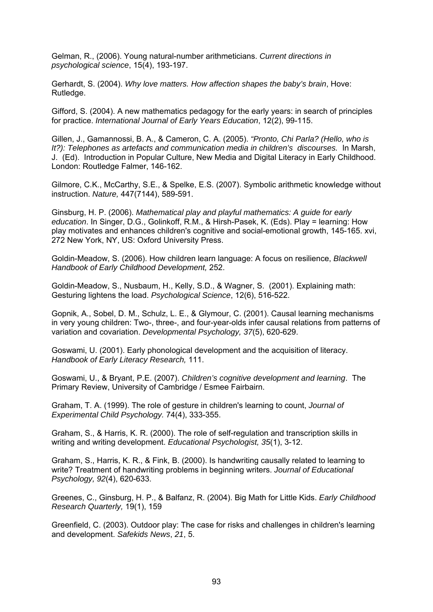Gelman, R., (2006). Young natural-number arithmeticians. *Current directions in psychological science*, 15(4), 193-197.

Gerhardt, S. (2004). *Why love matters. How affection shapes the baby's brain*, Hove: Rutledge.

Gifford, S. (2004). [A new mathematics pedagogy for the early years: in search of principles](http://web.ebscohost.com/ehost/viewarticle?data=dGJyMPPp44rp2%2fdV0%2bnjisfk5Ie46bROs6%2bvSLWk63nn5Kx95uXxjL6rrUmzpbBIrq%2beULipslKuqp5Zy5zyit%2fk8Xnh6ueH7N%2fiVautsFGwqbRQs6ikhN%2fk5VXj5KR84LPjgOac8nnls79mpNfsVa%2bpsU2zpq5PpNztiuvX8lXk6%2bqE8tv2jAAA&hid=7)  [for practice](http://web.ebscohost.com/ehost/viewarticle?data=dGJyMPPp44rp2%2fdV0%2bnjisfk5Ie46bROs6%2bvSLWk63nn5Kx95uXxjL6rrUmzpbBIrq%2beULipslKuqp5Zy5zyit%2fk8Xnh6ueH7N%2fiVautsFGwqbRQs6ikhN%2fk5VXj5KR84LPjgOac8nnls79mpNfsVa%2bpsU2zpq5PpNztiuvX8lXk6%2bqE8tv2jAAA&hid=7). *International Journal of Early Years Education*, 12(2), 99-115.

Gillen, J., Gamannossi, B. A., & Cameron, C. A. (2005). *"Pronto, Chi Parla? (Hello, who is It?): Telephones as artefacts and communication media in children's discourses.* In Marsh, J. (Ed). Introduction in Popular Culture, New Media and Digital Literacy in Early Childhood. London: Routledge Falmer, 146-162.

Gilmore, C.K., McCarthy, S.E., & Spelke, E.S. (2007). Symbolic arithmetic knowledge without instruction. *Nature,* 447(7144), 589-591.

[Ginsburg, H. P](http://ovidsp.tx.ovid.com/spa/ovidweb.cgi?&S=OALBFPCJBKDDOOFHNCFLIFMLHFEFAA00&Search+Link=%22Ginsburg%2c+Herbert+P%22.au.). (2006). *Mathematical play and playful mathematics: A guide for early education*. In Singer, D.G., Golinkoff, R.M., & Hirsh-Pasek, K. (Eds). Play = learning: How play motivates and enhances children's cognitive and social-emotional growth, 145-165. xvi, 272 New York, NY, US: Oxford University Press.

Goldin-Meadow, S. (2006). How children learn language: A focus on resilience, *Blackwell Handbook of Early Childhood Development,* 252.

Goldin-Meadow, S., Nusbaum, H., Kelly, S.D., & Wagner, S. (2001). Explaining math: Gesturing lightens the load. *Psychological Science*, 12(6), 516-522.

Gopnik, A., Sobel, D. M., Schulz, L. E., & Glymour, C. (2001). Causal learning mechanisms in very young children: Two-, three-, and four-year-olds infer causal relations from patterns of variation and covariation. *Developmental Psychology, 37*(5), 620-629.

Goswami, U. (2001). Early phonological development and the acquisition of literacy. *Handbook of Early Literacy Research,* 111.

Goswami, U., & Bryant, P.E. (2007). *Children's cognitive development and learning*. The Primary Review, University of Cambridge / Esmee Fairbairn.

Graham, T. A. (1999). The role of gesture in children's learning to count, *Journal of Experimental Child Psychology.* 74(4), 333-355.

Graham, S., & Harris, K. R. (2000). The role of self-regulation and transcription skills in writing and writing development. *Educational Psychologist, 35*(1), 3-12.

Graham, S., Harris, K. R., & Fink, B. (2000). Is handwriting causally related to learning to write? Treatment of handwriting problems in beginning writers. *Journal of Educational Psychology, 92*(4), 620-633.

Greenes, C., Ginsburg, H. P., & Balfanz, R. (2004). [Big Math for Little Kids.](http://web.ebscohost.com/ehost/viewarticle?data=dGJyMPPp44rp2%2fdV0%2bnjisfk5Ie46bROs6%2bvSLWk63nn5Kx95uXxjL6srUqtqK5It5a2UrGouEu1lr9lpOrweezp33vy3%2b2G59q7TLGntVC0r7FMpOLfhuWz44ak2uBV497mPvLX5VW%2fxKR57LOvSrantE2vp6R%2b7ejrefKz5I3q4vJ99uoA&hid=103) *Early Childhood Research Quarterly,* 19(1), 159

Greenfield, C. (2003). Outdoor play: The case for risks and challenges in children's learning and development. *Safekids News*, *21*, 5.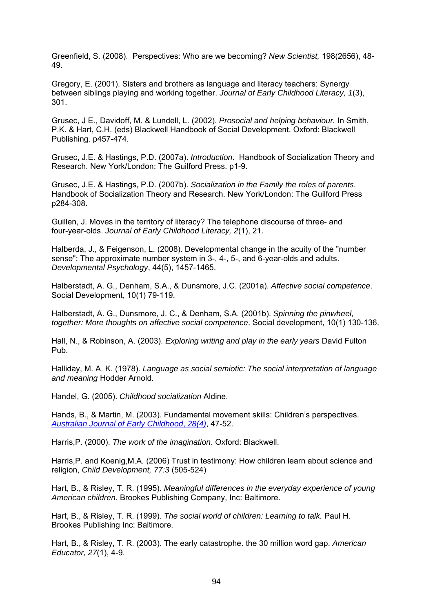Greenfield, S. (2008). Perspectives: Who are we becoming? *New Scientist,* 198(2656), 48- 49.

Gregory, E. (2001). Sisters and brothers as language and literacy teachers: Synergy between siblings playing and working together. *Journal of Early Childhood Literacy, 1*(3), 301.

Grusec, J E., Davidoff, M. & Lundell, L. (2002). *Prosocial and helping behaviour.* In Smith, P.K. & Hart, C.H. (eds) Blackwell Handbook of Social Development. Oxford: Blackwell Publishing. p457-474.

Grusec, J.E. & Hastings, P.D. (2007a). *Introduction*. Handbook of Socialization Theory and Research. New York/London: The Guilford Press. p1-9.

Grusec, J.E. & Hastings, P.D. (2007b). *Socialization in the Family the roles of parents*. Handbook of Socialization Theory and Research. New York/London: The Guilford Press p284-308.

Guillen, J. Moves in the territory of literacy? The telephone discourse of three- and four-year-olds. *Journal of Early Childhood Literacy, 2*(1), 21.

Halberda, J., & Feigenson, L. (2008). Developmental change in the acuity of the "number sense": The approximate number system in 3-, 4-, 5-, and 6-year-olds and adults. *Developmental Psychology*, 44(5), 1457-1465.

Halberstadt, A. G., Denham, S.A., & Dunsmore, J.C. (2001a). *Affective social competence*. Social Development, 10(1) 79-119.

Halberstadt, A. G., Dunsmore, J. C., & Denham, S.A. (2001b). *Spinning the pinwheel, together: More thoughts on affective social competence*. Social development, 10(1) 130-136.

Hall, N., & Robinson, A. (2003). *Exploring writing and play in the early years* David Fulton Pub.

Halliday, M. A. K. (1978). *Language as social semiotic: The social interpretation of language and meaning* Hodder Arnold.

Handel, G. (2005). *Childhood socialization* Aldine.

Hands, B., & Martin, M. (2003). Fundamental movement skills: Children's perspectives. *[Australian Journal of Early Childhood](http://www.earlychildhoodaustralia.org.au/ajec0304)*, *28(4)*, 47-52.

Harris,P. (2000). *The work of the imagination*. Oxford: Blackwell.

Harris,P. and Koenig,M.A. (2006) Trust in testimony: How children learn about science and religion, *Child Development, 77:3* (505-524)

Hart, B., & Risley, T. R. (1995). *Meaningful differences in the everyday experience of young American children.* Brookes Publishing Company, Inc: Baltimore.

Hart, B., & Risley, T. R. (1999). *The social world of children: Learning to talk.* Paul H. Brookes Publishing Inc: Baltimore.

Hart, B., & Risley, T. R. (2003). The early catastrophe. the 30 million word gap. *American Educator, 27*(1), 4-9.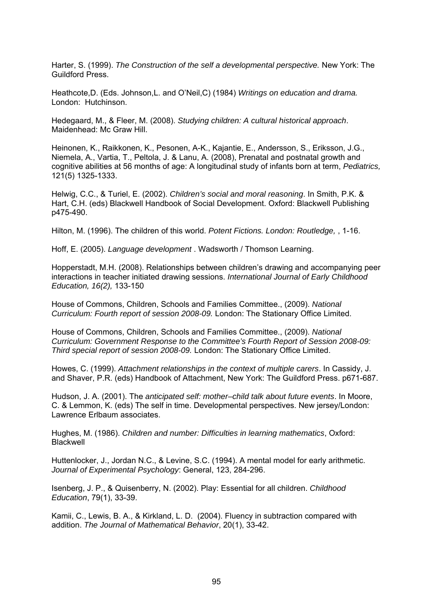Harter, S. (1999). *The Construction of the self a developmental perspective.* New York: The Guildford Press.

Heathcote,D. (Eds. Johnson,L. and O'Neil,C) (1984) *Writings on education and drama.* London: Hutchinson.

Hedegaard, M., & Fleer, M. (2008). *Studying children: A cultural historical approach*. Maidenhead: Mc Graw Hill.

Heinonen, K., Raikkonen, K., Pesonen, A-K., Kajantie, E., Andersson, S., Eriksson, J.G., Niemela, A., Vartia, T., Peltola, J. & Lanu, A. (2008), Prenatal and postnatal growth and cognitive abilities at 56 months of age: A longitudinal study of infants born at term, *Pediatrics,*  121(5) 1325-1333.

Helwig, C.C., & Turiel, E. (2002). *Children's social and moral reasoning*. In Smith, P.K. & Hart, C.H. (eds) Blackwell Handbook of Social Development. Oxford: Blackwell Publishing p475-490.

Hilton, M. (1996). The children of this world. *Potent Fictions. London: Routledge,* , 1-16.

Hoff, E. (2005). *Language development* . Wadsworth / Thomson Learning.

Hopperstadt, M.H. (2008). Relationships between children's drawing and accompanying peer interactions in teacher initiated drawing sessions. *International Journal of Early Childhood Education, 16(2),* 133-150

House of Commons, Children, Schools and Families Committee., (2009). *National Curriculum: Fourth report of session 2008-09.* London: The Stationary Office Limited.

House of Commons, Children, Schools and Families Committee., (2009). *National Curriculum: Government Response to the Committee's Fourth Report of Session 2008-09: Third special report of session 2008-09.* London: The Stationary Office Limited.

Howes, C. (1999). *Attachment relationships in the context of multiple carers*. In Cassidy, J. and Shaver, P.R. (eds) Handbook of Attachment, New York: The Guildford Press. p671-687.

Hudson, J. A. (2001). The *anticipated self: mother–child talk about future events*. In Moore, C. & Lemmon, K. (eds) The self in time. Developmental perspectives. New jersey/London: Lawrence Erlbaum associates.

Hughes, M. (1986). *Children and number: Difficulties in learning mathematics*, Oxford: Blackwell

Huttenlocker, J., Jordan N.C., & Levine, S.C. (1994). A mental model for early arithmetic. *Journal of Experimental Psychology*: General, 123, 284-296.

Isenberg, J. P., & Quisenberry, N. (2002). Play: Essential for all children. *Childhood Education*, 79(1), 33-39.

Kamii, C., Lewis, B. A., & Kirkland, L. D. (2004). Fluency in subtraction compared with addition. *The Journal of Mathematical Behavior*, 20(1), 33-42.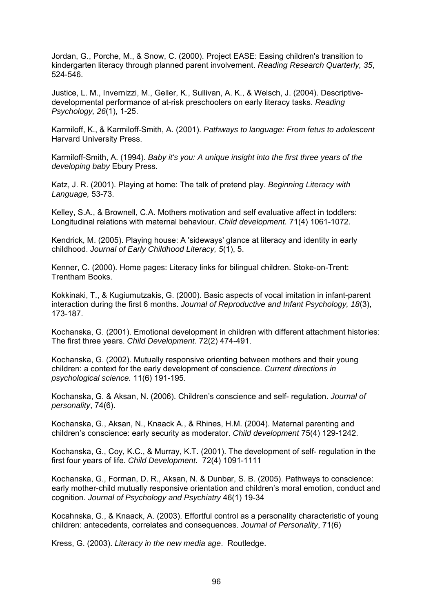Jordan, G., Porche, M., & Snow, C. (2000). Project EASE: Easing children's transition to kindergarten literacy through planned parent involvement. *Reading Research Quarterly, 35*, 524-546.

Justice, L. M., Invernizzi, M., Geller, K., Sullivan, A. K., & Welsch, J. (2004). Descriptivedevelopmental performance of at-risk preschoolers on early literacy tasks. *Reading Psychology, 26*(1), 1-25.

Karmiloff, K., & Karmiloff-Smith, A. (2001). *Pathways to language: From fetus to adolescent* Harvard University Press.

Karmiloff-Smith, A. (1994). *Baby it's you: A unique insight into the first three years of the developing baby* Ebury Press.

Katz, J. R. (2001). Playing at home: The talk of pretend play. *Beginning Literacy with Language,* 53-73.

Kelley, S.A., & Brownell, C.A. Mothers motivation and self evaluative affect in toddlers: Longitudinal relations with maternal behaviour. *Child development.* 71(4) 1061-1072.

Kendrick, M. (2005). Playing house: A 'sideways' glance at literacy and identity in early childhood. *Journal of Early Childhood Literacy, 5*(1), 5.

Kenner, C. (2000). Home pages: Literacy links for bilingual children. Stoke-on-Trent: Trentham Books.

Kokkinaki, T., & Kugiumutzakis, G. (2000). Basic aspects of vocal imitation in infant-parent interaction during the first 6 months. *Journal of Reproductive and Infant Psychology, 18*(3), 173-187.

Kochanska, G. (2001). Emotional development in children with different attachment histories: The first three years. *Child Development.* 72(2) 474-491.

Kochanska, G. (2002). Mutually responsive orienting between mothers and their young children: a context for the early development of conscience. *Current directions in psychological science.* 11(6) 191-195.

Kochanska, G. & Aksan, N. (2006). Children's conscience and self- regulation. *Journal of personality*, 74(6).

Kochanska, G., Aksan, N., Knaack A., & Rhines, H.M. (2004). Maternal parenting and children's conscience: early security as moderator. *Child development* 75(4) 129-1242.

Kochanska, G., Coy, K.C., & Murray, K.T. (2001). The development of self- regulation in the first four years of life. *Child Development.* 72(4) 1091-1111

Kochanska, G., Forman, D. R., Aksan, N. & Dunbar, S. B. (2005). Pathways to conscience: early mother-child mutually responsive orientation and children's moral emotion, conduct and cognition. *Journal of Psychology and Psychiatry* 46(1) 19-34

Kocahnska, G., & Knaack, A. (2003). Effortful control as a personality characteristic of young children: antecedents, correlates and consequences. *Journal of Personality*, 71(6)

Kress, G. (2003). *Literacy in the new media age*. Routledge.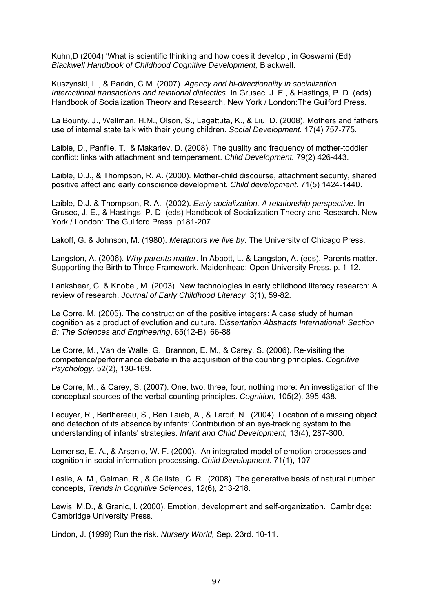Kuhn,D (2004) 'What is scientific thinking and how does it develop', in Goswami (Ed) *Blackwell Handbook of Childhood Cognitive Development,* Blackwell.

Kuszynski, L., & Parkin, C.M. (2007). *Agency and bi-directionality in socialization: Interactional transactions and relational dialectics*. In Grusec, J. E., & Hastings, P. D. (eds) Handbook of Socialization Theory and Research. New York / London:The Guilford Press.

La Bounty, J., Wellman, H.M., Olson, S., Lagattuta, K., & Liu, D. (2008). Mothers and fathers use of internal state talk with their young children. *Social Development.* 17(4) 757-775.

Laible, D., Panfile, T., & Makariev, D. (2008). The quality and frequency of mother-toddler conflict: links with attachment and temperament. *Child Development.* 79(2) 426-443.

Laible, D.J., & Thompson, R. A. (2000). Mother-child discourse, attachment security, shared positive affect and early conscience development. *Child development*. 71(5) 1424-1440.

Laible, D.J. & Thompson, R. A. (2002). *Early socialization. A relationship perspective*. In Grusec, J. E., & Hastings, P. D. (eds) Handbook of Socialization Theory and Research. New York / London: The Guilford Press. p181-207.

Lakoff, G. & Johnson, M. (1980). *Metaphors we live by*. The University of Chicago Press.

Langston, A. (2006). *Why parents matter*. In Abbott, L. & Langston, A. (eds). Parents matter. Supporting the Birth to Three Framework, Maidenhead: Open University Press. p. 1-12.

Lankshear, C. & Knobel, M. (2003). New technologies in early childhood literacy research: A review of research. *Journal of Early Childhood Literacy.* 3(1), 59-82.

Le Corre, M. (2005). The construction of the positive integers: A case study of human cognition as a product of evolution and culture. *Dissertation Abstracts International: Section B: The Sciences and Engineering*, 65(12-B), 66-88

Le Corre, M., Van de Walle, G., Brannon, E. M., & Carey, S. (2006). Re-visiting the competence/performance debate in the acquisition of the counting principles. *Cognitive Psychology,* 52(2), 130-169.

Le Corre, M., & Carey, S. (2007). One, two, three, four, nothing more: An investigation of the conceptual sources of the verbal counting principles. *Cognition,* 105(2), 395-438.

Lecuyer, R., Berthereau, S., Ben Taieb, A., & Tardif, N. (2004). Location of a missing object and detection of its absence by infants: Contribution of an eye-tracking system to the understanding of infants' strategies. *Infant and Child Development,* 13(4), 287-300.

Lemerise, E. A., & Arsenio, W. F. (2000). An integrated model of emotion processes and cognition in social information processing. *Child Development.* 71(1), 107

Leslie, A. M., Gelman, R., & Gallistel, C. R. (2008). The generative basis of natural number concepts, *Trends in Cognitive Sciences,* 12(6), 213-218.

Lewis, M.D., & Granic, I. (2000). Emotion, development and self-organization. Cambridge: Cambridge University Press.

Lindon, J. (1999) Run the risk. *Nursery World,* Sep. 23rd. 10-11.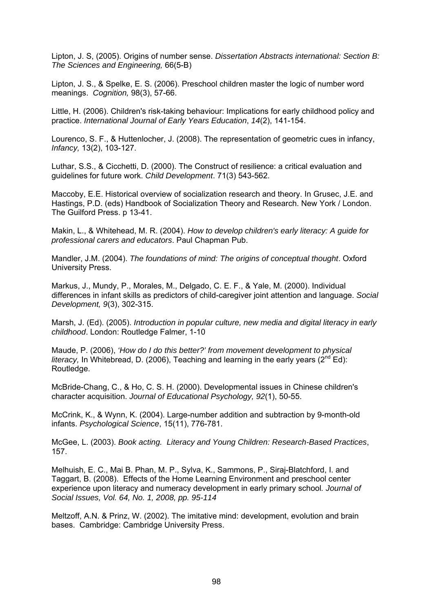Lipton, J. S, (2005). Origins of number sense. *Dissertation Abstracts international: Section B: The Sciences and Engineering,* 66(5-B)

Lipton, J. S., & Spelke, E. S. (2006). Preschool children master the logic of number word meanings. *Cognition,* 98(3), 57-66.

Little, H. (2006). Children's risk-taking behaviour: Implications for early childhood policy and practice. *International Journal of Early Years Education*, *14*(2), 141-154.

[Lourenco, S. F](http://ovidsp.tx.ovid.com/spa/ovidweb.cgi?&S=OALBFPCJBKDDOOFHNCFLIFMLHFEFAA00&Search+Link=%22Lourenco%2c+Stella+F%22.au.)., & [Huttenlocher, J.](http://ovidsp.tx.ovid.com/spa/ovidweb.cgi?&S=OALBFPCJBKDDOOFHNCFLIFMLHFEFAA00&Search+Link=%22Huttenlocher%2c+Janellen%22.au.) (2008). The representation of geometric cues in infancy, *Infancy,* 13(2), 103-127.

Luthar, S.S., & Cicchetti, D. (2000). The Construct of resilience: a critical evaluation and guidelines for future work. *Child Development*. 71(3) 543-562.

Maccoby, E.E. Historical overview of socialization research and theory. In Grusec, J.E. and Hastings, P.D. (eds) Handbook of Socialization Theory and Research. New York / London. The Guilford Press. p 13-41.

Makin, L., & Whitehead, M. R. (2004). *How to develop children's early literacy: A guide for professional carers and educators*. Paul Chapman Pub.

Mandler, J.M. (2004). *The foundations of mind: The origins of conceptual thought*. Oxford University Press.

Markus, J., Mundy, P., Morales, M., Delgado, C. E. F., & Yale, M. (2000). Individual differences in infant skills as predictors of child-caregiver joint attention and language. *Social Development, 9*(3), 302-315.

Marsh, J. (Ed). (2005). *Introduction in popular culture, new media and digital literacy in early childhood*. London: Routledge Falmer, 1-10

Maude, P. (2006), *'How do I do this better?' from movement development to physical literacy,* In Whitebread, D. (2006), Teaching and learning in the early years ( $2^{nd}$  Ed): Routledge.

McBride-Chang, C., & Ho, C. S. H. (2000). Developmental issues in Chinese children's character acquisition. *Journal of Educational Psychology, 92*(1), 50-55.

[McCrink, K.](http://ovidsp.tx.ovid.com/spa/ovidweb.cgi?&S=OALBFPCJBKDDOOFHNCFLIFMLHFEFAA00&Search+Link=%22McCrink%2c+Koleen%22.au.), & [Wynn, K.](http://ovidsp.tx.ovid.com/spa/ovidweb.cgi?&S=OALBFPCJBKDDOOFHNCFLIFMLHFEFAA00&Search+Link=%22Wynn%2c+Karen%22.au.) (2004). Large-number addition and subtraction by 9-month-old infants. *Psychological Science*, 15(11), 776-781.

McGee, L. (2003). *Book acting. Literacy and Young Children: Research-Based Practices*, 157.

Melhuish, E. C., Mai B. Phan, M. P., Sylva, K., Sammons, P., Siraj-Blatchford, I. and Taggart, B. (2008). Effects of the Home Learning Environment and preschool center experience upon literacy and numeracy development in early primary school*. Journal of Social Issues, Vol. 64, No. 1, 2008, pp. 95-114* 

Meltzoff, A.N. & Prinz, W. (2002). The imitative mind: development, evolution and brain bases. Cambridge: Cambridge University Press.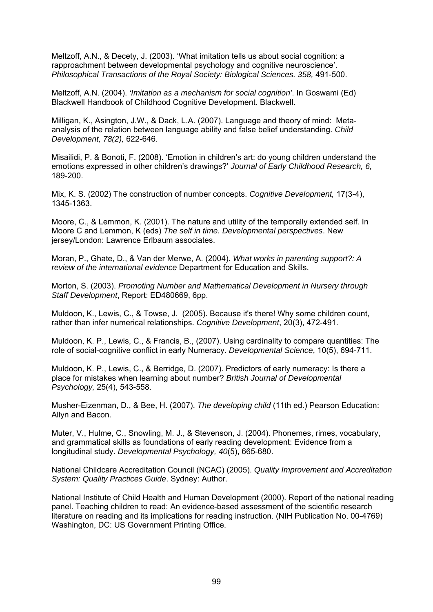Meltzoff, A.N., & Decety, J. (2003). 'What imitation tells us about social cognition: a rapproachment between developmental psychology and cognitive neuroscience'. *Philosophical Transactions of the Royal Society: Biological Sciences. 358,* 491-500.

Meltzoff, A.N. (2004). *'Imitation as a mechanism for social cognition'*. In Goswami (Ed) Blackwell Handbook of Childhood Cognitive Development*.* Blackwell.

Milligan, K., Asington, J.W., & Dack, L.A. (2007). Language and theory of mind: Metaanalysis of the relation between language ability and false belief understanding. *Child Development, 78(2),* 622-646.

Misailidi, P. & Bonoti, F. (2008). 'Emotion in children's art: do young children understand the emotions expressed in other children's drawings?' *Journal of Early Childhood Research, 6,* 189-200.

Mix, K. S. (2002) The construction of number concepts. *Cognitive Development,* 17(3-4), 1345-1363.

Moore, C., & Lemmon, K. (2001). The nature and utility of the temporally extended self. In Moore C and Lemmon, K (eds) *The self in time. Developmental perspectives*. New jersey/London: Lawrence Erlbaum associates.

Moran, P., Ghate, D., & Van der Merwe, A. (2004). *What works in parenting support?: A review of the international evidence* Department for Education and Skills.

[Morton, S.](http://csaweb116v.csa.com/ids70/p_search_form.php?field=au&query=morton+susan&log=literal&SID=hqjr49pa793hig8petbhu85rr2) (2003). *[Promoting Number and Mathematical Development in Nursery through](http://csaweb116v.csa.com/ids70/view_record.php?id=3&recnum=58&log=from_res&SID=hqjr49pa793hig8petbhu85rr2)  [Staff Development](http://csaweb116v.csa.com/ids70/view_record.php?id=3&recnum=58&log=from_res&SID=hqjr49pa793hig8petbhu85rr2)*, Report: ED480669, 6pp.

Muldoon, K., Lewis, C., & Towse, J. (2005). Because it's there! Why some children count, rather than infer numerical relationships. *Cognitive Development*, 20(3), 472-491.

Muldoon, K. P., Lewis, C., & Francis, B., (2007). Using cardinality to compare quantities: The role of social-cognitive conflict in early Numeracy. *Developmental Science*, 10(5), 694-711.

Muldoon, K. P., Lewis, C., & Berridge, D. (2007). Predictors of early numeracy: Is there a place for mistakes when learning about number? *British Journal of Developmental Psychology,* 25(4), 543-558.

Musher-Eizenman, D., & Bee, H. (2007). *The developing child* (11th ed.) Pearson Education: Allyn and Bacon.

Muter, V., Hulme, C., Snowling, M. J., & Stevenson, J. (2004). Phonemes, rimes, vocabulary, and grammatical skills as foundations of early reading development: Evidence from a longitudinal study. *Developmental Psychology, 40*(5), 665-680.

National Childcare Accreditation Council (NCAC) (2005). *Quality Improvement and Accreditation System: Quality Practices Guide*. Sydney: Author.

National Institute of Child Health and Human Development (2000). Report of the national reading panel. Teaching children to read: An evidence-based assessment of the scientific research literature on reading and its implications for reading instruction. (NIH Publication No. 00-4769) Washington, DC: US Government Printing Office.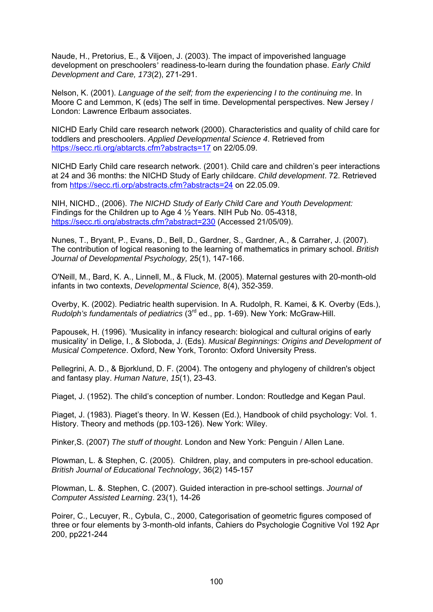Naude, H., Pretorius, E., & Viljoen, J. (2003). The impact of impoverished language development on preschoolers' readiness-to-learn during the foundation phase. *Early Child Development and Care, 173*(2), 271-291.

Nelson, K. (2001). *Language of the self; from the experiencing I to the continuing me*. In Moore C and Lemmon, K (eds) The self in time. Developmental perspectives. New Jersey / London: Lawrence Erlbaum associates.

NICHD Early Child care research network (2000). Characteristics and quality of child care for toddlers and preschoolers. *Applied Developmental Science 4*. Retrieved from <https://secc.rti.org/abtarcts.cfm?abstracts=17> on 22/05.09.

NICHD Early Child care research network. (2001). Child care and children's peer interactions at 24 and 36 months: the NICHD Study of Early childcare. *Child development*. 72. Retrieved from <https://secc.rti.orp/abstracts.cfm?abstracts=24>on 22.05.09.

NIH, NICHD., (2006). *The NICHD Study of Early Child Care and Youth Development:* Findings for the Children up to Age 4 ½ Years. NIH Pub No. 05-4318, <https://secc.rti.org/abstracts.cfm?abstract=230> (Accessed 21/05/09).

Nunes, T., Bryant, P., Evans, D., Bell, D., Gardner, S., Gardner, A., & Carraher, J. (2007). The contribution of logical reasoning to the learning of mathematics in primary school. *British Journal of Developmental Psychology,* 25(1), 147-166.

O'Neill, M., Bard, K. A., Linnell, M., & Fluck, M. (2005). Maternal gestures with 20-month-old infants in two contexts, *Developmental Science,* 8(4), 352-359.

Overby, K. (2002). Pediatric health supervision. In A. Rudolph, R. Kamei, & K. Overby (Eds.), *Rudolph's fundamentals of pediatrics* (3rd ed., pp. 1-69). New York: McGraw-Hill.

Papousek, H. (1996). 'Musicality in infancy research: biological and cultural origins of early musicality' in Delige, I., & Sloboda, J. (Eds). *Musical Beginnings: Origins and Development of Musical Competence*. Oxford, New York, Toronto: Oxford University Press.

Pellegrini, A. D., & Bjorklund, D. F. (2004). The ontogeny and phylogeny of children's object and fantasy play. *Human Nature*, *15*(1), 23-43.

Piaget, J. (1952). The child's conception of number. London: Routledge and Kegan Paul.

Piaget, J. (1983). Piaget's theory. In W. Kessen (Ed.), Handbook of child psychology: Vol. 1. History. Theory and methods (pp.103-126). New York: Wiley.

Pinker,S. (2007) *The stuff of thought*. London and New York: Penguin / Allen Lane.

Plowman, L. & Stephen, C. (2005). Children, play, and computers in pre-school education. *British Journal of Educational Technology*, 36(2) 145-157

Plowman, L. &. Stephen, C. (2007). Guided interaction in pre-school settings. *Journal of Computer Assisted Learning*. 23(1), 14-26

Poirer, C., Lecuyer, R., Cybula, C., 2000, Categorisation of geometric figures composed of three or four elements by 3-month-old infants, Cahiers do Psychologie Cognitive Vol 192 Apr 200, pp221-244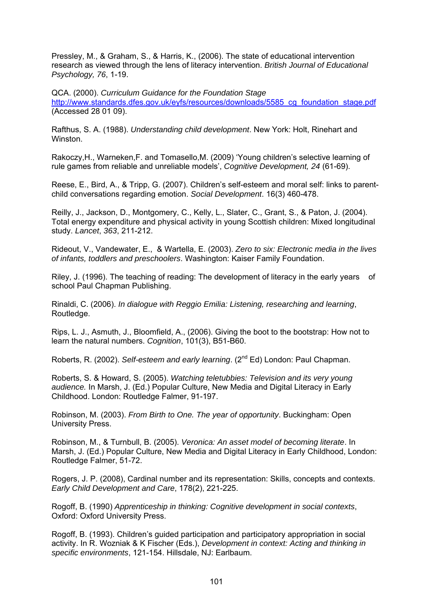Pressley, M., & Graham, S., & Harris, K., (2006). The state of educational intervention research as viewed through the lens of literacy intervention. *British Journal of Educational Psychology, 76*, 1-19.

QCA. (2000). *Curriculum Guidance for the Foundation Stage*  [http://www.standards.dfes.gov.uk/eyfs/resources/downloads/5585\\_cg\\_foundation\\_stage.pdf](http://www.standards.dfes.gov.uk/eyfs/resources/downloads/5585_cg_foundation_stage.pdf) (Accessed 28 01 09).

Rafthus, S. A. (1988). *Understanding child development*. New York: Holt, Rinehart and Winston.

Rakoczy,H., Warneken,F. and Tomasello,M. (2009) 'Young children's selective learning of rule games from reliable and unreliable models', *Cognitive Development, 24* (61-69).

Reese, E., Bird, A., & Tripp, G. (2007). Children's self-esteem and moral self: links to parentchild conversations regarding emotion. *Social Development*. 16(3) 460-478.

Reilly, J., Jackson, D., Montgomery, C., Kelly, L., Slater, C., Grant, S., & Paton, J. (2004). Total energy expenditure and physical activity in young Scottish children: Mixed longitudinal study. *Lancet*, *363*, 211-212.

Rideout, V., Vandewater, E., & Wartella, E. (2003). *Zero to six: Electronic media in the lives of infants, toddlers and preschoolers*. Washington: Kaiser Family Foundation.

Riley, J. (1996). The teaching of reading: The development of literacy in the early years of school Paul Chapman Publishing.

Rinaldi, C. (2006). *In dialogue with Reggio Emilia: Listening, researching and learning*, Routledge.

Rips, L. J., Asmuth, J., Bloomfield, A., (2006). Giving the boot to the bootstrap: How not to learn the natural numbers. *Cognition*, 101(3), B51-B60.

Roberts, R. (2002). *Self-esteem and early learning*. (2nd Ed) London: Paul Chapman.

Roberts, S. & Howard, S. (2005). *Watching teletubbies: Television and its very young audience.* In Marsh, J. (Ed.) Popular Culture, New Media and Digital Literacy in Early Childhood. London: Routledge Falmer, 91-197.

Robinson, M. (2003). *From Birth to One. The year of opportunity*. Buckingham: Open University Press.

Robinson, M., & Turnbull, B. (2005). *Veronica: An asset model of becoming literate*. In Marsh, J. (Ed.) Popular Culture, New Media and Digital Literacy in Early Childhood, London: Routledge Falmer, 51-72.

Rogers, J. P. (2008), Cardinal number and its representation: Skills, concepts and contexts. *Early Child Development and Care*, 178(2), 221-225.

Rogoff, B. (1990) *Apprenticeship in thinking: Cognitive development in social contexts*, Oxford: Oxford University Press.

Rogoff, B. (1993). Children's guided participation and participatory appropriation in social activity. In R. Wozniak & K Fischer (Eds.), *Development in context: Acting and thinking in specific environments*, 121-154. Hillsdale, NJ: Earlbaum.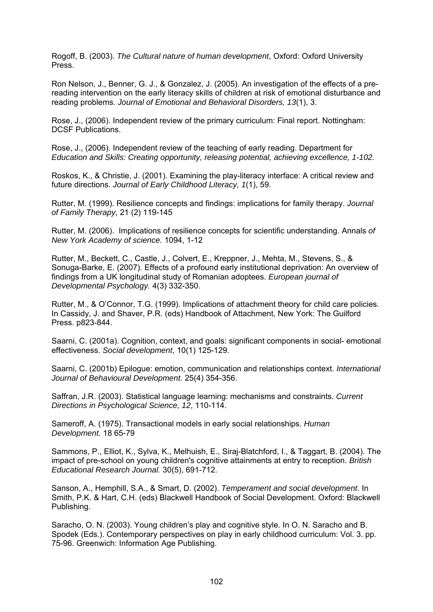Rogoff, B. (2003). *The Cultural nature of human development*, Oxford: Oxford University Press.

Ron Nelson, J., Benner, G. J., & Gonzalez, J. (2005). An investigation of the effects of a prereading intervention on the early literacy skills of children at risk of emotional disturbance and reading problems. *Journal of Emotional and Behavioral Disorders, 13*(1), 3.

Rose, J., (2006). Independent review of the primary curriculum: Final report. Nottingham: DCSF Publications.

Rose, J., (2006). Independent review of the teaching of early reading. Department for *Education and Skills: Creating opportunity, releasing potential, achieving excellence, 1-102.* 

Roskos, K., & Christie, J. (2001). Examining the play-literacy interface: A critical review and future directions. *Journal of Early Childhood Literacy, 1*(1), 59.

Rutter, M. (1999). Resilience concepts and findings: implications for family therapy. *Journal of Family Therapy,* 21 (2) 119-145

Rutter, M. (2006). Implications of resilience concepts for scientific understanding. Annals *of New York Academy of science.* 1094, 1-12

Rutter, M., Beckett, C., Castle, J., Colvert, E., Kreppner, J., Mehta, M., Stevens, S., & Sonuga-Barke, E. (2007). Effects of a profound early institutional deprivation: An overview of findings from a UK longitudinal study of Romanian adoptees. *European journal of Developmental Psychology.* 4(3) 332-350.

Rutter, M., & O'Connor, T.G. (1999). Implications of attachment theory for child care policies. In Cassidy, J. and Shaver, P.R. (eds) Handbook of Attachment, New York: The Guilford Press. p823-844.

Saarni, C. (2001a). Cognition, context, and goals: significant components in social- emotional effectiveness. *Social development*, 10(1) 125-129.

Saarni, C. (2001b) Epilogue: emotion, communication and relationships context. *International Journal of Behavioural Development.* 25(4) 354-356.

Saffran, J.R. (2003). Statistical language learning: mechanisms and constraints. *Current Directions in Psychological Science, 12*, 110-114.

Sameroff, A. (1975). Transactional models in early social relationships. *Human Development.* 18 65-79

Sammons, P., Elliot, K., Sylva, K., Melhuish, E., Siraj-Blatchford, I., & Taggart, B. (2004). The impact of pre-school on young children's cognitive attainments at entry to reception. *British Educational Research Journal.* 30(5), 691-712.

Sanson, A., Hemphill, S.A., & Smart, D. (2002). *Temperament and social development*. In Smith, P.K. & Hart, C.H. (eds) Blackwell Handbook of Social Development. Oxford: Blackwell Publishing.

Saracho, O. N. (2003). Young children's play and cognitive style. In O. N. Saracho and B. Spodek (Eds.). Contemporary perspectives on play in early childhood curriculum: Vol. 3. pp. 75-96. Greenwich: Information Age Publishing.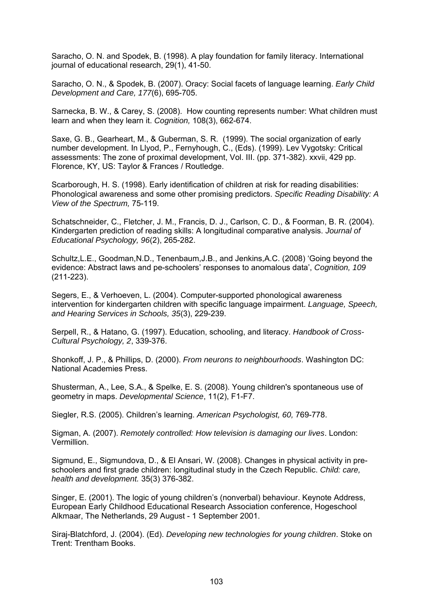Saracho, O. N. and Spodek, B. (1998). A play foundation for family literacy. International journal of educational research, 29(1), 41-50.

Saracho, O. N., & Spodek, B. (2007). Oracy: Social facets of language learning. *Early Child Development and Care, 177*(6), 695-705.

Sarnecka, B. W., & Carey, S. (2008). How counting represents number: What children must learn and when they learn it. *Cognition,* 108(3), 662-674.

Saxe, G. B., Gearheart, M., & Guberman, S. R. (1999). The social organization of early number development. In Llyod, P., Fernyhough, C., (Eds). (1999). Lev Vygotsky: Critical assessments: The zone of proximal development, Vol. III. (pp. 371-382). xxvii, 429 pp. Florence, KY, US: Taylor & Frances / Routledge.

Scarborough, H. S. (1998). Early identification of children at risk for reading disabilities: Phonological awareness and some other promising predictors. *Specific Reading Disability: A View of the Spectrum,* 75-119.

Schatschneider, C., Fletcher, J. M., Francis, D. J., Carlson, C. D., & Foorman, B. R. (2004). Kindergarten prediction of reading skills: A longitudinal comparative analysis. *Journal of Educational Psychology, 96*(2), 265-282.

Schultz,L.E., Goodman,N.D., Tenenbaum,J.B., and Jenkins,A.C. (2008) 'Going beyond the evidence: Abstract laws and pe-schoolers' responses to anomalous data', *Cognition, 109* (211-223).

Segers, E., & Verhoeven, L. (2004). Computer-supported phonological awareness intervention for kindergarten children with specific language impairment. *Language, Speech, and Hearing Services in Schools, 35*(3), 229-239.

Serpell, R., & Hatano, G. (1997). Education, schooling, and literacy. *Handbook of Cross-Cultural Psychology, 2*, 339-376.

Shonkoff, J. P., & Phillips, D. (2000). *From neurons to neighbourhoods*. Washington DC: National Academies Press.

[Shusterman, A.](http://ovidsp.tx.ovid.com/spa/ovidweb.cgi?&S=OALBFPCJBKDDOOFHNCFLIFMLHFEFAA00&Search+Link=%22Shusterman%2c+Anna%22.au.), [Lee, S.A](http://ovidsp.tx.ovid.com/spa/ovidweb.cgi?&S=OALBFPCJBKDDOOFHNCFLIFMLHFEFAA00&Search+Link=%22Lee%2c+Sang+Ah%22.au.)., & [Spelke, E. S](http://ovidsp.tx.ovid.com/spa/ovidweb.cgi?&S=OALBFPCJBKDDOOFHNCFLIFMLHFEFAA00&Search+Link=%22Spelke%2c+Elizabeth+S%22.au.). (2008). Young children's spontaneous use of geometry in maps. *Developmental Science*, 11(2), F1-F7.

Siegler, R.S. (2005). Children's learning. *American Psychologist, 60,* 769-778.

Sigman, A. (2007). *Remotely controlled: How television is damaging our lives*. London: Vermillion.

Sigmund, E., Sigmundova, D., & El Ansari, W. (2008). Changes in physical activity in preschoolers and first grade children: longitudinal study in the Czech Republic. *Child: care, health and development.* 35(3) 376-382.

Singer, E. (2001). The logic of young children's (nonverbal) behaviour. Keynote Address, European Early Childhood Educational Research Association conference, Hogeschool Alkmaar, The Netherlands, 29 August - 1 September 2001.

Siraj-Blatchford, J. (2004). (Ed). *Developing new technologies for young children*. Stoke on Trent: Trentham Books.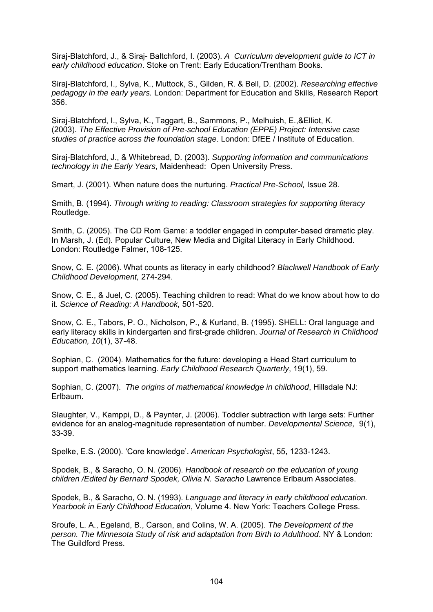Siraj-Blatchford, J., & Siraj- Baltchford, I. (2003). *A Curriculum development guide to ICT in early childhood education*. Stoke on Trent: Early Education/Trentham Books.

Siraj-Blatchford, I., Sylva, K., Muttock, S., Gilden, R. & Bell, D. (2002). *Researching effective pedagogy in the early years.* London: Department for Education and Skills, Research Report 356.

Siraj-Blatchford, I., Sylva, K., Taggart, B., Sammons, P., Melhuish, E.,&Elliot, K. (2003). *The Effective Provision of Pre-school Education (EPPE) Project: Intensive case studies of practice across the foundation stage*. London: DfEE / Institute of Education.

Siraj-Blatchford, J., & Whitebread, D. (2003). *Supporting information and communications technology in the Early Years*, Maidenhead: Open University Press.

Smart, J. (2001). When nature does the nurturing. *Practical Pre-School,* Issue 28.

Smith, B. (1994). *Through writing to reading: Classroom strategies for supporting literacy* Routledge.

Smith, C. (2005). The CD Rom Game: a toddler engaged in computer-based dramatic play. In Marsh, J. (Ed). Popular Culture, New Media and Digital Literacy in Early Childhood. London: Routledge Falmer, 108-125.

Snow, C. E. (2006). What counts as literacy in early childhood? *Blackwell Handbook of Early Childhood Development,* 274-294.

Snow, C. E., & Juel, C. (2005). Teaching children to read: What do we know about how to do it. *Science of Reading: A Handbook,* 501-520.

Snow, C. E., Tabors, P. O., Nicholson, P., & Kurland, B. (1995). SHELL: Oral language and early literacy skills in kindergarten and first-grade children. *Journal of Research in Childhood Education, 10*(1), 37-48.

Sophian, C. (2004). [Mathematics for the future: developing a Head Start curriculum to](http://web.ebscohost.com/ehost/viewarticle?data=dGJyMPPp44rp2%2fdV0%2bnjisfk5Ie46bROs6%2bvSLWk63nn5Kx95uXxjL6srUytqK5It5a0UrOvuEyylr9lpOrweezp33vy3%2b2G59q7Ra%2bqs0yyq7VOrqykhN%2fk5VXj5KR84LPjgOac8nnls79mpNfsVa%2botkm0q65NpNztiuvX8lXk6%2bqE8tv2jAAA&hid=104)  [support mathematics learning.](http://web.ebscohost.com/ehost/viewarticle?data=dGJyMPPp44rp2%2fdV0%2bnjisfk5Ie46bROs6%2bvSLWk63nn5Kx95uXxjL6srUytqK5It5a0UrOvuEyylr9lpOrweezp33vy3%2b2G59q7Ra%2bqs0yyq7VOrqykhN%2fk5VXj5KR84LPjgOac8nnls79mpNfsVa%2botkm0q65NpNztiuvX8lXk6%2bqE8tv2jAAA&hid=104) *Early Childhood Research Quarterly*, 19(1), 59.

Sophian, C. (2007). *The origins of mathematical knowledge in childhood*, Hillsdale NJ: Erlbaum.

Slaughter, V., Kamppi, D., & Paynter, J. (2006). Toddler subtraction with large sets: Further evidence for an analog-magnitude representation of number. *Developmental Science,* 9(1), 33-39.

Spelke, E.S. (2000). 'Core knowledge'. *American Psychologist*, 55, 1233-1243.

Spodek, B., & Saracho, O. N. (2006). *Handbook of research on the education of young children /Edited by Bernard Spodek, Olivia N. Saracho* Lawrence Erlbaum Associates.

Spodek, B., & Saracho, O. N. (1993). *Language and literacy in early childhood education. Yearbook in Early Childhood Education*, Volume 4. New York: Teachers College Press.

Sroufe, L. A., Egeland, B., Carson, and Colins, W. A. (2005). *The Development of the person. The Minnesota Study of risk and adaptation from Birth to Adulthood*. NY & London: The Guildford Press.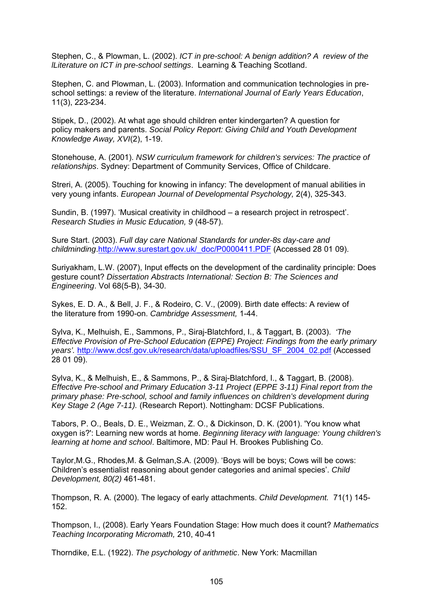Stephen, C., & Plowman, L. (2002). *ICT in pre-school: A benign addition? A review of the lLiterature on ICT in pre-school settings*. Learning & Teaching Scotland.

Stephen, C. and Plowman, L. (2003). Information and communication technologies in preschool settings: a review of the literature. *International Journal of Early Years Education*, 11(3), 223-234.

Stipek, D., (2002). At what age should children enter kindergarten? A question for policy makers and parents. *Social Policy Report: Giving Child and Youth Development Knowledge Away, XVI*(2), 1-19.

Stonehouse, A. (2001). *NSW curriculum framework for children's services: The practice of relationships*. Sydney: Department of Community Services, Office of Childcare.

Streri, A. (2005). [Touching for knowing in infancy: The development of manual abilities in](http://web.ebscohost.com/ehost/viewarticle?data=dGJyMPPp44rp2%2fdV0%2bnjisfk5Ie46bROs6%2bvSLWk63nn5Kx95uXxjL6srUqtqK5It5a2UrGsuEmzlr9lpOrweezp33vy3%2b2G59q7TLGntVC0r7FMpOLfhuWz44ak2uBV497mPvLX5VW%2fxKR57LOvULetrk%2bxp6R%2b7ejrefKz5I3q4vJ99uoA&hid=3)  [very young infants.](http://web.ebscohost.com/ehost/viewarticle?data=dGJyMPPp44rp2%2fdV0%2bnjisfk5Ie46bROs6%2bvSLWk63nn5Kx95uXxjL6srUqtqK5It5a2UrGsuEmzlr9lpOrweezp33vy3%2b2G59q7TLGntVC0r7FMpOLfhuWz44ak2uBV497mPvLX5VW%2fxKR57LOvULetrk%2bxp6R%2b7ejrefKz5I3q4vJ99uoA&hid=3) *European Journal of Developmental Psychology,* 2(4), 325-343.

Sundin, B. (1997). 'Musical creativity in childhood – a research project in retrospect'. *Research Studies in Music Education, 9* (48-57).

Sure Start. (2003). *Full day care National Standards for under-8s day-care and childminding*[.http://www.surestart.gov.uk/\\_doc/P0000411.PDF](http://www.surestart.gov.uk/_doc/P0000411.PDF) (Accessed 28 01 09).

Suriyakham, L.W. (2007), Input effects on the development of the cardinality principle: Does gesture count? *Dissertation Abstracts International: Section B: The Sciences and Engineering*. Vol 68(5-B), 34-30.

Sykes, E. D. A., & Bell, J. F., & Rodeiro, C. V., (2009). Birth date effects: A review of the literature from 1990-on. *Cambridge Assessment,* 1-44.

Sylva, K., Melhuish, E., Sammons, P., Siraj-Blatchford, I., & Taggart, B. (2003). *'The Effective Provision of Pre-School Education (EPPE) Project: Findings from the early primary years'.* [http://www.dcsf.gov.uk/research/data/uploadfiles/SSU\\_SF\\_2004\\_02.pdf](http://www.dcsf.gov.uk/research/data/uploadfiles/SSU_SF_2004_02.pdf) (Accessed 28 01 09).

Sylva, K., & Melhuish, E., & Sammons, P., & Siraj-Blatchford, I., & Taggart, B. (2008). *Effective Pre-school and Primary Education 3-11 Project (EPPE 3-11) Final report from the primary phase: Pre-school, school and family influences on children's development during Key Stage 2 (Age 7-11).* (Research Report). Nottingham: DCSF Publications.

Tabors, P. O., Beals, D. E., Weizman, Z. O., & Dickinson, D. K. (2001). 'You know what oxygen is?': Learning new words at home. *Beginning literacy with language: Young children's learning at home and school*. Baltimore, MD: Paul H. Brookes Publishing Co.

Taylor,M.G., Rhodes,M. & Gelman,S.A. (2009). 'Boys will be boys; Cows will be cows: Children's essentialist reasoning about gender categories and animal species'. *Child Development, 80(2)* 461-481.

Thompson, R. A. (2000). The legacy of early attachments. *Child Development.* 71(1) 145- 152.

Thompson, I., (2008). Early Years Foundation Stage: How much does it count? *Mathematics Teaching Incorporating Micromath,* 210, 40-41

Thorndike, E.L. (1922). *The psychology of arithmetic*. New York: Macmillan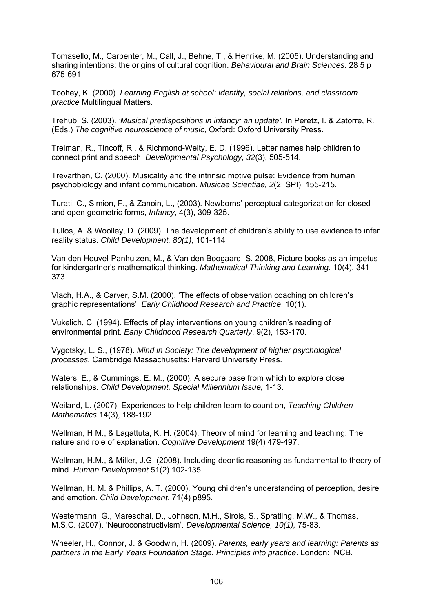Tomasello, M., Carpenter, M., Call, J., Behne, T., & Henrike, M. (2005). Understanding and sharing intentions: the origins of cultural cognition. *Behavioural and Brain Sciences*. 28 5 p 675-691.

Toohey, K. (2000). *Learning English at school: Identity, social relations, and classroom practice* Multilingual Matters.

Trehub, S. (2003). *'Musical predispositions in infancy: an update'.* In Peretz, I. & Zatorre, R. (Eds.) *The cognitive neuroscience of music*, Oxford: Oxford University Press.

Treiman, R., Tincoff, R., & Richmond-Welty, E. D. (1996). Letter names help children to connect print and speech. *Developmental Psychology, 32*(3), 505-514.

Trevarthen, C. (2000). Musicality and the intrinsic motive pulse: Evidence from human psychobiology and infant communication. *Musicae Scientiae, 2*(2; SPI), 155-215.

Turati, C., Simion, F., & Zanoin, L., (2003). Newborns' perceptual categorization for closed and open geometric forms, *Infancy*, 4(3), 309-325.

Tullos, A. & Woolley, D. (2009). The development of children's ability to use evidence to infer reality status. *Child Development, 80(1),* 101-114

Van den Heuvel-Panhuizen, M., & Van den Boogaard, S. 2008, Picture books as an impetus for kindergartner's mathematical thinking. *Mathematical Thinking and Learning*. 10(4), 341- 373.

Vlach, H.A., & Carver, S.M. (2000). 'The effects of observation coaching on children's graphic representations'. *Early Childhood Research and Practice*, 10(1).

Vukelich, C. (1994). Effects of play interventions on young children's reading of environmental print. *Early Childhood Research Quarterly*, 9(2), 153-170.

Vygotsky, L. S., (1978). *Mind in Society: The development of higher psychological processes.* Cambridge Massachusetts: Harvard University Press.

Waters, E., & Cummings, E. M., (2000). A secure base from which to explore close relationships. *Child Development, Special Millennium Issue,* 1-13.

Weiland, L. (2007). Experiences to help children learn to count on, *Teaching Children Mathematics* 14(3), 188-192.

Wellman, H M., & Lagattuta, K. H. (2004). Theory of mind for learning and teaching: The nature and role of explanation. *Cognitive Development* 19(4) 479-497.

Wellman, H.M., & Miller, J.G. (2008). Including deontic reasoning as fundamental to theory of mind. *Human Development* 51(2) 102-135.

Wellman, H. M. & Phillips, A. T. (2000). Young children's understanding of perception, desire and emotion. *Child Development*. 71(4) p895.

Westermann, G., Mareschal, D., Johnson, M.H., Sirois, S., Spratling, M.W., & Thomas, M.S.C. (2007). 'Neuroconstructivism'. *Developmental Science, 10(1),* 75-83.

Wheeler, H., Connor, J. & Goodwin, H. (2009). *Parents, early years and learning: Parents as partners in the Early Years Foundation Stage: Principles into practice*. London: NCB.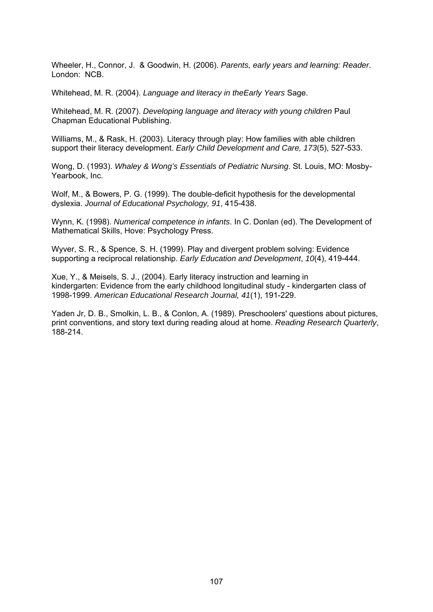Wheeler, H., Connor, J. & Goodwin, H. (2006). *Parents, early years and learning: Reader*. London: NCB.

Whitehead, M. R. (2004). *Language and literacy in theEarly Years* Sage.

Whitehead, M. R. (2007). *Developing language and literacy with young children* Paul Chapman Educational Publishing.

Williams, M., & Rask, H. (2003). Literacy through play: How families with able children support their literacy development. *Early Child Development and Care, 173*(5), 527-533.

Wong, D. (1993). *Whaley & Wong's Essentials of Pediatric Nursing*. St. Louis, MO: Mosby-Yearbook, Inc.

Wolf, M., & Bowers, P. G. (1999). The double-deficit hypothesis for the developmental dyslexia. *Journal of Educational Psychology, 91*, 415-438.

Wynn, K. (1998). *Numerical competence in infants*. In C. Donlan (ed). The Development of Mathematical Skills, Hove: Psychology Press.

Wyver, S. R., & Spence, S. H. (1999). Play and divergent problem solving: Evidence supporting a reciprocal relationship. *Early Education and Development*, *10*(4), 419-444.

Xue, Y., & Meisels, S. J., (2004). Early literacy instruction and learning in kindergarten: Evidence from the early childhood longitudinal study - kindergarten class of 1998-1999. *American Educational Research Journal, 41*(1), 191-229.

Yaden Jr, D. B., Smolkin, L. B., & Conlon, A. (1989). Preschoolers' questions about pictures, print conventions, and story text during reading aloud at home. *Reading Research Quarterly*, 188-214.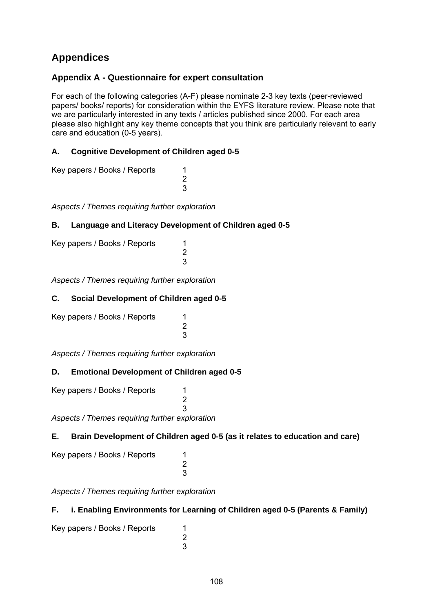# **Appendices**

# **Appendix A - Questionnaire for expert consultation**

For each of the following categories (A-F) please nominate 2-3 key texts (peer-reviewed papers/ books/ reports) for consideration within the EYFS literature review. Please note that we are particularly interested in any texts / articles published since 2000. For each area please also highlight any key theme concepts that you think are particularly relevant to early care and education (0-5 years).

## **A. Cognitive Development of Children aged 0-5**

Key papers / Books / Reports 1 2 3

*Aspects / Themes requiring further exploration* 

### **B. Language and Literacy Development of Children aged 0-5**

| Key papers / Books / Reports |  |
|------------------------------|--|
|                              |  |
|                              |  |

*Aspects / Themes requiring further exploration* 

### **C. Social Development of Children aged 0-5**

Key papers / Books / Reports 1 2 3

*Aspects / Themes requiring further exploration* 

# **D. Emotional Development of Children aged 0-5**

Key papers / Books / Reports 1 2 3 *Aspects / Themes requiring further exploration* 

# **E. Brain Development of Children aged 0-5 (as it relates to education and care)**

Key papers / Books / Reports 1 2 3

*Aspects / Themes requiring further exploration* 

### **F. i. Enabling Environments for Learning of Children aged 0-5 (Parents & Family)**

Key papers / Books / Reports 1 2 3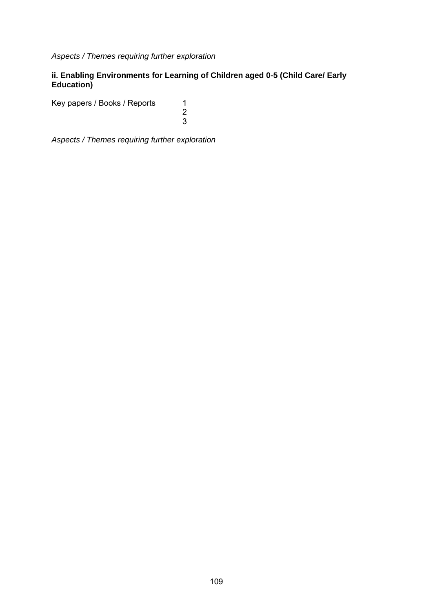*Aspects / Themes requiring further exploration* 

### **ii. Enabling Environments for Learning of Children aged 0-5 (Child Care/ Early Education)**

Key papers / Books / Reports 1

 2 3

*Aspects / Themes requiring further exploration*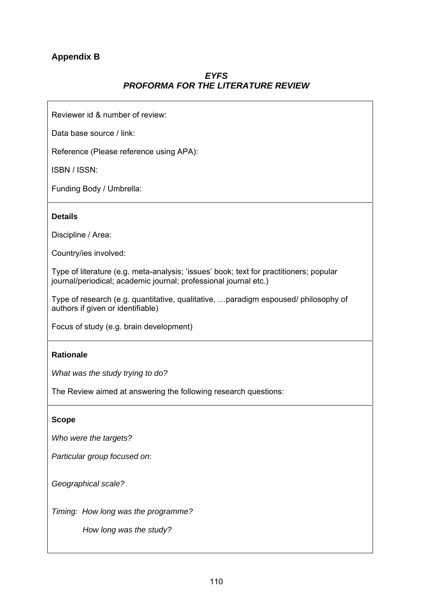# **Appendix B**

# *EYFS PROFORMA FOR THE LITERATURE REVIEW*

Reviewer id & number of review:

Data base source / link:

Reference (Please reference using APA):

ISBN / ISSN:

Funding Body / Umbrella:

#### **Details**

Discipline / Area:

Country/ies involved:

Type of literature (e.g. meta-analysis; 'issues' book; text for practitioners; popular journal/periodical; academic journal; professional journal etc.)

Type of research (e.g. quantitative, qualitative, …paradigm espoused/ philosophy of authors if given or identifiable)

Focus of study (e.g. brain development)

#### **Rationale**

*What was the study trying to do?* 

The Review aimed at answering the following research questions:

#### **Scope**

*Who were the targets?* 

*Particular group focused on*:

*Geographical scale?* 

*Timing: How long was the programme?*

 *How long was the study?*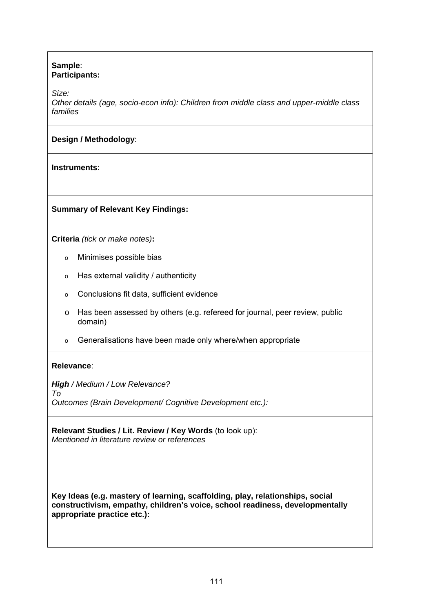#### **Sample**: **Participants:**

*Size:*

*Other details (age, socio-econ info): Children from middle class and upper-middle class families* 

# **Design / Methodology**:

**Instruments**:

### **Summary of Relevant Key Findings:**

**Criteria** *(tick or make notes)***:**

- o Minimises possible bias
- $\circ$  Has external validity / authenticity
- o Conclusions fit data, sufficient evidence
- o Has been assessed by others (e.g. refereed for journal, peer review, public domain)
- o Generalisations have been made only where/when appropriate

### **Relevance**:

*High / Medium / Low Relevance? To Outcomes (Brain Development/ Cognitive Development etc.):* 

**Relevant Studies / Lit. Review / Key Words** (to look up): *Mentioned in literature review or references* 

**Key Ideas (e.g. mastery of learning, scaffolding, play, relationships, social constructivism, empathy, children's voice, school readiness, developmentally appropriate practice etc.):**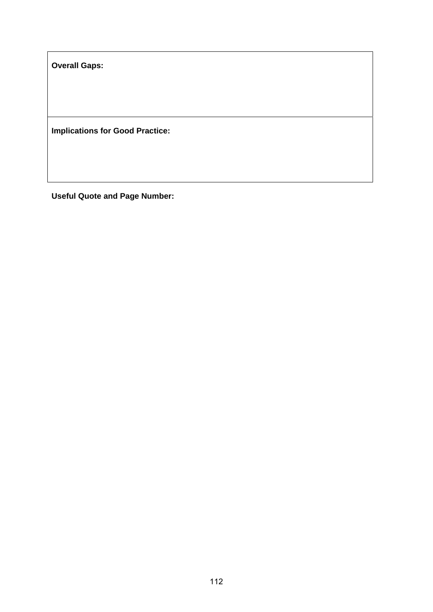**Overall Gaps:** 

**Implications for Good Practice:** 

**Useful Quote and Page Number:**